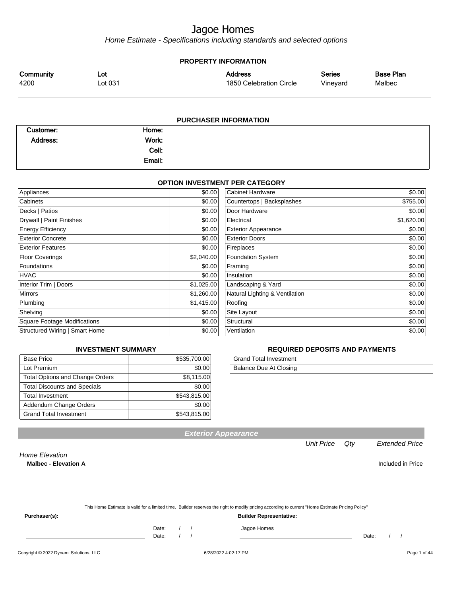Home Estimate - Specifications including standards and selected options

#### **PROPERTY INFORMATION** Vineyard Series 1850 Celebration Circle Address 4200 Lot 031 Community Lot Malbec Base Plan

| <b>PURCHASER INFORMATION</b> |        |  |  |
|------------------------------|--------|--|--|
| Customer:                    | Home:  |  |  |
| Address:                     | Work:  |  |  |
|                              | Cell:  |  |  |
|                              | Email: |  |  |

### **OPTION INVESTMENT PER CATEGORY**

| Appliances                          | \$0.00     | <b>Cabinet Hardware</b>        | \$0.00     |
|-------------------------------------|------------|--------------------------------|------------|
| Cabinets                            | \$0.00     | Countertops   Backsplashes     | \$755.00   |
| Decks   Patios                      | \$0.00     | Door Hardware                  | \$0.00     |
| Drywall   Paint Finishes            | \$0.00     | Electrical                     | \$1,620.00 |
| <b>Energy Efficiency</b>            | \$0.00     | <b>Exterior Appearance</b>     | \$0.00     |
| <b>Exterior Concrete</b>            | \$0.00     | <b>Exterior Doors</b>          | \$0.00     |
| <b>Exterior Features</b>            | \$0.00     | Fireplaces                     | \$0.00     |
| <b>Floor Coverings</b>              | \$2,040.00 | <b>Foundation System</b>       | \$0.00     |
| Foundations                         | \$0.00     | Framing                        | \$0.00     |
| <b>HVAC</b>                         | \$0.00     | Insulation                     | \$0.00     |
| Interior Trim   Doors               | \$1,025.00 | Landscaping & Yard             | \$0.00     |
| <b>Mirrors</b>                      | \$1,260.00 | Natural Lighting & Ventilation | \$0.00     |
| Plumbing                            | \$1,415.00 | Roofing                        | \$0.00     |
| Shelving                            | \$0.00     | Site Layout                    | \$0.00     |
| <b>Square Footage Modifications</b> | \$0.00     | Structural                     | \$0.00     |
| Structured Wiring   Smart Home      | \$0.00     | Ventilation                    | \$0.00     |

## **INVESTMENT SUMMARY**

| <b>Base Price</b>                      | \$535,700.00 |
|----------------------------------------|--------------|
| Lot Premium                            | \$0.00       |
| <b>Total Options and Change Orders</b> | \$8,115.00   |
| <b>Total Discounts and Specials</b>    | \$0.00       |
| <b>Total Investment</b>                | \$543,815.00 |
| Addendum Change Orders                 | \$0.00       |
| <b>Grand Total Investment</b>          | \$543,815.00 |

## **REQUIRED DEPOSITS AND PAYMENTS**

| <b>Grand Total Investment</b> |  |
|-------------------------------|--|
| Balance Due At Closing        |  |

**Exterior Appearance**

Unit Price Qty Extended Price

Home Elevation

**Malbec - Elevation A Included in Price** 

|               | This Home Estimate is valid for a limited time. Builder reserves the right to modify pricing according to current "Home Estimate Pricing Policy" |  |
|---------------|--------------------------------------------------------------------------------------------------------------------------------------------------|--|
| Purchaser(s): | <b>Builder Representative:</b>                                                                                                                   |  |

Date: / / Jagoe Homes<br>Date: / / Jagoe Homes

Date: / / Date: / /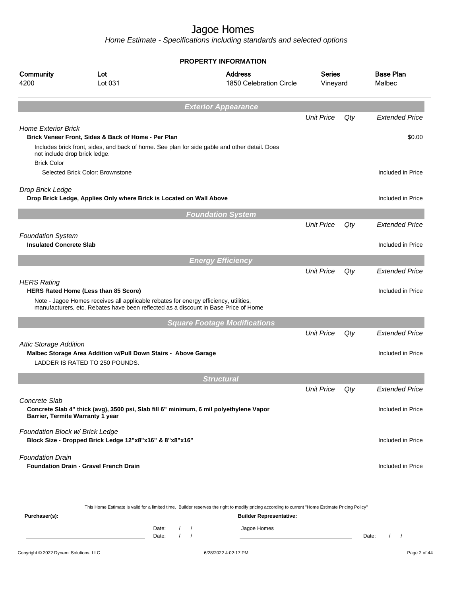|                                                     |                                                                                                                                                                             |            | <b>PROPERTY INFORMATION</b>               |                           |     |                                 |
|-----------------------------------------------------|-----------------------------------------------------------------------------------------------------------------------------------------------------------------------------|------------|-------------------------------------------|---------------------------|-----|---------------------------------|
| Community<br>4200                                   | Lot<br>Lot 031                                                                                                                                                              |            | <b>Address</b><br>1850 Celebration Circle | <b>Series</b><br>Vineyard |     | <b>Base Plan</b><br>Malbec      |
|                                                     |                                                                                                                                                                             |            | <b>Exterior Appearance</b>                |                           |     |                                 |
|                                                     |                                                                                                                                                                             |            |                                           | <b>Unit Price</b>         | Qty | <b>Extended Price</b>           |
| <b>Home Exterior Brick</b>                          | Brick Veneer Front, Sides & Back of Home - Per Plan<br>Includes brick front, sides, and back of home. See plan for side gable and other detail. Does                        |            |                                           |                           |     | \$0.00                          |
| not include drop brick ledge.<br><b>Brick Color</b> | Selected Brick Color: Brownstone                                                                                                                                            |            |                                           |                           |     | Included in Price               |
| Drop Brick Ledge                                    | Drop Brick Ledge, Applies Only where Brick is Located on Wall Above                                                                                                         |            |                                           |                           |     | Included in Price               |
|                                                     |                                                                                                                                                                             |            |                                           |                           |     |                                 |
|                                                     |                                                                                                                                                                             |            | <b>Foundation System</b>                  | <b>Unit Price</b>         | Qty | <b>Extended Price</b>           |
| <b>Foundation System</b>                            |                                                                                                                                                                             |            |                                           |                           |     |                                 |
| <b>Insulated Concrete Slab</b>                      |                                                                                                                                                                             |            |                                           |                           |     | Included in Price               |
|                                                     |                                                                                                                                                                             |            | <b>Energy Efficiency</b>                  |                           |     |                                 |
|                                                     |                                                                                                                                                                             |            |                                           | <b>Unit Price</b>         | Qty | <b>Extended Price</b>           |
| <b>HERS Rating</b>                                  | HERS Rated Home (Less than 85 Score)                                                                                                                                        |            |                                           |                           |     | Included in Price               |
|                                                     | Note - Jagoe Homes receives all applicable rebates for energy efficiency, utilities,<br>manufacturers, etc. Rebates have been reflected as a discount in Base Price of Home |            |                                           |                           |     |                                 |
|                                                     |                                                                                                                                                                             |            | <b>Square Footage Modifications</b>       |                           |     |                                 |
|                                                     |                                                                                                                                                                             |            |                                           | <b>Unit Price</b>         | Qty | <b>Extended Price</b>           |
| <b>Attic Storage Addition</b>                       | Malbec Storage Area Addition w/Pull Down Stairs - Above Garage<br>LADDER IS RATED TO 250 POUNDS.                                                                            |            |                                           |                           |     | Included in Price               |
|                                                     |                                                                                                                                                                             |            | <b>Structural</b>                         |                           |     |                                 |
|                                                     |                                                                                                                                                                             |            |                                           | <b>Unit Price</b>         | Qty | <b>Extended Price</b>           |
| Concrete Slab<br>Barrier, Termite Warranty 1 year   | Concrete Slab 4" thick (avg), 3500 psi, Slab fill 6" minimum, 6 mil polyethylene Vapor                                                                                      |            |                                           |                           |     | Included in Price               |
| Foundation Block w/ Brick Ledge                     | Block Size - Dropped Brick Ledge 12"x8"x16" & 8"x8"x16"                                                                                                                     |            |                                           |                           |     | Included in Price               |
| <b>Foundation Drain</b>                             | <b>Foundation Drain - Gravel French Drain</b>                                                                                                                               |            |                                           |                           |     | Included in Price               |
|                                                     |                                                                                                                                                                             |            |                                           |                           |     |                                 |
| Purchaser(s):                                       | This Home Estimate is valid for a limited time. Builder reserves the right to modify pricing according to current "Home Estimate Pricing Policy"                            |            | <b>Builder Representative:</b>            |                           |     |                                 |
|                                                     | Date:                                                                                                                                                                       | $\sqrt{2}$ | Jagoe Homes                               |                           |     |                                 |
|                                                     | Date:                                                                                                                                                                       |            |                                           |                           |     | Date:<br>$\sqrt{ }$<br>$\prime$ |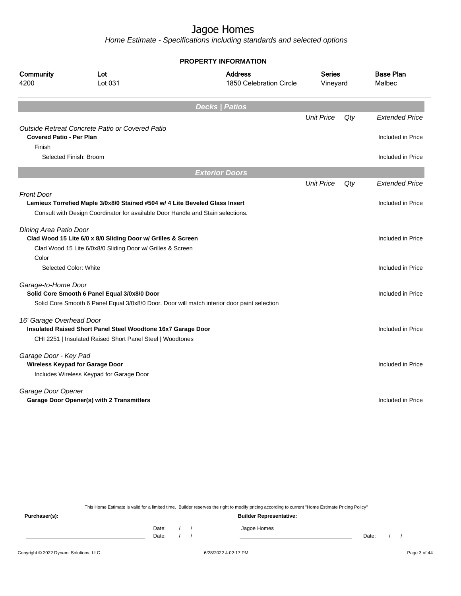Home Estimate - Specifications including standards and selected options

|                                 |                                                                                                                                                                | <b>PROPERTY INFORMATION</b>                                                                 |                           |     |                            |
|---------------------------------|----------------------------------------------------------------------------------------------------------------------------------------------------------------|---------------------------------------------------------------------------------------------|---------------------------|-----|----------------------------|
| Community<br>4200               | Lot<br>Lot 031                                                                                                                                                 | <b>Address</b><br>1850 Celebration Circle                                                   | <b>Series</b><br>Vineyard |     | <b>Base Plan</b><br>Malbec |
|                                 |                                                                                                                                                                | <b>Decks   Patios</b>                                                                       |                           |     |                            |
|                                 |                                                                                                                                                                |                                                                                             | <b>Unit Price</b>         | Qty | <b>Extended Price</b>      |
| <b>Covered Patio - Per Plan</b> | Outside Retreat Concrete Patio or Covered Patio                                                                                                                |                                                                                             |                           |     | Included in Price          |
| Finish                          |                                                                                                                                                                |                                                                                             |                           |     |                            |
|                                 | Selected Finish: Broom                                                                                                                                         |                                                                                             |                           |     | Included in Price          |
|                                 |                                                                                                                                                                | <b>Exterior Doors</b>                                                                       |                           |     |                            |
|                                 |                                                                                                                                                                |                                                                                             | <b>Unit Price</b>         | Qty | <b>Extended Price</b>      |
| <b>Front Door</b>               | Lemieux Torrefied Maple 3/0x8/0 Stained #504 w/ 4 Lite Beveled Glass Insert<br>Consult with Design Coordinator for available Door Handle and Stain selections. |                                                                                             |                           |     | Included in Price          |
| Dining Area Patio Door          | Clad Wood 15 Lite 6/0 x 8/0 Sliding Door w/ Grilles & Screen<br>Clad Wood 15 Lite 6/0x8/0 Sliding Door w/ Grilles & Screen                                     |                                                                                             |                           |     | Included in Price          |
| Color<br>Selected Color: White  |                                                                                                                                                                |                                                                                             |                           |     | Included in Price          |
| Garage-to-Home Door             | Solid Core Smooth 6 Panel Equal 3/0x8/0 Door                                                                                                                   | Solid Core Smooth 6 Panel Equal 3/0x8/0 Door. Door will match interior door paint selection |                           |     | Included in Price          |
| 16' Garage Overhead Door        | Insulated Raised Short Panel Steel Woodtone 16x7 Garage Door<br>CHI 2251   Insulated Raised Short Panel Steel   Woodtones                                      |                                                                                             |                           |     | Included in Price          |
| Garage Door - Key Pad           | <b>Wireless Keypad for Garage Door</b><br>Includes Wireless Keypad for Garage Door                                                                             |                                                                                             |                           |     | Included in Price          |
| Garage Door Opener              | Garage Door Opener(s) with 2 Transmitters                                                                                                                      |                                                                                             |                           |     | Included in Price          |

This Home Estimate is valid for a limited time. Builder reserves the right to modify pricing according to current "Home Estimate Pricing Policy"

**Purchaser(s): Builder Representative:** Date: / / Jagoe Homes<br>Date: / / Jagoe Homes Date: / / Date: / /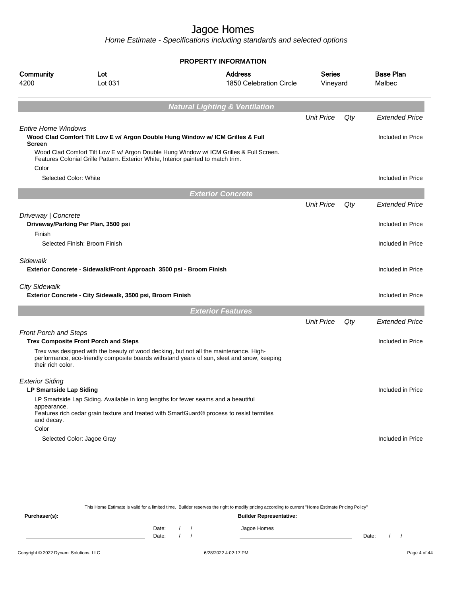Home Estimate - Specifications including standards and selected options

|                                             |                                                                                           | <b>PROPERTY INFORMATION</b>                                                                |                    |     |                            |
|---------------------------------------------|-------------------------------------------------------------------------------------------|--------------------------------------------------------------------------------------------|--------------------|-----|----------------------------|
| Community<br>4200                           | Lot<br>Lot 031                                                                            | <b>Address</b><br>1850 Celebration Circle                                                  | Series<br>Vineyard |     | <b>Base Plan</b><br>Malbec |
|                                             |                                                                                           | <b>Natural Lighting &amp; Ventilation</b>                                                  |                    |     |                            |
|                                             |                                                                                           |                                                                                            | <b>Unit Price</b>  | Qty | <b>Extended Price</b>      |
| <b>Entire Home Windows</b><br><b>Screen</b> | Wood Clad Comfort Tilt Low E w/ Argon Double Hung Window w/ ICM Grilles & Full            |                                                                                            |                    |     | Included in Price          |
| Color                                       | Features Colonial Grille Pattern. Exterior White, Interior painted to match trim.         | Wood Clad Comfort Tilt Low E w/ Argon Double Hung Window w/ ICM Grilles & Full Screen.     |                    |     |                            |
| Selected Color: White                       |                                                                                           |                                                                                            |                    |     | Included in Price          |
|                                             |                                                                                           | <b>Exterior Concrete</b>                                                                   |                    |     |                            |
|                                             |                                                                                           |                                                                                            | <b>Unit Price</b>  | Qty | <b>Extended Price</b>      |
| Driveway   Concrete<br>Finish               | Driveway/Parking Per Plan, 3500 psi                                                       |                                                                                            |                    |     | Included in Price          |
|                                             | Selected Finish: Broom Finish                                                             |                                                                                            |                    |     | Included in Price          |
| Sidewalk                                    | Exterior Concrete - Sidewalk/Front Approach 3500 psi - Broom Finish                       |                                                                                            |                    |     | Included in Price          |
| <b>City Sidewalk</b>                        | Exterior Concrete - City Sidewalk, 3500 psi, Broom Finish                                 |                                                                                            |                    |     | Included in Price          |
|                                             |                                                                                           | <b>Exterior Features</b>                                                                   |                    |     |                            |
|                                             |                                                                                           |                                                                                            | <b>Unit Price</b>  | Qty | <b>Extended Price</b>      |
| <b>Front Porch and Steps</b>                | <b>Trex Composite Front Porch and Steps</b>                                               |                                                                                            |                    |     | Included in Price          |
| their rich color.                           | Trex was designed with the beauty of wood decking, but not all the maintenance. High-     | performance, eco-friendly composite boards withstand years of sun, sleet and snow, keeping |                    |     |                            |
| <b>Exterior Siding</b>                      |                                                                                           |                                                                                            |                    |     |                            |
| <b>LP Smartside Lap Siding</b>              | LP Smartside Lap Siding. Available in long lengths for fewer seams and a beautiful        |                                                                                            |                    |     | Included in Price          |
| appearance.<br>and decay.                   | Features rich cedar grain texture and treated with SmartGuard® process to resist termites |                                                                                            |                    |     |                            |
| Color                                       |                                                                                           |                                                                                            |                    |     |                            |
|                                             | Selected Color: Jagoe Gray                                                                |                                                                                            |                    |     | Included in Price          |

This Home Estimate is valid for a limited time. Builder reserves the right to modify pricing according to current "Home Estimate Pricing Policy"

**Purchaser(s): Builder Representative:** Date: / / Jagoe Homes<br>Date: / / Jagoe Homes Date: / / Date: / /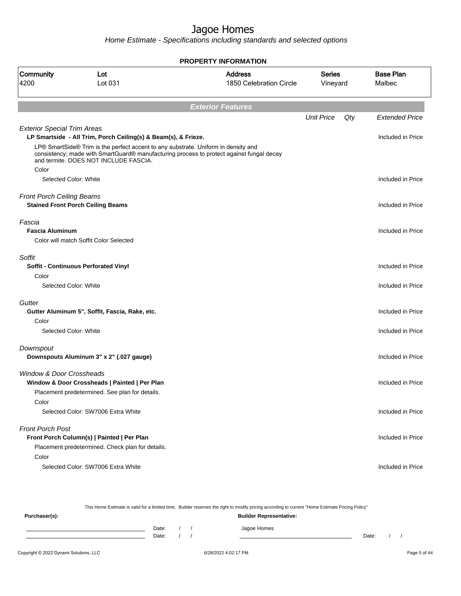Home Estimate - Specifications including standards and selected options

|                                     |                                                                                                                                                      | <b>PROPERTY INFORMATION</b>                                                              |                           |     |                            |
|-------------------------------------|------------------------------------------------------------------------------------------------------------------------------------------------------|------------------------------------------------------------------------------------------|---------------------------|-----|----------------------------|
| <b>Community</b><br>4200            | Lot<br>Lot 031                                                                                                                                       | <b>Address</b><br>1850 Celebration Circle                                                | <b>Series</b><br>Vineyard |     | <b>Base Plan</b><br>Malbec |
|                                     |                                                                                                                                                      | <b>Exterior Features</b>                                                                 |                           |     |                            |
|                                     |                                                                                                                                                      |                                                                                          | <b>Unit Price</b>         | Qty | <b>Extended Price</b>      |
| <b>Exterior Special Trim Areas</b>  | LP Smartside - All Trim, Porch Ceiling(s) & Beam(s), & Frieze.<br>LP® SmartSide® Trim is the perfect accent to any substrate. Uniform in density and |                                                                                          |                           |     | Included in Price          |
|                                     | and termite. DOES NOT INCLUDE FASCIA.                                                                                                                | consistency; made with SmartGuard® manufacturing process to protect against fungal decay |                           |     |                            |
| Color                               | Selected Color: White                                                                                                                                |                                                                                          |                           |     | Included in Price          |
|                                     |                                                                                                                                                      |                                                                                          |                           |     |                            |
| <b>Front Porch Ceiling Beams</b>    | <b>Stained Front Porch Ceiling Beams</b>                                                                                                             |                                                                                          |                           |     | Included in Price          |
| Fascia<br><b>Fascia Aluminum</b>    |                                                                                                                                                      |                                                                                          |                           |     | Included in Price          |
|                                     | Color will match Soffit Color Selected                                                                                                               |                                                                                          |                           |     |                            |
| Soffit                              |                                                                                                                                                      |                                                                                          |                           |     |                            |
|                                     | <b>Soffit - Continuous Perforated Vinyl</b>                                                                                                          |                                                                                          |                           |     | Included in Price          |
| Color                               | Selected Color: White                                                                                                                                |                                                                                          |                           |     | Included in Price          |
| Gutter                              |                                                                                                                                                      |                                                                                          |                           |     |                            |
| Color                               | Gutter Aluminum 5", Soffit, Fascia, Rake, etc.                                                                                                       |                                                                                          |                           |     | Included in Price          |
|                                     | Selected Color: White                                                                                                                                |                                                                                          |                           |     | Included in Price          |
| Downspout                           |                                                                                                                                                      |                                                                                          |                           |     |                            |
|                                     | Downspouts Aluminum 3" x 2" (.027 gauge)                                                                                                             |                                                                                          |                           |     | Included in Price          |
| <b>Window &amp; Door Crossheads</b> | Window & Door Crossheads   Painted   Per Plan<br>Placement predetermined. See plan for details.                                                      |                                                                                          |                           |     | Included in Price          |
| Color                               | Selected Color: SW7006 Extra White                                                                                                                   |                                                                                          |                           |     | Included in Price          |
| <b>Front Porch Post</b>             | Front Porch Column(s)   Painted   Per Plan<br>Placement predetermined. Check plan for details.                                                       |                                                                                          |                           |     | Included in Price          |
| Color                               | Selected Color: SW7006 Extra White                                                                                                                   |                                                                                          |                           |     | Included in Price          |

This Home Estimate is valid for a limited time. Builder reserves the right to modify pricing according to current "Home Estimate Pricing Policy" **Purchaser(s): Builder Representative:** Date: / / Jagoe Homes<br>Date: / / Jagoe Homes Date: / / Date: / /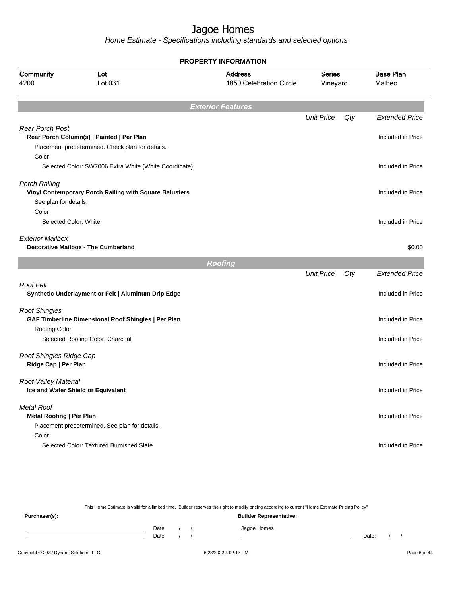Home Estimate - Specifications including standards and selected options

|                                 |                                                        | <b>PROPERTY INFORMATION</b>               |                           |     |                            |
|---------------------------------|--------------------------------------------------------|-------------------------------------------|---------------------------|-----|----------------------------|
| Community<br>4200               | Lot<br>Lot 031                                         | <b>Address</b><br>1850 Celebration Circle | <b>Series</b><br>Vineyard |     | <b>Base Plan</b><br>Malbec |
|                                 |                                                        | <b>Exterior Features</b>                  |                           |     |                            |
|                                 |                                                        |                                           | <b>Unit Price</b>         | Qty | <b>Extended Price</b>      |
| <b>Rear Porch Post</b>          |                                                        |                                           |                           |     |                            |
|                                 | Rear Porch Column(s)   Painted   Per Plan              |                                           |                           |     | Included in Price          |
|                                 | Placement predetermined. Check plan for details.       |                                           |                           |     |                            |
| Color                           |                                                        |                                           |                           |     |                            |
|                                 | Selected Color: SW7006 Extra White (White Coordinate)  |                                           |                           |     | Included in Price          |
| Porch Railing                   |                                                        |                                           |                           |     |                            |
|                                 | Vinyl Contemporary Porch Railing with Square Balusters |                                           |                           |     | Included in Price          |
| See plan for details.           |                                                        |                                           |                           |     |                            |
| Color                           |                                                        |                                           |                           |     |                            |
| Selected Color: White           |                                                        |                                           |                           |     | Included in Price          |
| <b>Exterior Mailbox</b>         |                                                        |                                           |                           |     |                            |
|                                 | <b>Decorative Mailbox - The Cumberland</b>             |                                           |                           |     | \$0.00                     |
|                                 |                                                        |                                           |                           |     |                            |
|                                 |                                                        | <b>Roofing</b>                            |                           |     |                            |
|                                 |                                                        |                                           | <b>Unit Price</b>         | Qty | <b>Extended Price</b>      |
| <b>Roof Felt</b>                |                                                        |                                           |                           |     |                            |
|                                 | Synthetic Underlayment or Felt   Aluminum Drip Edge    |                                           |                           |     | Included in Price          |
| <b>Roof Shingles</b>            |                                                        |                                           |                           |     |                            |
|                                 | GAF Timberline Dimensional Roof Shingles   Per Plan    |                                           |                           |     | Included in Price          |
| <b>Roofing Color</b>            |                                                        |                                           |                           |     |                            |
|                                 | Selected Roofing Color: Charcoal                       |                                           |                           |     | Included in Price          |
|                                 |                                                        |                                           |                           |     |                            |
| Roof Shingles Ridge Cap         |                                                        |                                           |                           |     |                            |
| Ridge Cap   Per Plan            |                                                        |                                           |                           |     | Included in Price          |
| Roof Valley Material            |                                                        |                                           |                           |     |                            |
|                                 | Ice and Water Shield or Equivalent                     |                                           |                           |     | Included in Price          |
|                                 |                                                        |                                           |                           |     |                            |
| Metal Roof                      |                                                        |                                           |                           |     |                            |
| <b>Metal Roofing   Per Plan</b> |                                                        |                                           |                           |     | Included in Price          |
|                                 | Placement predetermined. See plan for details.         |                                           |                           |     |                            |
| Color                           |                                                        |                                           |                           |     |                            |
|                                 | Selected Color: Textured Burnished Slate               |                                           |                           |     | Included in Price          |
|                                 |                                                        |                                           |                           |     |                            |

This Home Estimate is valid for a limited time. Builder reserves the right to modify pricing according to current "Home Estimate Pricing Policy" **Purchaser(s): Builder Representative:** Date: / / Jagoe Homes<br>Date: / / Jagoe Homes Date: / / Date: / /

Copyright © 2022 Dynami Solutions, LLC <br>
G/28/2022 4:02:17 PM Page 6 of 44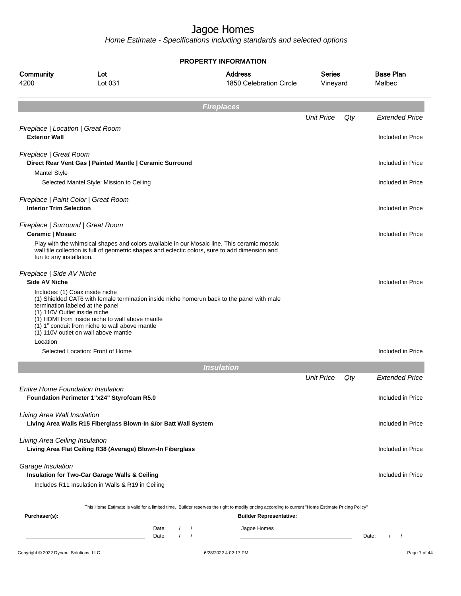Home Estimate - Specifications including standards and selected options

**Fireplaces** Unit Price Qty Extended Price Fireplace | Location | Great Room **Exterior Wall** Included in Price Fireplace | Great Room **Direct Rear Vent Gas | Painted Mantle | Ceramic Surround Included in Price** Included in Price Mantel Style Selected Mantel Style: Mission to Ceiling Included in Price in Price in Price in Price in Price in Price in Price Fireplace | Paint Color | Great Room **Interior Trim Selection Included in Price** Fireplace | Surround | Great Room **Ceramic | Mosaic** Included in Price **Ceramic | Mosaic** Included in Price **Included** in Price **Included** in Price **Included** in Price **Included** in Price **Included** in Price **Included** in Price **Included** in Price **Include** Play with the whimsical shapes and colors available in our Mosaic line. This ceramic mosaic wall tile collection is full of geometric shapes and eclectic colors, sure to add dimension and fun to any installation. Fireplace | Side AV Niche **Side AV Niche** Included in Price Includes: (1) Coax inside niche (1) Shielded CAT6 with female termination inside niche homerun back to the panel with male termination labeled at the panel (1) 110V Outlet inside niche  $(1)$  HDMI from inside niche to wall above mantle  $(1)$  1" conduit from niche to wall above mantle (1) 110V outlet on wall above mantle Location Selected Location: Front of Home Included in Price **Insulation** Unit Price Qty Extended Price Entire Home Foundation Insulation **Foundation Perimeter 1"x24" Styrofoam R5.0 Included in Price Included in Price** Living Area Wall Insulation **Living Area Walls R15 Fiberglass Blown-In &/or Batt Wall System** Included in Price Included in Price Living Area Ceiling Insulation **Living Area Flat Ceiling R38 (Average) Blown-In Fiberglass Included in Price** Included in Price Garage Insulation **Insulation for Two-Car Garage Walls & Ceiling Included in Price Included in Price Included in Price** Includes R11 Insulation in Walls & R19 in Ceiling This Home Estimate is valid for a limited time. Builder reserves the right to modify pricing according to current "Home Estimate Pricing Policy" **Purchaser(s): Builder Representative:** Date: / / / Jagoe Homes Date: / / Date: / / **PROPERTY INFORMATION** Vineyard Series 1850 Celebration Circle Address 4200 Lot 031 Community Lot Malbec Base Plan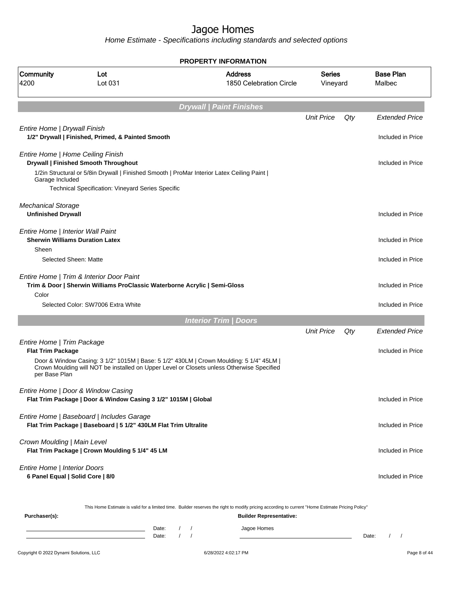Home Estimate - Specifications including standards and selected options

|                                                                                                                                |                                                                                                               | <b>PROPERTY INFORMATION</b>                                                                                                                                                          |                           |     |                            |
|--------------------------------------------------------------------------------------------------------------------------------|---------------------------------------------------------------------------------------------------------------|--------------------------------------------------------------------------------------------------------------------------------------------------------------------------------------|---------------------------|-----|----------------------------|
| <b>Community</b><br>4200                                                                                                       | Lot<br>Lot 031                                                                                                | <b>Address</b><br>1850 Celebration Circle                                                                                                                                            | <b>Series</b><br>Vineyard |     | <b>Base Plan</b><br>Malbec |
|                                                                                                                                |                                                                                                               | <b>Drywall   Paint Finishes</b>                                                                                                                                                      |                           |     |                            |
|                                                                                                                                |                                                                                                               |                                                                                                                                                                                      | <b>Unit Price</b>         | Qty | <b>Extended Price</b>      |
| Entire Home   Drywall Finish                                                                                                   | 1/2" Drywall   Finished, Primed, & Painted Smooth                                                             |                                                                                                                                                                                      |                           |     | Included in Price          |
|                                                                                                                                | Entire Home   Home Ceiling Finish<br><b>Drywall   Finished Smooth Throughout</b>                              |                                                                                                                                                                                      |                           |     | Included in Price          |
| Garage Included                                                                                                                | 1/2in Structural or 5/8in Drywall   Finished Smooth   ProMar Interior Latex Ceiling Paint                     |                                                                                                                                                                                      |                           |     |                            |
|                                                                                                                                | Technical Specification: Vineyard Series Specific                                                             |                                                                                                                                                                                      |                           |     |                            |
| <b>Mechanical Storage</b><br><b>Unfinished Drywall</b>                                                                         |                                                                                                               |                                                                                                                                                                                      |                           |     | Included in Price          |
| Entire Home   Interior Wall Paint<br>Sheen                                                                                     | <b>Sherwin Williams Duration Latex</b>                                                                        |                                                                                                                                                                                      |                           |     | Included in Price          |
|                                                                                                                                | Selected Sheen: Matte                                                                                         |                                                                                                                                                                                      |                           |     | Included in Price          |
| Entire Home   Trim & Interior Door Paint<br>Trim & Door   Sherwin Williams ProClassic Waterborne Acrylic   Semi-Gloss<br>Color |                                                                                                               |                                                                                                                                                                                      |                           |     | Included in Price          |
|                                                                                                                                | Selected Color: SW7006 Extra White                                                                            |                                                                                                                                                                                      |                           |     | Included in Price          |
|                                                                                                                                |                                                                                                               | <b>Interior Trim / Doors</b>                                                                                                                                                         |                           |     |                            |
|                                                                                                                                |                                                                                                               |                                                                                                                                                                                      | <b>Unit Price</b>         | Qty | <b>Extended Price</b>      |
| Entire Home   Trim Package<br><b>Flat Trim Package</b>                                                                         |                                                                                                               | Door & Window Casing: 3 1/2" 1015M   Base: 5 1/2" 430LM   Crown Moulding: 5 1/4" 45LM  <br>Crown Moulding will NOT be installed on Upper Level or Closets unless Otherwise Specified |                           |     | Included in Price          |
| per Base Plan                                                                                                                  |                                                                                                               |                                                                                                                                                                                      |                           |     |                            |
|                                                                                                                                | Entire Home   Door & Window Casing<br>Flat Trim Package   Door & Window Casing 3 1/2" 1015M   Global          |                                                                                                                                                                                      |                           |     | Included in Price          |
|                                                                                                                                | Entire Home   Baseboard   Includes Garage<br>Flat Trim Package   Baseboard   5 1/2" 430LM Flat Trim Ultralite |                                                                                                                                                                                      |                           |     | Included in Price          |
| Crown Moulding   Main Level                                                                                                    | Flat Trim Package   Crown Moulding 5 1/4" 45 LM                                                               |                                                                                                                                                                                      |                           |     | Included in Price          |
| Entire Home   Interior Doors<br>6 Panel Equal   Solid Core   8/0                                                               |                                                                                                               |                                                                                                                                                                                      |                           |     | Included in Price          |
|                                                                                                                                |                                                                                                               | This Home Estimate is valid for a limited time. Builder reserves the right to modify pricing according to current "Home Estimate Pricing Policy"                                     |                           |     |                            |
| Purchaser(s):                                                                                                                  |                                                                                                               | <b>Builder Representative:</b>                                                                                                                                                       |                           |     |                            |

Date: / / Jagoe Homes<br>Date: / / Jagoe Homes Date: / / **Date: / / 2006** Date: / / / Date: / / /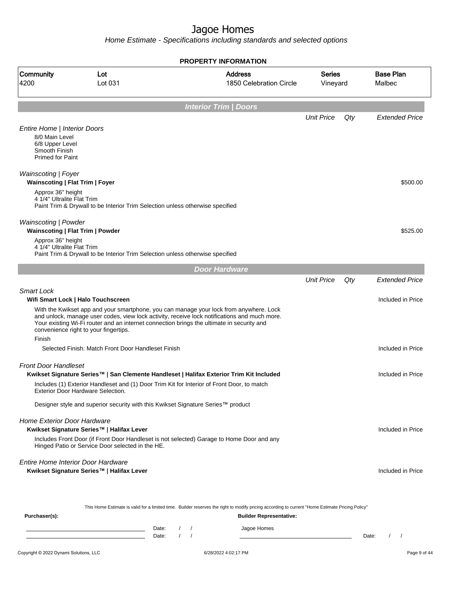Home Estimate - Specifications including standards and selected options

**Interior Trim | Doors** Unit Price Qty Extended Price Entire Home | Interior Doors 8/0 Main Level 6/8 Upper Level Smooth Finish Primed for Paint Wainscoting | Foyer **Wainscoting | Flat Trim | Foyer** \$500.00 Approx 36" height 4 1/4" Ultralite Flat Trim Paint Trim & Drywall to be Interior Trim Selection unless otherwise specified Wainscoting | Powder **Mainscoting | Flat Trim | Powder \$525.00 \$125.00 \$125.00 \$125.00 \$125.00 \$125.00 \$125.00 \$125.00 \$125.00 \$125.00 \$125.00 \$125.00 \$125.00 \$125.00 \$125.00 \$125.00 \$125.00 \$125.00 \$125.00 \$125.00 \$125.00 \$125.00 \$125.00 \$125** Approx 36" height 4 1/4" Ultralite Flat Trim Paint Trim & Drywall to be Interior Trim Selection unless otherwise specified **Door Hardware** Unit Price Qty Extended Price Smart Lock **Wifi Smart Lock | Halo Touchscreen Included in Price** With the Kwikset app and your smartphone, you can manage your lock from anywhere. Lock and unlock, manage user codes, view lock activity, receive lock notifications and much more. Your existing Wi-Fi router and an internet connection brings the ultimate in security and convenience right to your fingertips. Finish Selected Finish: Match Front Door Handleset Finish Included in Price in Price in Price in Price in Price in Price Front Door Handleset **Kwikset Signature Series™ | San Clemente Handleset | Halifax Exterior Trim Kit Included** Included in Price Includes (1) Exterior Handleset and (1) Door Trim Kit for Interior of Front Door, to match Exterior Door Hardware Selection. Designer style and superior security with this Kwikset Signature Series™ product Home Exterior Door Hardware **Kwikset Signature Series™ | Halifax Lever** Included in Price Includes Front Door (if Front Door Handleset is not selected) Garage to Home Door and any Hinged Patio or Service Door selected in the HE. Entire Home Interior Door Hardware **Kwikset Signature Series™ | Halifax Lever** Included in Price **PROPERTY INFORMATION** Vineyard Series 1850 Celebration Circle Address 4200 Lot 031 Community Lot Malbec Base Plan

This Home Estimate is valid for a limited time. Builder reserves the right to modify pricing according to current "Home Estimate Pricing Policy"

| Purchaser(s): |                |  | <b>Builder Representative:</b> |       |  |
|---------------|----------------|--|--------------------------------|-------|--|
|               | Date:<br>Date: |  | Jagoe Homes                    | Date: |  |
|               |                |  |                                |       |  |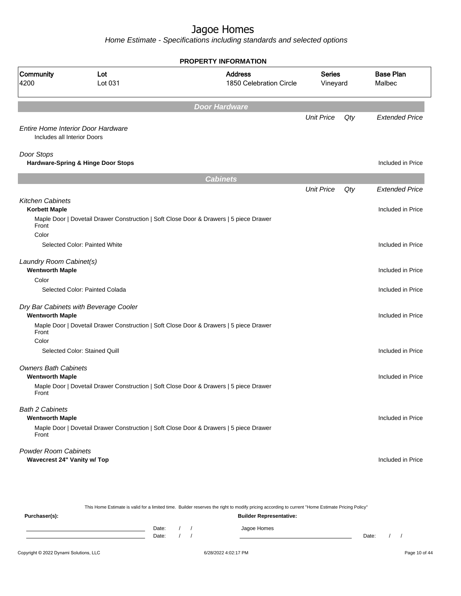Home Estimate - Specifications including standards and selected options

|                                                            |                                                                                        | <b>PROPERTY INFORMATION</b>               |                    |     |                            |
|------------------------------------------------------------|----------------------------------------------------------------------------------------|-------------------------------------------|--------------------|-----|----------------------------|
| Community<br>4200                                          | Lot<br>Lot 031                                                                         | <b>Address</b><br>1850 Celebration Circle | Series<br>Vineyard |     | <b>Base Plan</b><br>Malbec |
|                                                            |                                                                                        | <b>Door Hardware</b>                      |                    |     |                            |
| Includes all Interior Doors                                | Entire Home Interior Door Hardware                                                     |                                           | <b>Unit Price</b>  | Qty | <b>Extended Price</b>      |
| Door Stops                                                 | Hardware-Spring & Hinge Door Stops                                                     |                                           |                    |     | Included in Price          |
|                                                            |                                                                                        | <b>Cabinets</b>                           |                    |     |                            |
|                                                            |                                                                                        |                                           | <b>Unit Price</b>  | Qty | <b>Extended Price</b>      |
| <b>Kitchen Cabinets</b><br><b>Korbett Maple</b>            |                                                                                        |                                           |                    |     | Included in Price          |
| Front                                                      | Maple Door   Dovetail Drawer Construction   Soft Close Door & Drawers   5 piece Drawer |                                           |                    |     |                            |
| Color                                                      | Selected Color: Painted White                                                          |                                           |                    |     | Included in Price          |
| Laundry Room Cabinet(s)<br><b>Wentworth Maple</b>          |                                                                                        |                                           |                    |     | Included in Price          |
| Color                                                      |                                                                                        |                                           |                    |     |                            |
|                                                            | Selected Color: Painted Colada                                                         |                                           |                    |     | Included in Price          |
| <b>Wentworth Maple</b>                                     | Dry Bar Cabinets with Beverage Cooler                                                  |                                           |                    |     | Included in Price          |
| Front                                                      | Maple Door   Dovetail Drawer Construction   Soft Close Door & Drawers   5 piece Drawer |                                           |                    |     |                            |
| Color                                                      | Selected Color: Stained Quill                                                          |                                           |                    |     | Included in Price          |
| <b>Owners Bath Cabinets</b><br><b>Wentworth Maple</b>      |                                                                                        |                                           |                    |     | Included in Price          |
| Front                                                      | Maple Door   Dovetail Drawer Construction   Soft Close Door & Drawers   5 piece Drawer |                                           |                    |     |                            |
| <b>Bath 2 Cabinets</b><br><b>Wentworth Maple</b>           |                                                                                        |                                           |                    |     | Included in Price          |
| Front                                                      | Maple Door   Dovetail Drawer Construction   Soft Close Door & Drawers   5 piece Drawer |                                           |                    |     |                            |
| <b>Powder Room Cabinets</b><br>Wavecrest 24" Vanity w/ Top |                                                                                        |                                           |                    |     | Included in Price          |

This Home Estimate is valid for a limited time. Builder reserves the right to modify pricing according to current "Home Estimate Pricing Policy" **Purchaser(s): Builder Representative:** Date: / / Jagoe Homes<br>Date: / / Jagoe Homes Date: / / Date: / /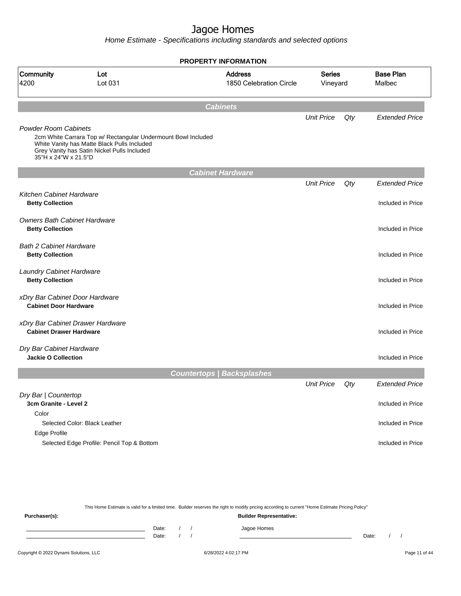Home Estimate - Specifications including standards and selected options

|                                                     |                                                                                                                                                             | <b>PROPERTY INFORMATION</b>               |                           |     |                            |
|-----------------------------------------------------|-------------------------------------------------------------------------------------------------------------------------------------------------------------|-------------------------------------------|---------------------------|-----|----------------------------|
| Community<br>4200                                   | Lot<br>Lot 031                                                                                                                                              | <b>Address</b><br>1850 Celebration Circle | <b>Series</b><br>Vineyard |     | <b>Base Plan</b><br>Malbec |
|                                                     |                                                                                                                                                             | <b>Cabinets</b>                           |                           |     |                            |
|                                                     |                                                                                                                                                             |                                           | <b>Unit Price</b>         | Qty | <b>Extended Price</b>      |
| <b>Powder Room Cabinets</b><br>35"H x 24"W x 21.5"D | 2cm White Carrara Top w/ Rectangular Undermount Bowl Included<br>White Vanity has Matte Black Pulls Included<br>Grey Vanity has Satin Nickel Pulls Included |                                           |                           |     |                            |
|                                                     |                                                                                                                                                             | <b>Cabinet Hardware</b>                   |                           |     |                            |
|                                                     |                                                                                                                                                             |                                           | <b>Unit Price</b>         | Qty | <b>Extended Price</b>      |
| <b>Kitchen Cabinet Hardware</b>                     |                                                                                                                                                             |                                           |                           |     |                            |
| <b>Betty Collection</b>                             |                                                                                                                                                             |                                           |                           |     | Included in Price          |
| <b>Owners Bath Cabinet Hardware</b>                 |                                                                                                                                                             |                                           |                           |     |                            |
| <b>Betty Collection</b>                             |                                                                                                                                                             |                                           |                           |     | Included in Price          |
|                                                     |                                                                                                                                                             |                                           |                           |     |                            |
| <b>Bath 2 Cabinet Hardware</b>                      |                                                                                                                                                             |                                           |                           |     |                            |
| <b>Betty Collection</b>                             |                                                                                                                                                             |                                           |                           |     | Included in Price          |
| <b>Laundry Cabinet Hardware</b>                     |                                                                                                                                                             |                                           |                           |     |                            |
| <b>Betty Collection</b>                             |                                                                                                                                                             |                                           |                           |     | Included in Price          |
| xDry Bar Cabinet Door Hardware                      |                                                                                                                                                             |                                           |                           |     |                            |
| <b>Cabinet Door Hardware</b>                        |                                                                                                                                                             |                                           |                           |     | Included in Price          |
|                                                     |                                                                                                                                                             |                                           |                           |     |                            |
|                                                     | xDry Bar Cabinet Drawer Hardware                                                                                                                            |                                           |                           |     |                            |
| <b>Cabinet Drawer Hardware</b>                      |                                                                                                                                                             |                                           |                           |     | Included in Price          |
| Dry Bar Cabinet Hardware                            |                                                                                                                                                             |                                           |                           |     |                            |
| <b>Jackie O Collection</b>                          |                                                                                                                                                             |                                           |                           |     | Included in Price          |
|                                                     |                                                                                                                                                             | <b>Countertops   Backsplashes</b>         |                           |     |                            |
|                                                     |                                                                                                                                                             |                                           | <b>Unit Price</b>         | Qty | <b>Extended Price</b>      |
| Dry Bar   Countertop                                |                                                                                                                                                             |                                           |                           |     |                            |
| 3cm Granite - Level 2                               |                                                                                                                                                             |                                           |                           |     | Included in Price          |
| Color                                               |                                                                                                                                                             |                                           |                           |     |                            |
|                                                     | Selected Color: Black Leather                                                                                                                               |                                           |                           |     | Included in Price          |
| Edge Profile                                        |                                                                                                                                                             |                                           |                           |     |                            |
|                                                     | Selected Edge Profile: Pencil Top & Bottom                                                                                                                  |                                           |                           |     | Included in Price          |
|                                                     |                                                                                                                                                             |                                           |                           |     |                            |

This Home Estimate is valid for a limited time. Builder reserves the right to modify pricing according to current "Home Estimate Pricing Policy" **Purchaser(s): Builder Representative:** Date: / / Jagoe Homes<br>Date: / / Jagoe Homes Date: / / Date: / /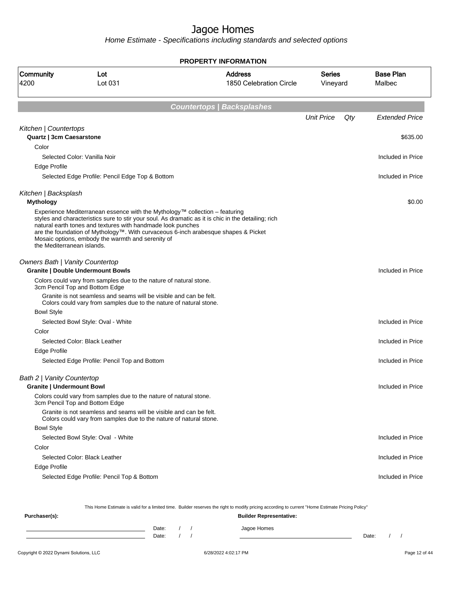Home Estimate - Specifications including standards and selected options

**PROPERTY INFORMATION**

| Community<br>4200                                              | Lot<br>Lot 031                                                                                                                                                                                  | <b>Address</b><br>1850 Celebration Circle                                                                                                                                                 | <b>Series</b><br>Vineyard |     | <b>Base Plan</b><br>Malbec |
|----------------------------------------------------------------|-------------------------------------------------------------------------------------------------------------------------------------------------------------------------------------------------|-------------------------------------------------------------------------------------------------------------------------------------------------------------------------------------------|---------------------------|-----|----------------------------|
|                                                                |                                                                                                                                                                                                 | <b>Countertops   Backsplashes</b>                                                                                                                                                         |                           |     |                            |
|                                                                |                                                                                                                                                                                                 |                                                                                                                                                                                           | <b>Unit Price</b>         | Qty | <b>Extended Price</b>      |
| Kitchen   Countertops<br>Quartz   3cm Caesarstone              |                                                                                                                                                                                                 |                                                                                                                                                                                           |                           |     | \$635.00                   |
| Color                                                          |                                                                                                                                                                                                 |                                                                                                                                                                                           |                           |     |                            |
|                                                                | Selected Color: Vanilla Noir                                                                                                                                                                    |                                                                                                                                                                                           |                           |     | Included in Price          |
| Edge Profile                                                   |                                                                                                                                                                                                 |                                                                                                                                                                                           |                           |     |                            |
|                                                                | Selected Edge Profile: Pencil Edge Top & Bottom                                                                                                                                                 |                                                                                                                                                                                           |                           |     | Included in Price          |
| Kitchen   Backsplash                                           |                                                                                                                                                                                                 |                                                                                                                                                                                           |                           |     |                            |
| <b>Mythology</b>                                               |                                                                                                                                                                                                 |                                                                                                                                                                                           |                           |     | \$0.00                     |
| the Mediterranean islands.                                     | Experience Mediterranean essence with the Mythology™ collection – featuring<br>natural earth tones and textures with handmade look punches<br>Mosaic options, embody the warmth and serenity of | styles and characteristics sure to stir your soul. As dramatic as it is chic in the detailing; rich<br>are the foundation of Mythology™. With curvaceous 6-inch arabesque shapes & Picket |                           |     |                            |
| <b>Owners Bath   Vanity Countertop</b>                         | <b>Granite   Double Undermount Bowls</b>                                                                                                                                                        |                                                                                                                                                                                           |                           |     | Included in Price          |
|                                                                | Colors could vary from samples due to the nature of natural stone.<br>3cm Pencil Top and Bottom Edge                                                                                            |                                                                                                                                                                                           |                           |     |                            |
|                                                                | Granite is not seamless and seams will be visible and can be felt.<br>Colors could vary from samples due to the nature of natural stone.                                                        |                                                                                                                                                                                           |                           |     |                            |
| <b>Bowl Style</b>                                              |                                                                                                                                                                                                 |                                                                                                                                                                                           |                           |     |                            |
|                                                                | Selected Bowl Style: Oval - White                                                                                                                                                               |                                                                                                                                                                                           |                           |     | Included in Price          |
| Color                                                          |                                                                                                                                                                                                 |                                                                                                                                                                                           |                           |     |                            |
|                                                                | Selected Color: Black Leather                                                                                                                                                                   |                                                                                                                                                                                           |                           |     | Included in Price          |
| Edge Profile                                                   |                                                                                                                                                                                                 |                                                                                                                                                                                           |                           |     |                            |
|                                                                | Selected Edge Profile: Pencil Top and Bottom                                                                                                                                                    |                                                                                                                                                                                           |                           |     | Included in Price          |
| Bath 2   Vanity Countertop<br><b>Granite   Undermount Bowl</b> |                                                                                                                                                                                                 |                                                                                                                                                                                           |                           |     | Included in Price          |
|                                                                | Colors could vary from samples due to the nature of natural stone.<br>3cm Pencil Top and Bottom Edge                                                                                            |                                                                                                                                                                                           |                           |     |                            |
|                                                                | Granite is not seamless and seams will be visible and can be felt.<br>Colors could vary from samples due to the nature of natural stone.                                                        |                                                                                                                                                                                           |                           |     |                            |
| <b>Bowl Style</b>                                              |                                                                                                                                                                                                 |                                                                                                                                                                                           |                           |     |                            |
|                                                                | Selected Bowl Style: Oval - White                                                                                                                                                               |                                                                                                                                                                                           |                           |     | Included in Price          |
| Color                                                          |                                                                                                                                                                                                 |                                                                                                                                                                                           |                           |     |                            |
|                                                                | Selected Color: Black Leather                                                                                                                                                                   |                                                                                                                                                                                           |                           |     | Included in Price          |
| Edge Profile                                                   |                                                                                                                                                                                                 |                                                                                                                                                                                           |                           |     |                            |
|                                                                | Selected Edge Profile: Pencil Top & Bottom                                                                                                                                                      |                                                                                                                                                                                           |                           |     | Included in Price          |
|                                                                |                                                                                                                                                                                                 |                                                                                                                                                                                           |                           |     |                            |

This Home Estimate is valid for a limited time. Builder reserves the right to modify pricing according to current "Home Estimate Pricing Policy"

| Purchaser(s): |       |  | <b>Builder Representative:</b> |       |  |  |
|---------------|-------|--|--------------------------------|-------|--|--|
|               | Date: |  | Jagoe Homes                    |       |  |  |
|               | Date: |  |                                | Date: |  |  |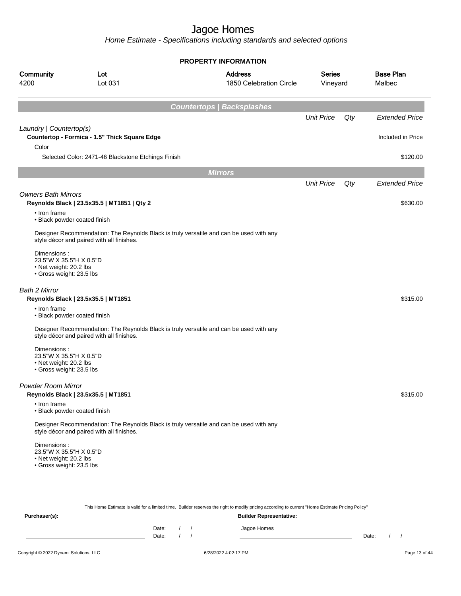Home Estimate - Specifications including standards and selected options

|                                                                                              |                                                    | <b>PROPERTY INFORMATION</b>                                                             |                           |     |                            |
|----------------------------------------------------------------------------------------------|----------------------------------------------------|-----------------------------------------------------------------------------------------|---------------------------|-----|----------------------------|
| Community<br>4200                                                                            | Lot<br>Lot 031                                     | <b>Address</b><br>1850 Celebration Circle                                               | <b>Series</b><br>Vineyard |     | <b>Base Plan</b><br>Malbec |
|                                                                                              |                                                    | <b>Countertops   Backsplashes</b>                                                       |                           |     |                            |
|                                                                                              |                                                    |                                                                                         | <b>Unit Price</b>         | Qty | <b>Extended Price</b>      |
| Laundry   Countertop(s)<br>Color                                                             | Countertop - Formica - 1.5" Thick Square Edge      |                                                                                         |                           |     | Included in Price          |
|                                                                                              | Selected Color: 2471-46 Blackstone Etchings Finish |                                                                                         |                           |     | \$120.00                   |
|                                                                                              |                                                    | <b>Mirrors</b>                                                                          |                           |     |                            |
|                                                                                              |                                                    |                                                                                         | <b>Unit Price</b>         | Qty | <b>Extended Price</b>      |
| <b>Owners Bath Mirrors</b>                                                                   | Reynolds Black   23.5x35.5   MT1851   Qty 2        |                                                                                         |                           |     | \$630.00                   |
| • Iron frame<br>• Black powder coated finish                                                 |                                                    |                                                                                         |                           |     |                            |
|                                                                                              | style décor and paired with all finishes.          | Designer Recommendation: The Reynolds Black is truly versatile and can be used with any |                           |     |                            |
| Dimensions:<br>23.5"W X 35.5"H X 0.5"D<br>• Net weight: 20.2 lbs<br>• Gross weight: 23.5 lbs |                                                    |                                                                                         |                           |     |                            |
| Bath 2 Mirror                                                                                | Reynolds Black   23.5x35.5   MT1851                |                                                                                         |                           |     | \$315.00                   |
| • Iron frame<br>• Black powder coated finish                                                 |                                                    |                                                                                         |                           |     |                            |
|                                                                                              | style décor and paired with all finishes.          | Designer Recommendation: The Reynolds Black is truly versatile and can be used with any |                           |     |                            |
| Dimensions:<br>23.5"W X 35.5"H X 0.5"D<br>• Net weight: 20.2 lbs<br>• Gross weight: 23.5 lbs |                                                    |                                                                                         |                           |     |                            |
| <b>Powder Room Mirror</b>                                                                    | Reynolds Black   23.5x35.5   MT1851                |                                                                                         |                           |     | \$315.00                   |
| • Iron frame<br>• Black powder coated finish                                                 |                                                    |                                                                                         |                           |     |                            |
|                                                                                              | style décor and paired with all finishes.          | Designer Recommendation: The Reynolds Black is truly versatile and can be used with any |                           |     |                            |
| Dimensions:<br>23.5"W X 35.5"H X 0.5"D<br>• Net weight: 20.2 lbs<br>· Gross weight: 23.5 lbs |                                                    |                                                                                         |                           |     |                            |
|                                                                                              |                                                    |                                                                                         |                           |     |                            |

This Home Estimate is valid for a limited time. Builder reserves the right to modify pricing according to current "Home Estimate Pricing Policy"

**Purchaser(s): Builder Representative:** Date: / / Jagoe Homes<br>Date: / / Jagoe Homes Date: / / Date: / /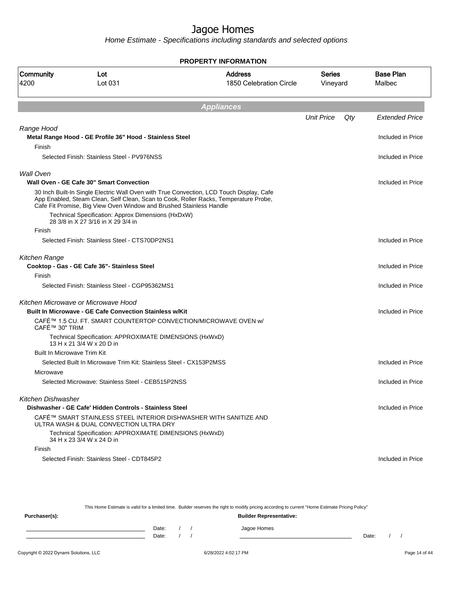Home Estimate - Specifications including standards and selected options

**PROPERTY INFORMATION**

| Community<br>4200                  | Lot<br>Lot 031                                                                           | <b>Address</b><br>1850 Celebration Circle                                                                                                                                        | <b>Series</b><br>Vineyard |     | <b>Base Plan</b><br>Malbec |
|------------------------------------|------------------------------------------------------------------------------------------|----------------------------------------------------------------------------------------------------------------------------------------------------------------------------------|---------------------------|-----|----------------------------|
|                                    |                                                                                          | <b>Appliances</b>                                                                                                                                                                |                           |     |                            |
|                                    |                                                                                          |                                                                                                                                                                                  | <b>Unit Price</b>         | Qty | <b>Extended Price</b>      |
| Range Hood                         | Metal Range Hood - GE Profile 36" Hood - Stainless Steel                                 |                                                                                                                                                                                  |                           |     | Included in Price          |
| Finish                             |                                                                                          |                                                                                                                                                                                  |                           |     |                            |
|                                    | Selected Finish: Stainless Steel - PV976NSS                                              |                                                                                                                                                                                  |                           |     | Included in Price          |
| Wall Oven                          | Wall Oven - GE Cafe 30" Smart Convection                                                 |                                                                                                                                                                                  |                           |     | Included in Price          |
|                                    | Cafe Fit Promise, Big View Oven Window and Brushed Stainless Handle                      | 30 Inch Built-In Single Electric Wall Oven with True Convection, LCD Touch Display, Cafe<br>App Enabled, Steam Clean, Self Clean, Scan to Cook, Roller Racks, Temperature Probe, |                           |     |                            |
|                                    | Technical Specification: Approx Dimensions (HxDxW)<br>28 3/8 in X 27 3/16 in X 29 3/4 in |                                                                                                                                                                                  |                           |     |                            |
| Finish                             |                                                                                          |                                                                                                                                                                                  |                           |     |                            |
|                                    | Selected Finish: Stainless Steel - CTS70DP2NS1                                           |                                                                                                                                                                                  |                           |     | Included in Price          |
| Kitchen Range                      |                                                                                          |                                                                                                                                                                                  |                           |     |                            |
|                                    | Cooktop - Gas - GE Cafe 36"- Stainless Steel                                             |                                                                                                                                                                                  |                           |     | Included in Price          |
| Finish                             |                                                                                          |                                                                                                                                                                                  |                           |     |                            |
|                                    | Selected Finish: Stainless Steel - CGP95362MS1                                           |                                                                                                                                                                                  |                           |     | Included in Price          |
|                                    | Kitchen Microwave or Microwave Hood                                                      |                                                                                                                                                                                  |                           |     |                            |
|                                    | <b>Built In Microwave - GE Cafe Convection Stainless w/Kit</b>                           |                                                                                                                                                                                  |                           |     | Included in Price          |
| CAFÉ™ 30" TRIM                     |                                                                                          | CAFÉ™ 1.5 CU. FT. SMART COUNTERTOP CONVECTION/MICROWAVE OVEN w/                                                                                                                  |                           |     |                            |
|                                    | Technical Specification: APPROXIMATE DIMENSIONS (HxWxD)<br>13 H x 21 3/4 W x 20 D in     |                                                                                                                                                                                  |                           |     |                            |
| <b>Built In Microwave Trim Kit</b> |                                                                                          |                                                                                                                                                                                  |                           |     |                            |
|                                    | Selected Built In Microwave Trim Kit: Stainless Steel - CX153P2MSS                       |                                                                                                                                                                                  |                           |     | Included in Price          |
| Microwave                          |                                                                                          |                                                                                                                                                                                  |                           |     |                            |
|                                    | Selected Microwave: Stainless Steel - CEB515P2NSS                                        |                                                                                                                                                                                  |                           |     | Included in Price          |
| Kitchen Dishwasher                 |                                                                                          |                                                                                                                                                                                  |                           |     |                            |
|                                    | Dishwasher - GE Cafe' Hidden Controls - Stainless Steel                                  |                                                                                                                                                                                  |                           |     | Included in Price          |
|                                    | ULTRA WASH & DUAL CONVECTION ULTRA DRY                                                   | CAFÉ™ SMART STAINLESS STEEL INTERIOR DISHWASHER WITH SANITIZE AND                                                                                                                |                           |     |                            |
|                                    | Technical Specification: APPROXIMATE DIMENSIONS (HxWxD)<br>34 H x 23 3/4 W x 24 D in     |                                                                                                                                                                                  |                           |     |                            |
| Finish                             |                                                                                          |                                                                                                                                                                                  |                           |     |                            |
|                                    | Selected Finish: Stainless Steel - CDT845P2                                              |                                                                                                                                                                                  |                           |     | Included in Price          |

This Home Estimate is valid for a limited time. Builder reserves the right to modify pricing according to current "Home Estimate Pricing Policy" **Purchaser(s): Builder Representative:** Date: / / Jagoe Homes<br>Date: / / Jagoe Homes Date: / / Date: / /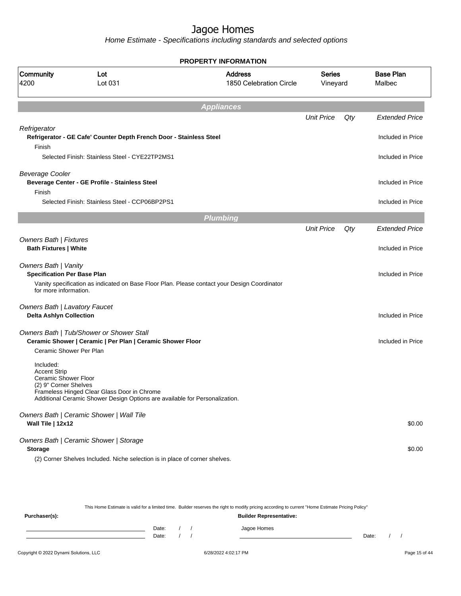Home Estimate - Specifications including standards and selected options

### **PROPERTY INFORMATION**

| <b>Community</b><br>4200                                                                 | Lot<br>Lot 031                                                                                                             | <b>Address</b><br>1850 Celebration Circle                                                    | <b>Series</b><br>Vineyard |     | <b>Base Plan</b><br>Malbec |
|------------------------------------------------------------------------------------------|----------------------------------------------------------------------------------------------------------------------------|----------------------------------------------------------------------------------------------|---------------------------|-----|----------------------------|
|                                                                                          |                                                                                                                            | <b>Appliances</b>                                                                            |                           |     |                            |
|                                                                                          |                                                                                                                            |                                                                                              | <b>Unit Price</b>         | Qty | <b>Extended Price</b>      |
| Refrigerator                                                                             | Refrigerator - GE Cafe' Counter Depth French Door - Stainless Steel                                                        |                                                                                              |                           |     | Included in Price          |
| Finish                                                                                   | Selected Finish: Stainless Steel - CYE22TP2MS1                                                                             |                                                                                              |                           |     | Included in Price          |
| <b>Beverage Cooler</b><br>Finish                                                         | Beverage Center - GE Profile - Stainless Steel                                                                             |                                                                                              |                           |     | Included in Price          |
|                                                                                          | Selected Finish: Stainless Steel - CCP06BP2PS1                                                                             |                                                                                              |                           |     | Included in Price          |
|                                                                                          |                                                                                                                            | <b>Plumbing</b>                                                                              |                           |     |                            |
|                                                                                          |                                                                                                                            |                                                                                              | <b>Unit Price</b>         | Qty | <b>Extended Price</b>      |
| Owners Bath   Fixtures<br><b>Bath Fixtures   White</b>                                   |                                                                                                                            |                                                                                              |                           |     | Included in Price          |
| <b>Owners Bath   Vanity</b><br><b>Specification Per Base Plan</b>                        |                                                                                                                            |                                                                                              |                           |     | Included in Price          |
| for more information.                                                                    |                                                                                                                            | Vanity specification as indicated on Base Floor Plan. Please contact your Design Coordinator |                           |     |                            |
| <b>Owners Bath   Lavatory Faucet</b><br><b>Delta Ashlyn Collection</b>                   |                                                                                                                            |                                                                                              |                           |     | Included in Price          |
| Ceramic Shower Per Plan                                                                  | Owners Bath   Tub/Shower or Shower Stall<br>Ceramic Shower   Ceramic   Per Plan   Ceramic Shower Floor                     |                                                                                              |                           |     | Included in Price          |
| Included:<br><b>Accent Strip</b><br><b>Ceramic Shower Floor</b><br>(2) 9" Corner Shelves | Frameless Hinged Clear Glass Door in Chrome<br>Additional Ceramic Shower Design Options are available for Personalization. |                                                                                              |                           |     |                            |
| Wall Tile   12x12                                                                        | Owners Bath   Ceramic Shower   Wall Tile                                                                                   |                                                                                              |                           |     | \$0.00                     |
| <b>Storage</b>                                                                           | Owners Bath   Ceramic Shower   Storage                                                                                     |                                                                                              |                           |     | \$0.00                     |
|                                                                                          | (2) Corner Shelves Included. Niche selection is in place of corner shelves.                                                |                                                                                              |                           |     |                            |

This Home Estimate is valid for a limited time. Builder reserves the right to modify pricing according to current "Home Estimate Pricing Policy" **Purchaser(s): Builder Representative:** Date: / / Jagoe Homes<br>Date: / / Jagoe Homes Date: / / Date: / /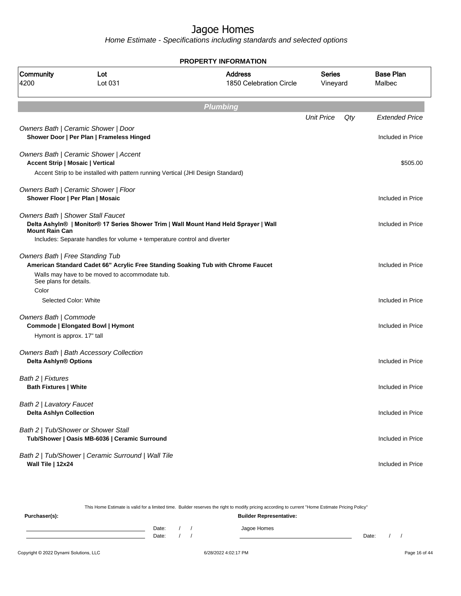|                                                            |                                                                                                                           | <b>PROPERTY INFORMATION</b>                                                          |                           |     |                                            |
|------------------------------------------------------------|---------------------------------------------------------------------------------------------------------------------------|--------------------------------------------------------------------------------------|---------------------------|-----|--------------------------------------------|
| Community<br>4200                                          | Lot<br>Lot 031                                                                                                            | <b>Address</b><br>1850 Celebration Circle                                            | <b>Series</b><br>Vineyard |     | <b>Base Plan</b><br>Malbec                 |
|                                                            |                                                                                                                           | <b>Plumbing</b>                                                                      |                           |     |                                            |
|                                                            | Owners Bath   Ceramic Shower   Door<br>Shower Door   Per Plan   Frameless Hinged                                          |                                                                                      | <b>Unit Price</b>         | Qty | <b>Extended Price</b><br>Included in Price |
| <b>Accent Strip   Mosaic   Vertical</b>                    | Owners Bath   Ceramic Shower   Accent<br>Accent Strip to be installed with pattern running Vertical (JHI Design Standard) |                                                                                      |                           |     | \$505.00                                   |
|                                                            | Owners Bath   Ceramic Shower   Floor<br>Shower Floor   Per Plan   Mosaic                                                  |                                                                                      |                           |     | Included in Price                          |
| Owners Bath   Shower Stall Faucet<br><b>Mount Rain Can</b> | Includes: Separate handles for volume + temperature control and diverter                                                  | Delta Ashyln®   Monitor® 17 Series Shower Trim   Wall Mount Hand Held Sprayer   Wall |                           |     | Included in Price                          |
| Owners Bath   Free Standing Tub                            | Walls may have to be moved to accommodate tub.                                                                            | American Standard Cadet 66" Acrylic Free Standing Soaking Tub with Chrome Faucet     |                           |     | Included in Price                          |
| See plans for details.<br>Color<br>Selected Color: White   |                                                                                                                           |                                                                                      |                           |     | Included in Price                          |
| Owners Bath   Commode<br>Hymont is approx. 17" tall        | Commode   Elongated Bowl   Hymont                                                                                         |                                                                                      |                           |     | Included in Price                          |
| Delta Ashlyn® Options                                      | Owners Bath   Bath Accessory Collection                                                                                   |                                                                                      |                           |     | Included in Price                          |
| Bath 2   Fixtures<br><b>Bath Fixtures   White</b>          |                                                                                                                           |                                                                                      |                           |     | Included in Price                          |
| Bath 2   Lavatory Faucet<br><b>Delta Ashlyn Collection</b> |                                                                                                                           |                                                                                      |                           |     | Included in Price                          |
|                                                            | Bath 2   Tub/Shower or Shower Stall<br>Tub/Shower   Oasis MB-6036   Ceramic Surround                                      |                                                                                      |                           |     | Included in Price                          |
| Wall Tile   12x24                                          | Bath 2   Tub/Shower   Ceramic Surround   Wall Tile                                                                        |                                                                                      |                           |     | Included in Price                          |

|               |       |  | This Home Estimate is valid for a limited time. Builder reserves the right to modify pricing according to current "Home Estimate Pricing Policy" |       |  |
|---------------|-------|--|--------------------------------------------------------------------------------------------------------------------------------------------------|-------|--|
| Purchaser(s): |       |  | <b>Builder Representative:</b>                                                                                                                   |       |  |
|               | Date: |  | Jagoe Homes                                                                                                                                      |       |  |
|               | Date: |  |                                                                                                                                                  | Date: |  |
|               |       |  |                                                                                                                                                  |       |  |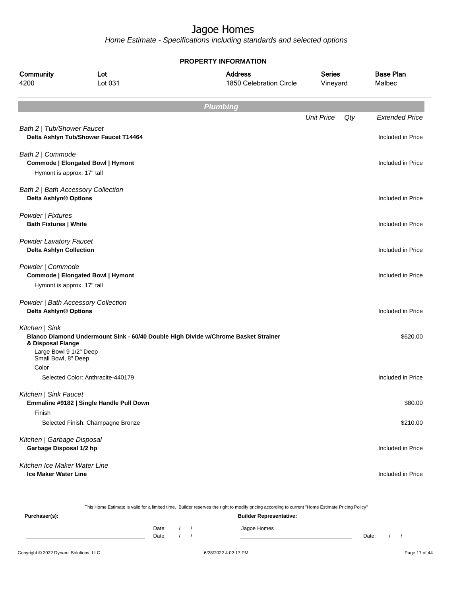Home Estimate - Specifications including standards and selected options

**Plumbing** Unit Price Qty Extended Price Bath 2 | Tub/Shower Faucet **Delta Ashlyn Tub/Shower Faucet T14464** Included in Price Bath 2 | Commode **Commode | Elongated Bowl | Hymont** Included in Price Included in Price Included in Price Hymont is approx. 17" tall Bath 2 | Bath Accessory Collection **Delta Ashlyn® Options** Included in Price Powder | Fixtures **Bath Fixtures | White** Included in Price Included in Price Included in Price Included in Price Powder Lavatory Faucet **Delta Ashlyn Collection Included in Price** Powder | Commode **Commode | Elongated Bowl | Hymont** Included in Price Included in Price Included in Price Hymont is approx. 17" tall Powder | Bath Accessory Collection **Delta Ashlyn® Options Included in Price** Kitchen | Sink **Blanco Diamond Undermount Sink - 60/40 Double High Divide w/Chrome Basket Strainer & Disposal Flange** \$620.00 Large Bowl 9 1/2" Deep Small Bowl, 8" Deep Color Selected Color: Anthracite-440179 Included in Price Kitchen | Sink Faucet **Emmaline #9182 | Single Handle Pull Down** \$80.00 Finish Selected Finish: Champagne Bronze  $$210.00$ Kitchen | Garbage Disposal **Garbage Disposal 1/2 hp** Included in Price Kitchen Ice Maker Water Line **Ice Maker Water Line** Included in Price **Included** in Price Included in Price Included in Price **PROPERTY INFORMATION** Vineyard Series 1850 Celebration Circle Address 4200 Lot 031 Community Lot Malbec Base Plan

Copyright © 2022 Dynami Solutions, LLC <br>
6/28/2022 4:02:17 PM 6/28/2022 4:02:17 PM Page 17 of 44 This Home Estimate is valid for a limited time. Builder reserves the right to modify pricing according to current "Home Estimate Pricing Policy" **Purchaser(s): Builder Representative:** Date: / / / Jagoe Homes Date: / / Date: / /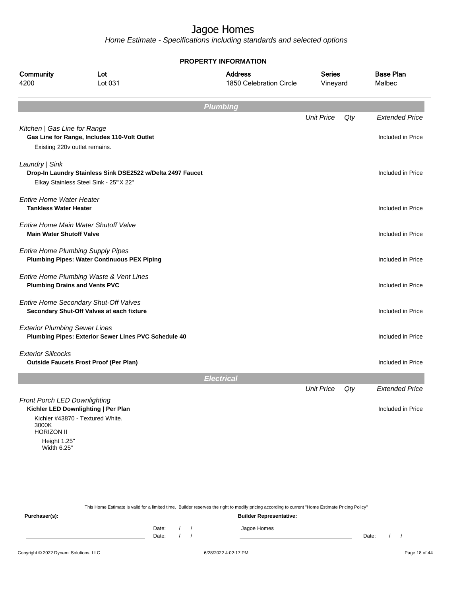Home Estimate - Specifications including standards and selected options

|                                                                                           |                                                                                                     | <b>PROPERTY INFORMATION</b>               |                           |     |                            |
|-------------------------------------------------------------------------------------------|-----------------------------------------------------------------------------------------------------|-------------------------------------------|---------------------------|-----|----------------------------|
| Community<br>4200                                                                         | Lot<br>Lot 031                                                                                      | <b>Address</b><br>1850 Celebration Circle | <b>Series</b><br>Vineyard |     | <b>Base Plan</b><br>Malbec |
|                                                                                           |                                                                                                     | <b>Plumbing</b>                           |                           |     |                            |
|                                                                                           |                                                                                                     |                                           | <b>Unit Price</b>         | Qty | <b>Extended Price</b>      |
| Kitchen   Gas Line for Range                                                              | Gas Line for Range, Includes 110-Volt Outlet<br>Existing 220v outlet remains.                       |                                           |                           |     | Included in Price          |
| Laundry   Sink                                                                            | Drop-In Laundry Stainless Sink DSE2522 w/Delta 2497 Faucet<br>Elkay Stainless Steel Sink - 25"X 22" |                                           |                           |     | Included in Price          |
| <b>Entire Home Water Heater</b><br><b>Tankless Water Heater</b>                           |                                                                                                     |                                           |                           |     | Included in Price          |
| <b>Main Water Shutoff Valve</b>                                                           | Entire Home Main Water Shutoff Valve                                                                |                                           |                           |     | Included in Price          |
|                                                                                           | <b>Entire Home Plumbing Supply Pipes</b><br><b>Plumbing Pipes: Water Continuous PEX Piping</b>      |                                           |                           |     | Included in Price          |
|                                                                                           | Entire Home Plumbing Waste & Vent Lines<br><b>Plumbing Drains and Vents PVC</b>                     |                                           |                           |     | Included in Price          |
|                                                                                           | Entire Home Secondary Shut-Off Valves<br>Secondary Shut-Off Valves at each fixture                  |                                           |                           |     | Included in Price          |
| <b>Exterior Plumbing Sewer Lines</b>                                                      | Plumbing Pipes: Exterior Sewer Lines PVC Schedule 40                                                |                                           |                           |     | Included in Price          |
| <b>Exterior Sillcocks</b>                                                                 | <b>Outside Faucets Frost Proof (Per Plan)</b>                                                       |                                           |                           |     | Included in Price          |
|                                                                                           |                                                                                                     | <b>Electrical</b>                         |                           |     |                            |
|                                                                                           |                                                                                                     |                                           | <b>Unit Price</b>         | Qty | <b>Extended Price</b>      |
| Front Porch LED Downlighting<br>3000K<br><b>HORIZON II</b><br>Height 1.25"<br>Width 6.25" | Kichler LED Downlighting   Per Plan<br>Kichler #43870 - Textured White.                             |                                           |                           |     | Included in Price          |
|                                                                                           |                                                                                                     |                                           |                           |     |                            |

This Home Estimate is valid for a limited time. Builder reserves the right to modify pricing according to current "Home Estimate Pricing Policy"

**Purchaser(s): Builder Representative:** Date: / / Jagoe Homes<br>Date: / / Jagoe Homes Date: / / Date: / /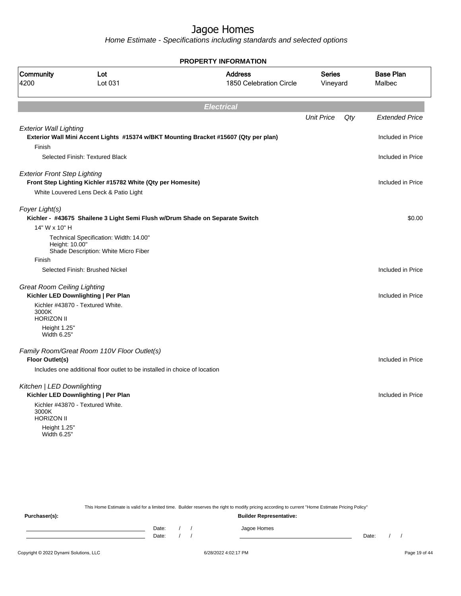Home Estimate - Specifications including standards and selected options

|                                     |                                                                                | <b>PROPERTY INFORMATION</b>                                                          |                           |     |                            |
|-------------------------------------|--------------------------------------------------------------------------------|--------------------------------------------------------------------------------------|---------------------------|-----|----------------------------|
| Community<br>4200                   | Lot<br>Lot 031                                                                 | <b>Address</b><br>1850 Celebration Circle                                            | <b>Series</b><br>Vineyard |     | <b>Base Plan</b><br>Malbec |
|                                     |                                                                                | <b>Electrical</b>                                                                    |                           |     |                            |
|                                     |                                                                                |                                                                                      | <b>Unit Price</b>         | Qty | <b>Extended Price</b>      |
| <b>Exterior Wall Lighting</b>       |                                                                                | Exterior Wall Mini Accent Lights #15374 w/BKT Mounting Bracket #15607 (Qty per plan) |                           |     | Included in Price          |
| Finish                              |                                                                                |                                                                                      |                           |     |                            |
|                                     | Selected Finish: Textured Black                                                |                                                                                      |                           |     | Included in Price          |
| <b>Exterior Front Step Lighting</b> | Front Step Lighting Kichler #15782 White (Qty per Homesite)                    |                                                                                      |                           |     | Included in Price          |
|                                     | White Louvered Lens Deck & Patio Light                                         |                                                                                      |                           |     |                            |
| Foyer Light(s)                      | Kichler - #43675 Shailene 3 Light Semi Flush w/Drum Shade on Separate Switch   |                                                                                      |                           |     | \$0.00                     |
| 14" W x 10" H                       |                                                                                |                                                                                      |                           |     |                            |
| Height: 10.00"                      | Technical Specification: Width: 14.00"<br>Shade Description: White Micro Fiber |                                                                                      |                           |     |                            |
| Finish                              |                                                                                |                                                                                      |                           |     |                            |
|                                     | Selected Finish: Brushed Nickel                                                |                                                                                      |                           |     | Included in Price          |
| <b>Great Room Ceiling Lighting</b>  | Kichler LED Downlighting   Per Plan                                            |                                                                                      |                           |     | Included in Price          |
| 3000K<br><b>HORIZON II</b>          | Kichler #43870 - Textured White.                                               |                                                                                      |                           |     |                            |
| Height 1.25"<br>Width 6.25"         |                                                                                |                                                                                      |                           |     |                            |
| Floor Outlet(s)                     | Family Room/Great Room 110V Floor Outlet(s)                                    |                                                                                      |                           |     | Included in Price          |
|                                     | Includes one additional floor outlet to be installed in choice of location     |                                                                                      |                           |     |                            |
| Kitchen   LED Downlighting          |                                                                                |                                                                                      |                           |     |                            |
|                                     | Kichler LED Downlighting   Per Plan                                            |                                                                                      |                           |     | Included in Price          |
| 3000K<br><b>HORIZON II</b>          | Kichler #43870 - Textured White.                                               |                                                                                      |                           |     |                            |
| Height 1.25"<br>Width 6.25"         |                                                                                |                                                                                      |                           |     |                            |
|                                     |                                                                                |                                                                                      |                           |     |                            |
|                                     |                                                                                |                                                                                      |                           |     |                            |
|                                     |                                                                                |                                                                                      |                           |     |                            |

This Home Estimate is valid for a limited time. Builder reserves the right to modify pricing according to current "Home Estimate Pricing Policy"

**Purchaser(s): Builder Representative:** Date: / / Jagoe Homes<br>Date: / / Jagoe Homes Date: / / Date: / /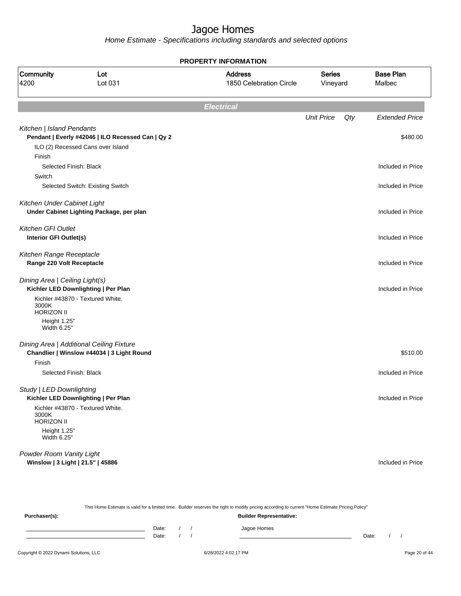Home Estimate - Specifications including standards and selected options

|                                                       |                                                   | <b>PROPERTY INFORMATION</b>               |                           |     |                            |
|-------------------------------------------------------|---------------------------------------------------|-------------------------------------------|---------------------------|-----|----------------------------|
| Community<br>4200                                     | Lot<br>Lot 031                                    | <b>Address</b><br>1850 Celebration Circle | <b>Series</b><br>Vineyard |     | <b>Base Plan</b><br>Malbec |
|                                                       |                                                   | <b>Electrical</b>                         |                           |     |                            |
|                                                       |                                                   |                                           | <b>Unit Price</b>         | Qty | <b>Extended Price</b>      |
| Kitchen   Island Pendants                             | Pendant   Everly #42046   ILO Recessed Can   Qy 2 |                                           |                           |     | \$480.00                   |
|                                                       | ILO (2) Recessed Cans over Island                 |                                           |                           |     |                            |
| Finish                                                |                                                   |                                           |                           |     |                            |
| Selected Finish: Black                                |                                                   |                                           |                           |     | Included in Price          |
| Switch                                                |                                                   |                                           |                           |     |                            |
|                                                       | Selected Switch: Existing Switch                  |                                           |                           |     | Included in Price          |
| Kitchen Under Cabinet Light                           |                                                   |                                           |                           |     |                            |
|                                                       | Under Cabinet Lighting Package, per plan          |                                           |                           |     | Included in Price          |
| <b>Kitchen GFI Outlet</b>                             |                                                   |                                           |                           |     |                            |
| Interior GFI Outlet(s)                                |                                                   |                                           |                           |     | Included in Price          |
|                                                       |                                                   |                                           |                           |     |                            |
| Kitchen Range Receptacle<br>Range 220 Volt Receptacle |                                                   |                                           |                           |     | Included in Price          |
|                                                       |                                                   |                                           |                           |     |                            |
| Dining Area   Ceiling Light(s)                        |                                                   |                                           |                           |     |                            |
|                                                       | Kichler LED Downlighting   Per Plan               |                                           |                           |     | Included in Price          |
| 3000K                                                 | Kichler #43870 - Textured White.                  |                                           |                           |     |                            |
| <b>HORIZON II</b>                                     |                                                   |                                           |                           |     |                            |
| Height 1.25"<br>Width 6.25"                           |                                                   |                                           |                           |     |                            |
|                                                       | Dining Area   Additional Ceiling Fixture          |                                           |                           |     |                            |
|                                                       | Chandlier   Winslow #44034   3 Light Round        |                                           |                           |     | \$510.00                   |
| Finish                                                |                                                   |                                           |                           |     |                            |
| Selected Finish: Black                                |                                                   |                                           |                           |     | Included in Price          |
| Study   LED Downlighting                              |                                                   |                                           |                           |     |                            |
|                                                       | Kichler LED Downlighting   Per Plan               |                                           |                           |     | Included in Price          |
| 3000K<br><b>HORIZON II</b>                            | Kichler #43870 - Textured White.                  |                                           |                           |     |                            |
| Height 1.25"                                          |                                                   |                                           |                           |     |                            |
| Width 6.25"                                           |                                                   |                                           |                           |     |                            |
| Powder Room Vanity Light                              |                                                   |                                           |                           |     |                            |
|                                                       | Winslow   3 Light   21.5"   45886                 |                                           |                           |     | Included in Price          |

This Home Estimate is valid for a limited time. Builder reserves the right to modify pricing according to current "Home Estimate Pricing Policy" **Purchaser(s): Builder Representative:** Date: / / Jagoe Homes<br>Date: / / Jagoe Homes Date: / / **Date: / / 2006** Date: / / / Date: / / /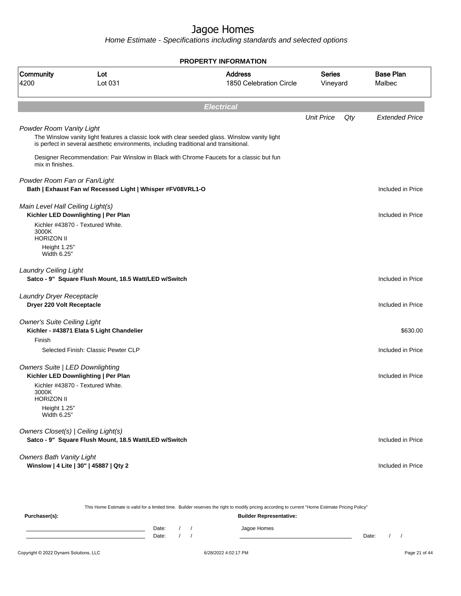|                                                       |                                                                                       | <b>PROPERTY INFORMATION</b>                                                                    |                           |     |                            |
|-------------------------------------------------------|---------------------------------------------------------------------------------------|------------------------------------------------------------------------------------------------|---------------------------|-----|----------------------------|
| Community<br>Lot<br>4200<br>Lot 031                   |                                                                                       | <b>Address</b><br>1850 Celebration Circle                                                      | <b>Series</b><br>Vineyard |     | <b>Base Plan</b><br>Malbec |
|                                                       |                                                                                       | <b>Electrical</b>                                                                              |                           |     |                            |
|                                                       |                                                                                       |                                                                                                | <b>Unit Price</b>         | Qty | <b>Extended Price</b>      |
| Powder Room Vanity Light                              | is perfect in several aesthetic environments, including traditional and transitional. | The Winslow vanity light features a classic look with clear seeded glass. Winslow vanity light |                           |     |                            |
| mix in finishes.                                      |                                                                                       | Designer Recommendation: Pair Winslow in Black with Chrome Faucets for a classic but fun       |                           |     |                            |
| Powder Room Fan or Fan/Light                          |                                                                                       |                                                                                                |                           |     |                            |
|                                                       | Bath   Exhaust Fan w/ Recessed Light   Whisper #FV08VRL1-O                            |                                                                                                |                           |     | Included in Price          |
| Main Level Hall Ceiling Light(s)                      | Kichler LED Downlighting   Per Plan                                                   |                                                                                                |                           |     | Included in Price          |
| 3000K<br><b>HORIZON II</b>                            | Kichler #43870 - Textured White.                                                      |                                                                                                |                           |     |                            |
| Height 1.25"<br>Width 6.25"                           |                                                                                       |                                                                                                |                           |     |                            |
| <b>Laundry Ceiling Light</b>                          | Satco - 9" Square Flush Mount, 18.5 Watt/LED w/Switch                                 |                                                                                                |                           |     | Included in Price          |
| Laundry Dryer Receptacle<br>Dryer 220 Volt Receptacle |                                                                                       |                                                                                                |                           |     | Included in Price          |
| <b>Owner's Suite Ceiling Light</b>                    | Kichler - #43871 Elata 5 Light Chandelier                                             |                                                                                                |                           |     | \$630.00                   |
| Finish                                                |                                                                                       |                                                                                                |                           |     |                            |
|                                                       | Selected Finish: Classic Pewter CLP                                                   |                                                                                                |                           |     | Included in Price          |
| <b>Owners Suite   LED Downlighting</b>                | Kichler LED Downlighting   Per Plan                                                   |                                                                                                |                           |     | Included in Price          |
| 3000K<br><b>HORIZON II</b>                            | Kichler #43870 - Textured White.                                                      |                                                                                                |                           |     |                            |
| Height 1.25"<br>Width 6.25"                           |                                                                                       |                                                                                                |                           |     |                            |
| Owners Closet(s)   Ceiling Light(s)                   | Satco - 9" Square Flush Mount, 18.5 Watt/LED w/Switch                                 |                                                                                                |                           |     | Included in Price          |
| <b>Owners Bath Vanity Light</b>                       | Winslow   4 Lite   30"   45887   Qty 2                                                |                                                                                                |                           |     | Included in Price          |
|                                                       |                                                                                       |                                                                                                |                           |     |                            |

|               |       |  | This Home Estimate is valid for a limited time. Builder reserves the right to modify pricing according to current "Home Estimate Pricing Policy" |       |  |
|---------------|-------|--|--------------------------------------------------------------------------------------------------------------------------------------------------|-------|--|
| Purchaser(s): |       |  | <b>Builder Representative:</b>                                                                                                                   |       |  |
|               | Date: |  | Jagoe Homes                                                                                                                                      |       |  |
|               | Date: |  |                                                                                                                                                  | Date: |  |
|               |       |  |                                                                                                                                                  |       |  |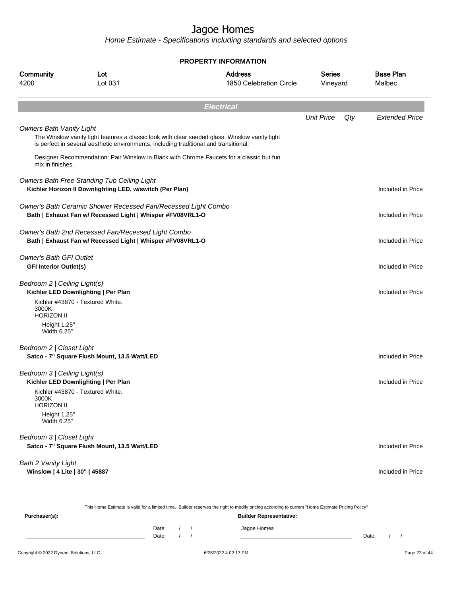Home Estimate - Specifications including standards and selected options

|                                                                 |                                                                                                                             | <b>PROPERTY INFORMATION</b>                                                                                                                      |                    |     |                            |
|-----------------------------------------------------------------|-----------------------------------------------------------------------------------------------------------------------------|--------------------------------------------------------------------------------------------------------------------------------------------------|--------------------|-----|----------------------------|
| Community<br>4200                                               | Lot<br>Lot 031                                                                                                              | <b>Address</b><br>1850 Celebration Circle                                                                                                        | Series<br>Vineyard |     | <b>Base Plan</b><br>Malbec |
|                                                                 |                                                                                                                             | <b>Electrical</b>                                                                                                                                |                    |     |                            |
|                                                                 |                                                                                                                             |                                                                                                                                                  | <b>Unit Price</b>  | Qty | <b>Extended Price</b>      |
| <b>Owners Bath Vanity Light</b>                                 | is perfect in several aesthetic environments, including traditional and transitional.                                       | The Winslow vanity light features a classic look with clear seeded glass. Winslow vanity light                                                   |                    |     |                            |
| mix in finishes.                                                |                                                                                                                             | Designer Recommendation: Pair Winslow in Black with Chrome Faucets for a classic but fun                                                         |                    |     |                            |
|                                                                 | Owners Bath Free Standing Tub Ceiling Light<br>Kichler Horizon II Downlighting LED, w/switch (Per Plan)                     |                                                                                                                                                  |                    |     | Included in Price          |
|                                                                 | Owner's Bath Ceramic Shower Recessed Fan/Recessed Light Combo<br>Bath   Exhaust Fan w/ Recessed Light   Whisper #FV08VRL1-O |                                                                                                                                                  |                    |     | Included in Price          |
|                                                                 | Owner's Bath 2nd Recessed Fan/Recessed Light Combo<br>Bath   Exhaust Fan w/ Recessed Light   Whisper #FV08VRL1-O            |                                                                                                                                                  |                    |     | Included in Price          |
| <b>Owner's Bath GFI Outlet</b><br><b>GFI Interior Outlet(s)</b> |                                                                                                                             |                                                                                                                                                  |                    |     | Included in Price          |
| Bedroom 2   Ceiling Light(s)                                    | Kichler LED Downlighting   Per Plan                                                                                         |                                                                                                                                                  |                    |     | Included in Price          |
| 3000K<br><b>HORIZON II</b>                                      | Kichler #43870 - Textured White.                                                                                            |                                                                                                                                                  |                    |     |                            |
| Height 1.25"<br>Width 6.25"                                     |                                                                                                                             |                                                                                                                                                  |                    |     |                            |
| Bedroom 2   Closet Light                                        | Satco - 7" Square Flush Mount, 13.5 Watt/LED                                                                                |                                                                                                                                                  |                    |     | Included in Price          |
| Bedroom 3   Ceiling Light(s)                                    | Kichler LED Downlighting   Per Plan                                                                                         |                                                                                                                                                  |                    |     | Included in Price          |
| 3000K<br><b>HORIZON II</b>                                      | Kichler #43870 - Textured White.                                                                                            |                                                                                                                                                  |                    |     |                            |
| Height 1.25"<br>Width 6.25"                                     |                                                                                                                             |                                                                                                                                                  |                    |     |                            |
| Bedroom 3   Closet Light                                        | Satco - 7" Square Flush Mount, 13.5 Watt/LED                                                                                |                                                                                                                                                  |                    |     | Included in Price          |
| Bath 2 Vanity Light<br>Winslow   4 Lite   30"   45887           |                                                                                                                             |                                                                                                                                                  |                    |     | Included in Price          |
|                                                                 |                                                                                                                             | This Home Estimate is valid for a limited time. Builder reserves the right to modify pricing according to current "Home Estimate Pricing Policy" |                    |     |                            |
|                                                                 |                                                                                                                             |                                                                                                                                                  |                    |     |                            |

**Purchaser(s): Builder Representative:** Date: / / Jagoe Homes<br>Date: / / Jagoe Homes Date: / / Date: / /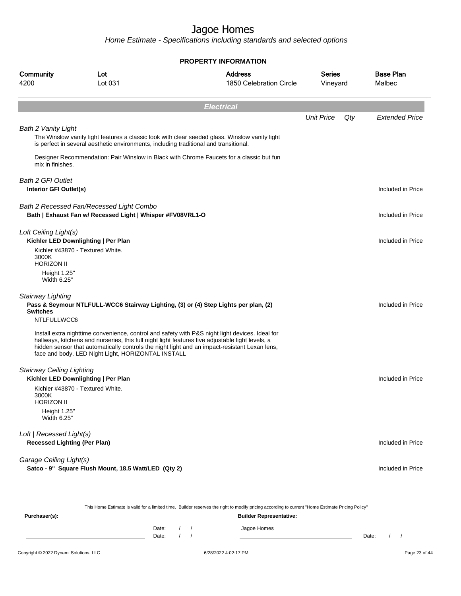Home Estimate - Specifications including standards and selected options

|                                                                 |                                                                                                        | <b>PROPERTY INFORMATION</b>                                                                                                                                                                                                                                                                          |                    |     |                            |  |  |  |
|-----------------------------------------------------------------|--------------------------------------------------------------------------------------------------------|------------------------------------------------------------------------------------------------------------------------------------------------------------------------------------------------------------------------------------------------------------------------------------------------------|--------------------|-----|----------------------------|--|--|--|
| Community<br>4200                                               | Lot<br>Lot 031                                                                                         | <b>Address</b><br>1850 Celebration Circle                                                                                                                                                                                                                                                            | Series<br>Vineyard |     | <b>Base Plan</b><br>Malbec |  |  |  |
| <b>Electrical</b>                                               |                                                                                                        |                                                                                                                                                                                                                                                                                                      |                    |     |                            |  |  |  |
|                                                                 |                                                                                                        |                                                                                                                                                                                                                                                                                                      | <b>Unit Price</b>  | Qty | <b>Extended Price</b>      |  |  |  |
| <b>Bath 2 Vanity Light</b><br>mix in finishes.                  | is perfect in several aesthetic environments, including traditional and transitional.                  | The Winslow vanity light features a classic look with clear seeded glass. Winslow vanity light<br>Designer Recommendation: Pair Winslow in Black with Chrome Faucets for a classic but fun                                                                                                           |                    |     |                            |  |  |  |
| <b>Bath 2 GFI Outlet</b><br>Interior GFI Outlet(s)              |                                                                                                        |                                                                                                                                                                                                                                                                                                      |                    |     | Included in Price          |  |  |  |
|                                                                 | Bath 2 Recessed Fan/Recessed Light Combo<br>Bath   Exhaust Fan w/ Recessed Light   Whisper #FV08VRL1-O |                                                                                                                                                                                                                                                                                                      |                    |     | Included in Price          |  |  |  |
| Loft Ceiling Light(s)                                           | Kichler LED Downlighting   Per Plan<br>Kichler #43870 - Textured White.                                |                                                                                                                                                                                                                                                                                                      |                    |     | Included in Price          |  |  |  |
| 3000K<br><b>HORIZON II</b><br>Height 1.25"<br>Width 6.25"       |                                                                                                        |                                                                                                                                                                                                                                                                                                      |                    |     |                            |  |  |  |
| Stairway Lighting<br><b>Switches</b><br>NTLFULLWCC6             |                                                                                                        | Pass & Seymour NTLFULL-WCC6 Stairway Lighting, (3) or (4) Step Lights per plan, (2)                                                                                                                                                                                                                  |                    |     | Included in Price          |  |  |  |
|                                                                 | face and body. LED Night Light, HORIZONTAL INSTALL                                                     | Install extra nighttime convenience, control and safety with P&S night light devices. Ideal for<br>hallways, kitchens and nurseries, this full night light features five adjustable light levels, a<br>hidden sensor that automatically controls the night light and an impact-resistant Lexan lens, |                    |     |                            |  |  |  |
| <b>Stairway Ceiling Lighting</b>                                | Kichler LED Downlighting   Per Plan                                                                    |                                                                                                                                                                                                                                                                                                      |                    |     | Included in Price          |  |  |  |
| 3000K<br><b>HORIZON II</b>                                      | Kichler #43870 - Textured White.                                                                       |                                                                                                                                                                                                                                                                                                      |                    |     |                            |  |  |  |
| Height 1.25"<br>Width 6.25"                                     |                                                                                                        |                                                                                                                                                                                                                                                                                                      |                    |     |                            |  |  |  |
| Loft   Recessed Light(s)<br><b>Recessed Lighting (Per Plan)</b> |                                                                                                        |                                                                                                                                                                                                                                                                                                      |                    |     | Included in Price          |  |  |  |
| Garage Ceiling Light(s)                                         | Satco - 9" Square Flush Mount, 18.5 Watt/LED (Qty 2)                                                   |                                                                                                                                                                                                                                                                                                      |                    |     | Included in Price          |  |  |  |
|                                                                 |                                                                                                        |                                                                                                                                                                                                                                                                                                      |                    |     |                            |  |  |  |

This Home Estimate is valid for a limited time. Builder reserves the right to modify pricing according to current "Home Estimate Pricing Policy" **Purchaser(s): Builder Representative:** Date: / / Jagoe Homes<br>Date: / / Jagoe Homes Date: / / Date: / /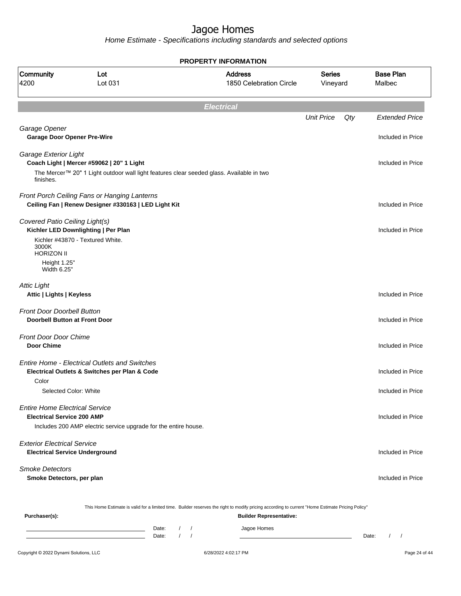|                                                                            |                                                                                                       | <b>PROPERTY INFORMATION</b>                                                                                                                      |                           |                            |
|----------------------------------------------------------------------------|-------------------------------------------------------------------------------------------------------|--------------------------------------------------------------------------------------------------------------------------------------------------|---------------------------|----------------------------|
| Community<br>4200                                                          | Lot<br>Lot 031                                                                                        | <b>Address</b><br>1850 Celebration Circle                                                                                                        | <b>Series</b><br>Vineyard | <b>Base Plan</b><br>Malbec |
|                                                                            |                                                                                                       | <b>Electrical</b>                                                                                                                                |                           |                            |
|                                                                            |                                                                                                       |                                                                                                                                                  | <b>Unit Price</b><br>Qty  | <b>Extended Price</b>      |
| Garage Opener<br><b>Garage Door Opener Pre-Wire</b>                        |                                                                                                       |                                                                                                                                                  |                           | Included in Price          |
| Garage Exterior Light                                                      | Coach Light   Mercer #59062   20" 1 Light                                                             |                                                                                                                                                  |                           | Included in Price          |
| finishes.                                                                  | The Mercer™ 20" 1 Light outdoor wall light features clear seeded glass. Available in two              |                                                                                                                                                  |                           |                            |
|                                                                            | Front Porch Ceiling Fans or Hanging Lanterns<br>Ceiling Fan   Renew Designer #330163   LED Light Kit  |                                                                                                                                                  |                           | Included in Price          |
| Covered Patio Ceiling Light(s)<br>3000K                                    | Kichler LED Downlighting   Per Plan<br>Kichler #43870 - Textured White.                               |                                                                                                                                                  |                           | Included in Price          |
| <b>HORIZON II</b><br>Height 1.25"<br>Width 6.25"                           |                                                                                                       |                                                                                                                                                  |                           |                            |
| <b>Attic Light</b><br>Attic   Lights   Keyless                             |                                                                                                       |                                                                                                                                                  |                           | Included in Price          |
| Front Door Doorbell Button<br>Doorbell Button at Front Door                |                                                                                                       |                                                                                                                                                  |                           | Included in Price          |
| <b>Front Door Door Chime</b><br><b>Door Chime</b>                          |                                                                                                       |                                                                                                                                                  |                           | Included in Price          |
|                                                                            | <b>Entire Home - Electrical Outlets and Switches</b><br>Electrical Outlets & Switches per Plan & Code |                                                                                                                                                  |                           | Included in Price          |
| Color                                                                      | Selected Color: White                                                                                 |                                                                                                                                                  |                           | Included in Price          |
| <b>Entire Home Electrical Service</b><br><b>Electrical Service 200 AMP</b> | Includes 200 AMP electric service upgrade for the entire house.                                       |                                                                                                                                                  |                           | Included in Price          |
| <b>Exterior Electrical Service</b>                                         | <b>Electrical Service Underground</b>                                                                 |                                                                                                                                                  |                           | Included in Price          |
| <b>Smoke Detectors</b><br>Smoke Detectors, per plan                        |                                                                                                       |                                                                                                                                                  |                           | Included in Price          |
|                                                                            |                                                                                                       | This Home Estimate is valid for a limited time. Builder reserves the right to modify pricing according to current "Home Estimate Pricing Policy" |                           |                            |
| Purchaser(s):                                                              | Date:<br>Date:                                                                                        | <b>Builder Representative:</b><br>Jagoe Homes<br>$\prime$                                                                                        |                           | Date:<br>$\sqrt{ }$        |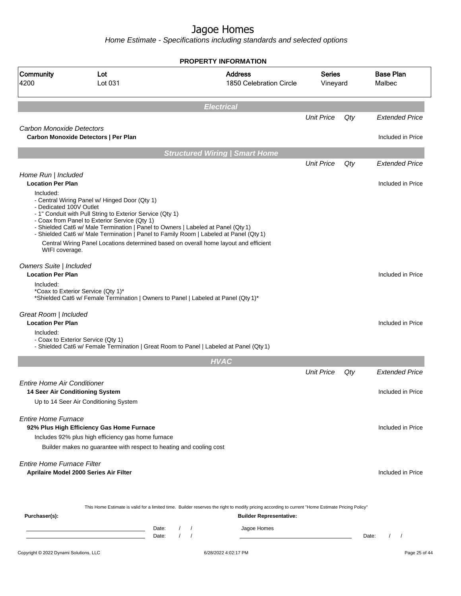|                                                        |                                                                                                                                                                                                                                                                                                                                                                                                                                  | <b>PROPERTY INFORMATION</b>                                                                                                                                                        |                           |       |                            |
|--------------------------------------------------------|----------------------------------------------------------------------------------------------------------------------------------------------------------------------------------------------------------------------------------------------------------------------------------------------------------------------------------------------------------------------------------------------------------------------------------|------------------------------------------------------------------------------------------------------------------------------------------------------------------------------------|---------------------------|-------|----------------------------|
| Community<br>4200                                      | Lot<br>Lot 031                                                                                                                                                                                                                                                                                                                                                                                                                   | <b>Address</b><br>1850 Celebration Circle                                                                                                                                          | <b>Series</b><br>Vineyard |       | <b>Base Plan</b><br>Malbec |
|                                                        |                                                                                                                                                                                                                                                                                                                                                                                                                                  | <b>Electrical</b>                                                                                                                                                                  |                           |       |                            |
|                                                        |                                                                                                                                                                                                                                                                                                                                                                                                                                  |                                                                                                                                                                                    | <b>Unit Price</b>         | Qty   | <b>Extended Price</b>      |
| Carbon Monoxide Detectors                              | Carbon Monoxide Detectors   Per Plan                                                                                                                                                                                                                                                                                                                                                                                             |                                                                                                                                                                                    |                           |       | Included in Price          |
|                                                        |                                                                                                                                                                                                                                                                                                                                                                                                                                  | <b>Structured Wiring   Smart Home</b>                                                                                                                                              |                           |       |                            |
|                                                        |                                                                                                                                                                                                                                                                                                                                                                                                                                  |                                                                                                                                                                                    | <b>Unit Price</b>         | Qty   | <b>Extended Price</b>      |
| Home Run   Included<br><b>Location Per Plan</b>        |                                                                                                                                                                                                                                                                                                                                                                                                                                  |                                                                                                                                                                                    |                           |       | Included in Price          |
| Included:<br>- Dedicated 100V Outlet<br>WIFI coverage. | - Central Wiring Panel w/ Hinged Door (Qty 1)<br>- 1" Conduit with Pull String to Exterior Service (Qty 1)<br>- Coax from Panel to Exterior Service (Qty 1)<br>- Shielded Cat6 w/ Male Termination   Panel to Owners   Labeled at Panel (Qty 1)<br>- Shielded Cat6 w/ Male Termination   Panel to Family Room   Labeled at Panel (Qty 1)<br>Central Wiring Panel Locations determined based on overall home layout and efficient |                                                                                                                                                                                    |                           |       |                            |
| Owners Suite   Included<br><b>Location Per Plan</b>    |                                                                                                                                                                                                                                                                                                                                                                                                                                  |                                                                                                                                                                                    |                           |       | Included in Price          |
| Included:                                              | *Coax to Exterior Service (Qty 1)*<br>*Shielded Cat6 w/ Female Termination   Owners to Panel   Labeled at Panel (Qty 1)*                                                                                                                                                                                                                                                                                                         |                                                                                                                                                                                    |                           |       |                            |
| Great Room   Included<br><b>Location Per Plan</b>      |                                                                                                                                                                                                                                                                                                                                                                                                                                  |                                                                                                                                                                                    |                           |       | Included in Price          |
| Included:                                              | - Coax to Exterior Service (Qty 1)<br>- Shielded Cat6 w/ Female Termination   Great Room to Panel   Labeled at Panel (Qty 1)                                                                                                                                                                                                                                                                                                     |                                                                                                                                                                                    |                           |       |                            |
|                                                        |                                                                                                                                                                                                                                                                                                                                                                                                                                  | <b>HVAC</b>                                                                                                                                                                        |                           |       |                            |
|                                                        |                                                                                                                                                                                                                                                                                                                                                                                                                                  |                                                                                                                                                                                    | <b>Unit Price</b>         | Qty   | <b>Extended Price</b>      |
| Entire Home Air Conditioner                            |                                                                                                                                                                                                                                                                                                                                                                                                                                  |                                                                                                                                                                                    |                           |       |                            |
| 14 Seer Air Conditioning System                        | Up to 14 Seer Air Conditioning System                                                                                                                                                                                                                                                                                                                                                                                            |                                                                                                                                                                                    |                           |       | Included in Price          |
|                                                        |                                                                                                                                                                                                                                                                                                                                                                                                                                  |                                                                                                                                                                                    |                           |       |                            |
| <b>Entire Home Furnace</b>                             |                                                                                                                                                                                                                                                                                                                                                                                                                                  |                                                                                                                                                                                    |                           |       |                            |
|                                                        | 92% Plus High Efficiency Gas Home Furnace<br>Includes 92% plus high efficiency gas home furnace                                                                                                                                                                                                                                                                                                                                  |                                                                                                                                                                                    |                           |       | Included in Price          |
|                                                        | Builder makes no guarantee with respect to heating and cooling cost                                                                                                                                                                                                                                                                                                                                                              |                                                                                                                                                                                    |                           |       |                            |
| <b>Entire Home Furnace Filter</b>                      | Aprilaire Model 2000 Series Air Filter                                                                                                                                                                                                                                                                                                                                                                                           |                                                                                                                                                                                    |                           |       | Included in Price          |
| Purchaser(s):                                          |                                                                                                                                                                                                                                                                                                                                                                                                                                  | This Home Estimate is valid for a limited time. Builder reserves the right to modify pricing according to current "Home Estimate Pricing Policy"<br><b>Builder Representative:</b> |                           |       |                            |
|                                                        | Date:<br><u> 1989 - Johann Barn, amerikansk politiker (</u><br>Date:                                                                                                                                                                                                                                                                                                                                                             | Jagoe Homes<br>$\sqrt{ }$<br>$\prime$<br>$\sqrt{ }$                                                                                                                                |                           | Date: |                            |
| Copyright © 2022 Dynami Solutions, LLC                 |                                                                                                                                                                                                                                                                                                                                                                                                                                  | 6/28/2022 4:02:17 PM                                                                                                                                                               |                           |       | Page 25 of 44              |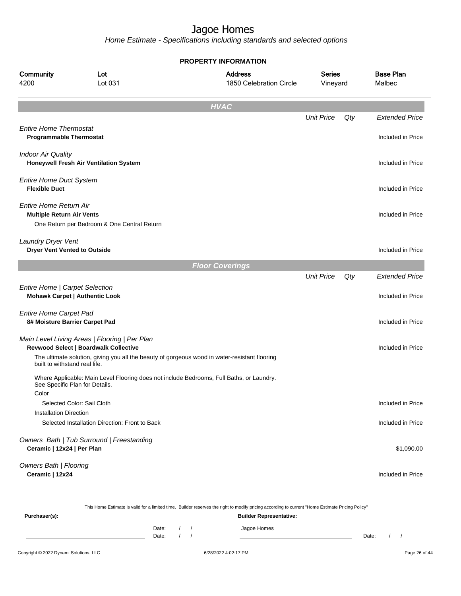Home Estimate - Specifications including standards and selected options

**HVAC** Unit Price Qty Extended Price Entire Home Thermostat **Programmable Thermostat Included in Price** Indoor Air Quality **Honeywell Fresh Air Ventilation System Included in Price** Entire Home Duct System **Flexible Duct** Included in Price Entire Home Return Air **Multiple Return Air Vents** Included in Price One Return per Bedroom & One Central Return Laundry Dryer Vent **Dryer Vent Vented to Outside** Included in Price Included in Price Included in Price Included in Price Included in Price **Floor Coverings** Unit Price Qty Extended Price Entire Home | Carpet Selection **Mohawk Carpet | Authentic Look** Included in Price Entire Home Carpet Pad **8# Moisture Barrier Carpet Pad Included in Price** Main Level Living Areas | Flooring | Per Plan **Revwood Select | Boardwalk Collective Included in Price Included in Price Included in Price Included in Price** The ultimate solution, giving you all the beauty of gorgeous wood in water-resistant flooring built to withstand real life. Where Applicable: Main Level Flooring does not include Bedrooms, Full Baths, or Laundry. See Specific Plan for Details. Color Selected Color: Sail Cloth Included in Price Installation Direction Selected Installation Direction: Front to Back Included in Price Owners Bath | Tub Surround | Freestanding **Ceramic | 12x24 | Per Plan** \$1,090.00 Owners Bath | Flooring **Ceramic | 12x24** Included in Price This Home Estimate is valid for a limited time. Builder reserves the right to modify pricing according to current "Home Estimate Pricing Policy" **PROPERTY INFORMATION** Vineyard Series 1850 Celebration Circle Address 4200 Lot 031 Community Lot Malbec Base Plan

| Purchaser(s): |                |  | <b>Builder Representative:</b> |       |  |
|---------------|----------------|--|--------------------------------|-------|--|
|               | Date:<br>Date: |  | Jagoe Homes                    | Date: |  |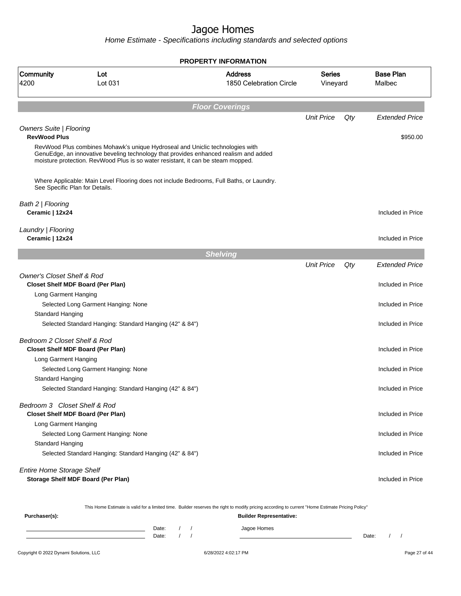Home Estimate - Specifications including standards and selected options

|                                                       |                                                                                  | <b>PROPERTY INFORMATION</b>                                                                                                                      |                           |     |                            |
|-------------------------------------------------------|----------------------------------------------------------------------------------|--------------------------------------------------------------------------------------------------------------------------------------------------|---------------------------|-----|----------------------------|
| Community<br>4200                                     | Lot<br>Lot 031                                                                   | <b>Address</b><br>1850 Celebration Circle                                                                                                        | <b>Series</b><br>Vineyard |     | <b>Base Plan</b><br>Malbec |
|                                                       |                                                                                  | <b>Floor Coverings</b>                                                                                                                           |                           |     |                            |
|                                                       |                                                                                  |                                                                                                                                                  | <b>Unit Price</b>         | Qty | <b>Extended Price</b>      |
| <b>Owners Suite   Flooring</b><br><b>RevWood Plus</b> | RevWood Plus combines Mohawk's unique Hydroseal and Uniclic technologies with    | GenuEdge, an innovative beveling technology that provides enhanced realism and added                                                             |                           |     | \$950.00                   |
|                                                       | moisture protection. RevWood Plus is so water resistant, it can be steam mopped. |                                                                                                                                                  |                           |     |                            |
| See Specific Plan for Details.                        |                                                                                  | Where Applicable: Main Level Flooring does not include Bedrooms, Full Baths, or Laundry.                                                         |                           |     |                            |
| Bath 2   Flooring<br>Ceramic   12x24                  |                                                                                  |                                                                                                                                                  |                           |     | Included in Price          |
| Laundry   Flooring<br>Ceramic   12x24                 |                                                                                  |                                                                                                                                                  |                           |     | Included in Price          |
|                                                       |                                                                                  | <b>Shelving</b>                                                                                                                                  |                           |     |                            |
|                                                       |                                                                                  |                                                                                                                                                  | <b>Unit Price</b>         | Qty | <b>Extended Price</b>      |
| <b>Owner's Closet Shelf &amp; Rod</b>                 | <b>Closet Shelf MDF Board (Per Plan)</b>                                         |                                                                                                                                                  |                           |     | Included in Price          |
| Long Garment Hanging                                  |                                                                                  |                                                                                                                                                  |                           |     |                            |
|                                                       | Selected Long Garment Hanging: None                                              |                                                                                                                                                  |                           |     | Included in Price          |
| Standard Hanging                                      | Selected Standard Hanging: Standard Hanging (42" & 84")                          |                                                                                                                                                  |                           |     | Included in Price          |
| Bedroom 2 Closet Shelf & Rod                          |                                                                                  |                                                                                                                                                  |                           |     |                            |
|                                                       | <b>Closet Shelf MDF Board (Per Plan)</b>                                         |                                                                                                                                                  |                           |     | Included in Price          |
| Long Garment Hanging                                  |                                                                                  |                                                                                                                                                  |                           |     |                            |
|                                                       | Selected Long Garment Hanging: None                                              |                                                                                                                                                  |                           |     | Included in Price          |
| Standard Hanging                                      | Selected Standard Hanging: Standard Hanging (42" & 84")                          |                                                                                                                                                  |                           |     | Included in Price          |
| Bedroom 3 Closet Shelf & Rod                          | <b>Closet Shelf MDF Board (Per Plan)</b>                                         |                                                                                                                                                  |                           |     | Included in Price          |
| Long Garment Hanging                                  | Selected Long Garment Hanging: None                                              |                                                                                                                                                  |                           |     | Included in Price          |
| Standard Hanging                                      |                                                                                  |                                                                                                                                                  |                           |     |                            |
|                                                       | Selected Standard Hanging: Standard Hanging (42" & 84")                          |                                                                                                                                                  |                           |     | Included in Price          |
| <b>Entire Home Storage Shelf</b>                      |                                                                                  |                                                                                                                                                  |                           |     |                            |
|                                                       | Storage Shelf MDF Board (Per Plan)                                               |                                                                                                                                                  |                           |     | Included in Price          |
|                                                       |                                                                                  | This Home Estimate is valid for a limited time. Builder reserves the right to modify pricing according to current "Home Estimate Pricing Policy" |                           |     |                            |
| Purchaser(s):                                         |                                                                                  | <b>Builder Representative:</b>                                                                                                                   |                           |     |                            |

Date: / / Jagoe Homes<br>Date: / / Jagoe Homes Date: / / Date: / /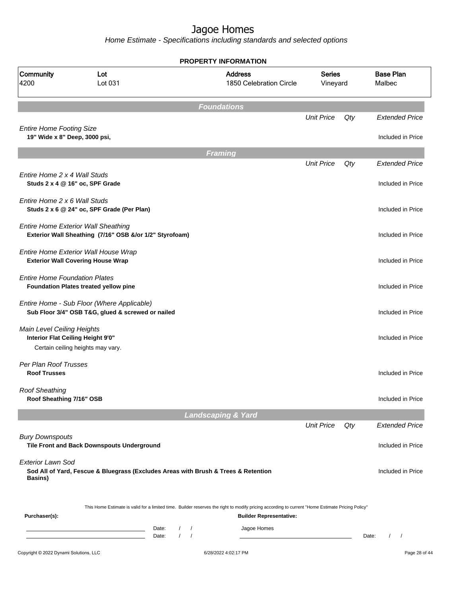| Community<br>4200                                                | Lot<br>Lot 031                                                                                        |                                                         | <b>Address</b><br>1850 Celebration Circle                                                                                                                                          | <b>Series</b><br>Vineyard |       | <b>Base Plan</b><br>Malbec |
|------------------------------------------------------------------|-------------------------------------------------------------------------------------------------------|---------------------------------------------------------|------------------------------------------------------------------------------------------------------------------------------------------------------------------------------------|---------------------------|-------|----------------------------|
|                                                                  |                                                                                                       |                                                         | <b>Foundations</b>                                                                                                                                                                 |                           |       |                            |
|                                                                  |                                                                                                       |                                                         |                                                                                                                                                                                    | <b>Unit Price</b>         | Qty   | <b>Extended Price</b>      |
| <b>Entire Home Footing Size</b><br>19" Wide x 8" Deep, 3000 psi, |                                                                                                       |                                                         |                                                                                                                                                                                    |                           |       | Included in Price          |
|                                                                  |                                                                                                       |                                                         | <b>Framing</b>                                                                                                                                                                     |                           |       |                            |
|                                                                  |                                                                                                       |                                                         |                                                                                                                                                                                    | <b>Unit Price</b>         | Qty   | <b>Extended Price</b>      |
| Entire Home 2 x 4 Wall Studs<br>Studs 2 x 4 @ 16" oc, SPF Grade  |                                                                                                       |                                                         |                                                                                                                                                                                    |                           |       | Included in Price          |
| Entire Home 2 x 6 Wall Studs                                     | Studs 2 x 6 @ 24" oc, SPF Grade (Per Plan)                                                            |                                                         |                                                                                                                                                                                    |                           |       | Included in Price          |
|                                                                  | <b>Entire Home Exterior Wall Sheathing</b><br>Exterior Wall Sheathing (7/16" OSB &/or 1/2" Styrofoam) |                                                         |                                                                                                                                                                                    |                           |       | Included in Price          |
|                                                                  | Entire Home Exterior Wall House Wrap<br><b>Exterior Wall Covering House Wrap</b>                      |                                                         |                                                                                                                                                                                    |                           |       | Included in Price          |
| <b>Entire Home Foundation Plates</b>                             | Foundation Plates treated yellow pine                                                                 |                                                         |                                                                                                                                                                                    |                           |       | Included in Price          |
|                                                                  | Entire Home - Sub Floor (Where Applicable)<br>Sub Floor 3/4" OSB T&G, glued & screwed or nailed       |                                                         |                                                                                                                                                                                    |                           |       | Included in Price          |
| Main Level Ceiling Heights<br>Interior Flat Ceiling Height 9'0"  | Certain ceiling heights may vary.                                                                     |                                                         |                                                                                                                                                                                    |                           |       | Included in Price          |
| Per Plan Roof Trusses<br><b>Roof Trusses</b>                     |                                                                                                       |                                                         |                                                                                                                                                                                    |                           |       | Included in Price          |
| <b>Roof Sheathing</b><br>Roof Sheathing 7/16" OSB                |                                                                                                       |                                                         |                                                                                                                                                                                    |                           |       | Included in Price          |
|                                                                  |                                                                                                       |                                                         | <b>Landscaping &amp; Yard</b>                                                                                                                                                      |                           |       |                            |
|                                                                  |                                                                                                       |                                                         |                                                                                                                                                                                    | <b>Unit Price</b>         | Qty   | <b>Extended Price</b>      |
| <b>Bury Downspouts</b>                                           | Tile Front and Back Downspouts Underground                                                            |                                                         |                                                                                                                                                                                    |                           |       | Included in Price          |
| <b>Exterior Lawn Sod</b><br><b>Basins</b> )                      | Sod All of Yard, Fescue & Bluegrass (Excludes Areas with Brush & Trees & Retention                    |                                                         |                                                                                                                                                                                    |                           |       | Included in Price          |
| Purchaser(s):                                                    |                                                                                                       |                                                         | This Home Estimate is valid for a limited time. Builder reserves the right to modify pricing according to current "Home Estimate Pricing Policy"<br><b>Builder Representative:</b> |                           |       |                            |
|                                                                  |                                                                                                       | Date:<br>$\sqrt{2}$<br>$\prime$<br>$1 \quad 1$<br>Date: | Jagoe Homes                                                                                                                                                                        |                           | Date: | $\sqrt{2}$<br>$\prime$     |
| Copyright © 2022 Dynami Solutions, LLC                           |                                                                                                       |                                                         | 6/28/2022 4:02:17 PM                                                                                                                                                               |                           |       | Page 28 of 44              |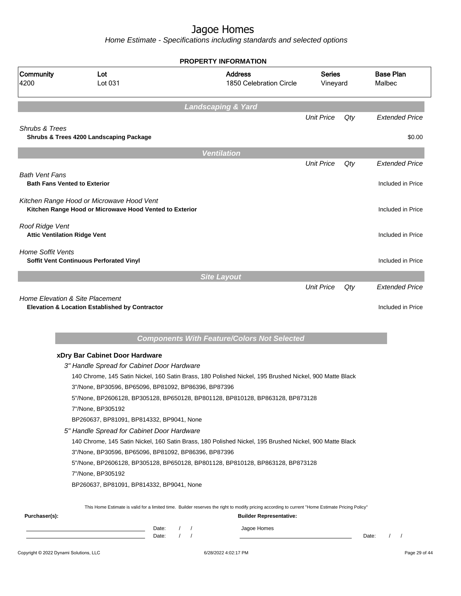Home Estimate - Specifications including standards and selected options

|                                                        |                                                                                                      |                      | <b>PROPERTY INFORMATION</b>                                                                                                                                                        |                           |     |                                               |
|--------------------------------------------------------|------------------------------------------------------------------------------------------------------|----------------------|------------------------------------------------------------------------------------------------------------------------------------------------------------------------------------|---------------------------|-----|-----------------------------------------------|
| Community<br>4200                                      | Lot<br>Lot 031                                                                                       |                      | <b>Address</b><br>1850 Celebration Circle                                                                                                                                          | <b>Series</b><br>Vineyard |     | <b>Base Plan</b><br>Malbec                    |
|                                                        |                                                                                                      |                      | <b>Landscaping &amp; Yard</b>                                                                                                                                                      |                           |     |                                               |
|                                                        |                                                                                                      |                      |                                                                                                                                                                                    | <b>Unit Price</b>         | Qty | <b>Extended Price</b>                         |
| <b>Shrubs &amp; Trees</b>                              | Shrubs & Trees 4200 Landscaping Package                                                              |                      |                                                                                                                                                                                    |                           |     | \$0.00                                        |
|                                                        |                                                                                                      |                      | <b>Ventilation</b>                                                                                                                                                                 |                           |     |                                               |
|                                                        |                                                                                                      |                      |                                                                                                                                                                                    | <b>Unit Price</b>         | Qty | <b>Extended Price</b>                         |
| Bath Vent Fans<br><b>Bath Fans Vented to Exterior</b>  |                                                                                                      |                      |                                                                                                                                                                                    |                           |     | Included in Price                             |
|                                                        | Kitchen Range Hood or Microwave Hood Vent<br>Kitchen Range Hood or Microwave Hood Vented to Exterior |                      |                                                                                                                                                                                    |                           |     | Included in Price                             |
| Roof Ridge Vent<br><b>Attic Ventilation Ridge Vent</b> |                                                                                                      |                      |                                                                                                                                                                                    |                           |     | Included in Price                             |
| <b>Home Soffit Vents</b>                               | Soffit Vent Continuous Perforated Vinyl                                                              |                      |                                                                                                                                                                                    |                           |     | Included in Price                             |
|                                                        |                                                                                                      |                      | <b>Site Layout</b>                                                                                                                                                                 |                           |     |                                               |
|                                                        | <b>Home Elevation &amp; Site Placement</b><br>Elevation & Location Established by Contractor         |                      | <b>Components With Feature/Colors Not Selected</b>                                                                                                                                 |                           | Qty | Included in Price                             |
|                                                        | xDry Bar Cabinet Door Hardware                                                                       |                      |                                                                                                                                                                                    |                           |     |                                               |
|                                                        | 3" Handle Spread for Cabinet Door Hardware                                                           |                      |                                                                                                                                                                                    |                           |     |                                               |
|                                                        |                                                                                                      |                      | 140 Chrome, 145 Satin Nickel, 160 Satin Brass, 180 Polished Nickel, 195 Brushed Nickel, 900 Matte Black                                                                            |                           |     |                                               |
|                                                        | 3"/None, BP30596, BP65096, BP81092, BP86396, BP87396                                                 |                      |                                                                                                                                                                                    |                           |     |                                               |
|                                                        |                                                                                                      |                      | 5"/None, BP2606128, BP305128, BP650128, BP801128, BP810128, BP863128, BP873128                                                                                                     |                           |     |                                               |
|                                                        | 7"/None, BP305192                                                                                    |                      |                                                                                                                                                                                    |                           |     |                                               |
|                                                        | BP260637, BP81091, BP814332, BP9041, None                                                            |                      |                                                                                                                                                                                    |                           |     |                                               |
|                                                        | 5" Handle Spread for Cabinet Door Hardware                                                           |                      |                                                                                                                                                                                    |                           |     |                                               |
|                                                        |                                                                                                      |                      | 140 Chrome, 145 Satin Nickel, 160 Satin Brass, 180 Polished Nickel, 195 Brushed Nickel, 900 Matte Black                                                                            |                           |     |                                               |
|                                                        | 3"/None, BP30596, BP65096, BP81092, BP86396, BP87396                                                 |                      |                                                                                                                                                                                    |                           |     |                                               |
|                                                        |                                                                                                      |                      | 5"/None, BP2606128, BP305128, BP650128, BP801128, BP810128, BP863128, BP873128                                                                                                     |                           |     |                                               |
|                                                        | 7"/None, BP305192                                                                                    |                      |                                                                                                                                                                                    |                           |     |                                               |
|                                                        | BP260637, BP81091, BP814332, BP9041, None                                                            |                      |                                                                                                                                                                                    |                           |     |                                               |
| Purchaser(s):                                          |                                                                                                      |                      | This Home Estimate is valid for a limited time. Builder reserves the right to modify pricing according to current "Home Estimate Pricing Policy"<br><b>Builder Representative:</b> |                           |     |                                               |
|                                                        |                                                                                                      | Date:                | Jagoe Homes                                                                                                                                                                        |                           |     |                                               |
|                                                        |                                                                                                      | $1 \quad 1$<br>Date: |                                                                                                                                                                                    |                           |     | $\prime$<br>Date:<br>$\overline{\phantom{a}}$ |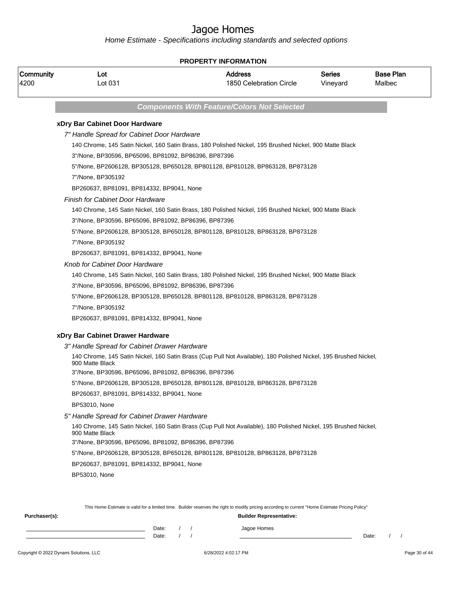| Community<br>4200 | Lot<br>Lot 031                                       | <b>Address</b><br>1850 Celebration Circle                                                                                                        | <b>Series</b><br>Vineyard | <b>Base Plan</b><br>Malbec |
|-------------------|------------------------------------------------------|--------------------------------------------------------------------------------------------------------------------------------------------------|---------------------------|----------------------------|
|                   |                                                      | <b>Components With Feature/Colors Not Selected</b>                                                                                               |                           |                            |
|                   | xDry Bar Cabinet Door Hardware                       |                                                                                                                                                  |                           |                            |
|                   | 7" Handle Spread for Cabinet Door Hardware           |                                                                                                                                                  |                           |                            |
|                   |                                                      | 140 Chrome, 145 Satin Nickel, 160 Satin Brass, 180 Polished Nickel, 195 Brushed Nickel, 900 Matte Black                                          |                           |                            |
|                   | 3"/None, BP30596, BP65096, BP81092, BP86396, BP87396 |                                                                                                                                                  |                           |                            |
|                   |                                                      | 5"/None, BP2606128, BP305128, BP650128, BP801128, BP810128, BP863128, BP873128                                                                   |                           |                            |
|                   | 7"/None, BP305192                                    |                                                                                                                                                  |                           |                            |
|                   | BP260637, BP81091, BP814332, BP9041, None            |                                                                                                                                                  |                           |                            |
|                   | <b>Finish for Cabinet Door Hardware</b>              |                                                                                                                                                  |                           |                            |
|                   |                                                      | 140 Chrome, 145 Satin Nickel, 160 Satin Brass, 180 Polished Nickel, 195 Brushed Nickel, 900 Matte Black                                          |                           |                            |
|                   | 3"/None, BP30596, BP65096, BP81092, BP86396, BP87396 |                                                                                                                                                  |                           |                            |
|                   |                                                      | 5"/None, BP2606128, BP305128, BP650128, BP801128, BP810128, BP863128, BP873128                                                                   |                           |                            |
|                   | 7"/None, BP305192                                    |                                                                                                                                                  |                           |                            |
|                   | BP260637, BP81091, BP814332, BP9041, None            |                                                                                                                                                  |                           |                            |
|                   | Knob for Cabinet Door Hardware                       |                                                                                                                                                  |                           |                            |
|                   |                                                      | 140 Chrome, 145 Satin Nickel, 160 Satin Brass, 180 Polished Nickel, 195 Brushed Nickel, 900 Matte Black                                          |                           |                            |
|                   | 3"/None, BP30596, BP65096, BP81092, BP86396, BP87396 |                                                                                                                                                  |                           |                            |
|                   |                                                      | 5"/None, BP2606128, BP305128, BP650128, BP801128, BP810128, BP863128, BP873128                                                                   |                           |                            |
|                   | 7"/None, BP305192                                    |                                                                                                                                                  |                           |                            |
|                   | BP260637, BP81091, BP814332, BP9041, None            |                                                                                                                                                  |                           |                            |
|                   | xDry Bar Cabinet Drawer Hardware                     |                                                                                                                                                  |                           |                            |
|                   | 3" Handle Spread for Cabinet Drawer Hardware         |                                                                                                                                                  |                           |                            |
|                   | 900 Matte Black                                      | 140 Chrome, 145 Satin Nickel, 160 Satin Brass (Cup Pull Not Available), 180 Polished Nickel, 195 Brushed Nickel,                                 |                           |                            |
|                   | 3"/None, BP30596, BP65096, BP81092, BP86396, BP87396 |                                                                                                                                                  |                           |                            |
|                   |                                                      | 5"/None, BP2606128, BP305128, BP650128, BP801128, BP810128, BP863128, BP873128                                                                   |                           |                            |
|                   | BP260637, BP81091, BP814332, BP9041, None            |                                                                                                                                                  |                           |                            |
|                   | BP53010, None                                        |                                                                                                                                                  |                           |                            |
|                   | 5" Handle Spread for Cabinet Drawer Hardware         |                                                                                                                                                  |                           |                            |
|                   | 900 Matte Black                                      | 140 Chrome, 145 Satin Nickel, 160 Satin Brass (Cup Pull Not Available), 180 Polished Nickel, 195 Brushed Nickel,                                 |                           |                            |
|                   | 3"/None, BP30596, BP65096, BP81092, BP86396, BP87396 |                                                                                                                                                  |                           |                            |
|                   |                                                      | 5"/None, BP2606128, BP305128, BP650128, BP801128, BP810128, BP863128, BP873128                                                                   |                           |                            |
|                   | BP260637, BP81091, BP814332, BP9041, None            |                                                                                                                                                  |                           |                            |
|                   | <b>BP53010, None</b>                                 |                                                                                                                                                  |                           |                            |
|                   |                                                      |                                                                                                                                                  |                           |                            |
|                   |                                                      |                                                                                                                                                  |                           |                            |
|                   |                                                      | This Home Estimate is valid for a limited time. Builder reserves the right to modify pricing according to current "Home Estimate Pricing Policy" |                           |                            |

| Purchaser(s): |       |  | <b>Builder Representative:</b> |       |  |
|---------------|-------|--|--------------------------------|-------|--|
|               | Date: |  | Jagoe Homes                    |       |  |
|               | Date: |  |                                | Date: |  |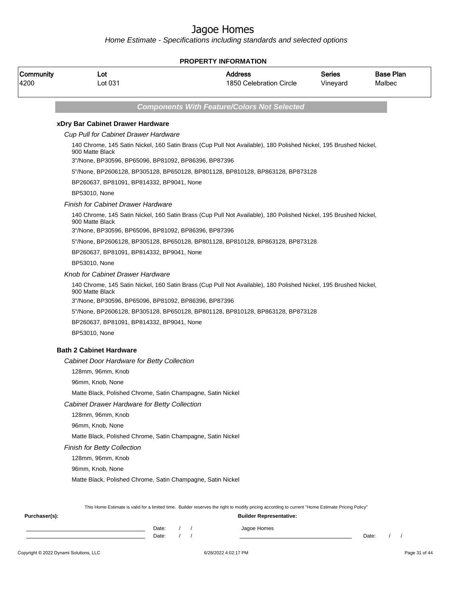|                   | <b>PROPERTY INFORMATION</b>                                             |  |                                                                                                                                                  |                           |                            |  |  |  |  |
|-------------------|-------------------------------------------------------------------------|--|--------------------------------------------------------------------------------------------------------------------------------------------------|---------------------------|----------------------------|--|--|--|--|
| Community<br>4200 | Lot<br>Lot 031                                                          |  | <b>Address</b><br>1850 Celebration Circle                                                                                                        | <b>Series</b><br>Vineyard | <b>Base Plan</b><br>Malbec |  |  |  |  |
|                   |                                                                         |  | <b>Components With Feature/Colors Not Selected</b>                                                                                               |                           |                            |  |  |  |  |
|                   | xDry Bar Cabinet Drawer Hardware                                        |  |                                                                                                                                                  |                           |                            |  |  |  |  |
|                   | <b>Cup Pull for Cabinet Drawer Hardware</b>                             |  |                                                                                                                                                  |                           |                            |  |  |  |  |
|                   | 900 Matte Black<br>3"/None, BP30596, BP65096, BP81092, BP86396, BP87396 |  | 140 Chrome, 145 Satin Nickel, 160 Satin Brass (Cup Pull Not Available), 180 Polished Nickel, 195 Brushed Nickel,                                 |                           |                            |  |  |  |  |
|                   |                                                                         |  |                                                                                                                                                  |                           |                            |  |  |  |  |
|                   |                                                                         |  | 5"/None, BP2606128, BP305128, BP650128, BP801128, BP810128, BP863128, BP873128                                                                   |                           |                            |  |  |  |  |
|                   | BP260637, BP81091, BP814332, BP9041, None                               |  |                                                                                                                                                  |                           |                            |  |  |  |  |
|                   | <b>BP53010, None</b>                                                    |  |                                                                                                                                                  |                           |                            |  |  |  |  |
|                   | <b>Finish for Cabinet Drawer Hardware</b>                               |  | 140 Chrome, 145 Satin Nickel, 160 Satin Brass (Cup Pull Not Available), 180 Polished Nickel, 195 Brushed Nickel,                                 |                           |                            |  |  |  |  |
|                   | 900 Matte Black                                                         |  |                                                                                                                                                  |                           |                            |  |  |  |  |
|                   | 3"/None, BP30596, BP65096, BP81092, BP86396, BP87396                    |  |                                                                                                                                                  |                           |                            |  |  |  |  |
|                   |                                                                         |  | 5"/None, BP2606128, BP305128, BP650128, BP801128, BP810128, BP863128, BP873128                                                                   |                           |                            |  |  |  |  |
|                   | BP260637, BP81091, BP814332, BP9041, None                               |  |                                                                                                                                                  |                           |                            |  |  |  |  |
|                   | BP53010, None                                                           |  |                                                                                                                                                  |                           |                            |  |  |  |  |
|                   | Knob for Cabinet Drawer Hardware                                        |  |                                                                                                                                                  |                           |                            |  |  |  |  |
|                   | 900 Matte Black                                                         |  | 140 Chrome, 145 Satin Nickel, 160 Satin Brass (Cup Pull Not Available), 180 Polished Nickel, 195 Brushed Nickel,                                 |                           |                            |  |  |  |  |
|                   | 3"/None, BP30596, BP65096, BP81092, BP86396, BP87396                    |  |                                                                                                                                                  |                           |                            |  |  |  |  |
|                   |                                                                         |  | 5"/None, BP2606128, BP305128, BP650128, BP801128, BP810128, BP863128, BP873128                                                                   |                           |                            |  |  |  |  |
|                   | BP260637, BP81091, BP814332, BP9041, None                               |  |                                                                                                                                                  |                           |                            |  |  |  |  |
|                   | <b>BP53010, None</b>                                                    |  |                                                                                                                                                  |                           |                            |  |  |  |  |
|                   | <b>Bath 2 Cabinet Hardware</b>                                          |  |                                                                                                                                                  |                           |                            |  |  |  |  |
|                   | Cabinet Door Hardware for Betty Collection                              |  |                                                                                                                                                  |                           |                            |  |  |  |  |
|                   | 128mm, 96mm, Knob                                                       |  |                                                                                                                                                  |                           |                            |  |  |  |  |
|                   | 96mm, Knob, None                                                        |  |                                                                                                                                                  |                           |                            |  |  |  |  |
|                   | Matte Black, Polished Chrome, Satin Champagne, Satin Nickel             |  |                                                                                                                                                  |                           |                            |  |  |  |  |
|                   | Cabinet Drawer Hardware for Betty Collection                            |  |                                                                                                                                                  |                           |                            |  |  |  |  |
|                   | 128mm, 96mm, Knob                                                       |  |                                                                                                                                                  |                           |                            |  |  |  |  |
|                   | 96mm, Knob, None                                                        |  |                                                                                                                                                  |                           |                            |  |  |  |  |
|                   | Matte Black, Polished Chrome, Satin Champagne, Satin Nickel             |  |                                                                                                                                                  |                           |                            |  |  |  |  |
|                   | <b>Finish for Betty Collection</b>                                      |  |                                                                                                                                                  |                           |                            |  |  |  |  |
|                   | 128mm, 96mm, Knob                                                       |  |                                                                                                                                                  |                           |                            |  |  |  |  |
|                   | 96mm, Knob, None                                                        |  |                                                                                                                                                  |                           |                            |  |  |  |  |
|                   | Matte Black, Polished Chrome, Satin Champagne, Satin Nickel             |  |                                                                                                                                                  |                           |                            |  |  |  |  |
|                   |                                                                         |  |                                                                                                                                                  |                           |                            |  |  |  |  |
|                   |                                                                         |  | This Home Estimate is valid for a limited time. Builder reserves the right to modify pricing according to current "Home Estimate Pricing Policy" |                           |                            |  |  |  |  |
| Purchaser(s):     |                                                                         |  | <b>Builder Representative:</b>                                                                                                                   |                           |                            |  |  |  |  |
|                   | Date:                                                                   |  | Jagoe Homes                                                                                                                                      |                           |                            |  |  |  |  |
|                   | Date:                                                                   |  |                                                                                                                                                  |                           | Date:                      |  |  |  |  |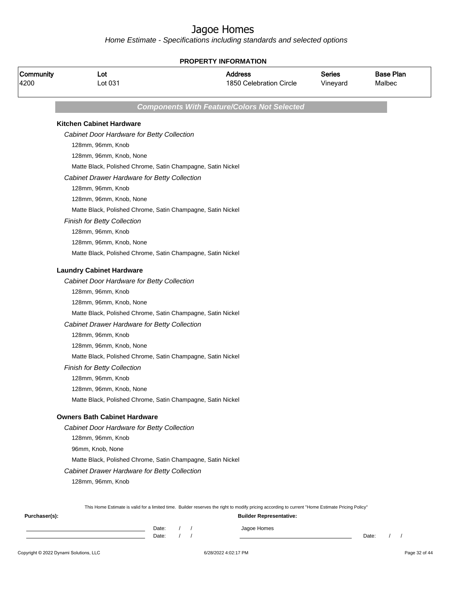Home Estimate - Specifications including standards and selected options

|                   |                                                             |       | <b>PROPERTY INFORMATION</b>                                                                                                                                                        |                           |                            |
|-------------------|-------------------------------------------------------------|-------|------------------------------------------------------------------------------------------------------------------------------------------------------------------------------------|---------------------------|----------------------------|
| Community<br>4200 | Lot<br>Lot 031                                              |       | <b>Address</b><br>1850 Celebration Circle                                                                                                                                          | <b>Series</b><br>Vineyard | <b>Base Plan</b><br>Malbec |
|                   |                                                             |       | <b>Components With Feature/Colors Not Selected</b>                                                                                                                                 |                           |                            |
|                   | <b>Kitchen Cabinet Hardware</b>                             |       |                                                                                                                                                                                    |                           |                            |
|                   | Cabinet Door Hardware for Betty Collection                  |       |                                                                                                                                                                                    |                           |                            |
|                   | 128mm, 96mm, Knob                                           |       |                                                                                                                                                                                    |                           |                            |
|                   | 128mm, 96mm, Knob, None                                     |       |                                                                                                                                                                                    |                           |                            |
|                   | Matte Black, Polished Chrome, Satin Champagne, Satin Nickel |       |                                                                                                                                                                                    |                           |                            |
|                   | Cabinet Drawer Hardware for Betty Collection                |       |                                                                                                                                                                                    |                           |                            |
|                   | 128mm, 96mm, Knob                                           |       |                                                                                                                                                                                    |                           |                            |
|                   | 128mm, 96mm, Knob, None                                     |       |                                                                                                                                                                                    |                           |                            |
|                   | Matte Black, Polished Chrome, Satin Champagne, Satin Nickel |       |                                                                                                                                                                                    |                           |                            |
|                   | <b>Finish for Betty Collection</b>                          |       |                                                                                                                                                                                    |                           |                            |
|                   | 128mm, 96mm, Knob                                           |       |                                                                                                                                                                                    |                           |                            |
|                   | 128mm, 96mm, Knob, None                                     |       |                                                                                                                                                                                    |                           |                            |
|                   | Matte Black, Polished Chrome, Satin Champagne, Satin Nickel |       |                                                                                                                                                                                    |                           |                            |
|                   | <b>Laundry Cabinet Hardware</b>                             |       |                                                                                                                                                                                    |                           |                            |
|                   | Cabinet Door Hardware for Betty Collection                  |       |                                                                                                                                                                                    |                           |                            |
|                   | 128mm, 96mm, Knob                                           |       |                                                                                                                                                                                    |                           |                            |
|                   | 128mm, 96mm, Knob, None                                     |       |                                                                                                                                                                                    |                           |                            |
|                   | Matte Black, Polished Chrome, Satin Champagne, Satin Nickel |       |                                                                                                                                                                                    |                           |                            |
|                   | Cabinet Drawer Hardware for Betty Collection                |       |                                                                                                                                                                                    |                           |                            |
|                   | 128mm, 96mm, Knob                                           |       |                                                                                                                                                                                    |                           |                            |
|                   | 128mm, 96mm, Knob, None                                     |       |                                                                                                                                                                                    |                           |                            |
|                   | Matte Black, Polished Chrome, Satin Champagne, Satin Nickel |       |                                                                                                                                                                                    |                           |                            |
|                   | <b>Finish for Betty Collection</b>                          |       |                                                                                                                                                                                    |                           |                            |
|                   | 128mm, 96mm, Knob                                           |       |                                                                                                                                                                                    |                           |                            |
|                   | 128mm, 96mm, Knob, None                                     |       |                                                                                                                                                                                    |                           |                            |
|                   | Matte Black, Polished Chrome, Satin Champagne, Satin Nickel |       |                                                                                                                                                                                    |                           |                            |
|                   | <b>Owners Bath Cabinet Hardware</b>                         |       |                                                                                                                                                                                    |                           |                            |
|                   | Cabinet Door Hardware for Betty Collection                  |       |                                                                                                                                                                                    |                           |                            |
|                   | 128mm, 96mm, Knob                                           |       |                                                                                                                                                                                    |                           |                            |
|                   | 96mm, Knob, None                                            |       |                                                                                                                                                                                    |                           |                            |
|                   | Matte Black, Polished Chrome, Satin Champagne, Satin Nickel |       |                                                                                                                                                                                    |                           |                            |
|                   | Cabinet Drawer Hardware for Betty Collection                |       |                                                                                                                                                                                    |                           |                            |
|                   | 128mm, 96mm, Knob                                           |       |                                                                                                                                                                                    |                           |                            |
|                   |                                                             |       |                                                                                                                                                                                    |                           |                            |
| Purchaser(s):     |                                                             |       | This Home Estimate is valid for a limited time. Builder reserves the right to modify pricing according to current "Home Estimate Pricing Policy"<br><b>Builder Representative:</b> |                           |                            |
|                   |                                                             | Date: | Jagoe Homes                                                                                                                                                                        |                           |                            |
|                   |                                                             | Date: |                                                                                                                                                                                    |                           | Date:                      |

Copyright © 2022 Dynami Solutions, LLC <br>
6/28/2022 4:02:17 PM Page 32 of 44

Date: / / Date: / /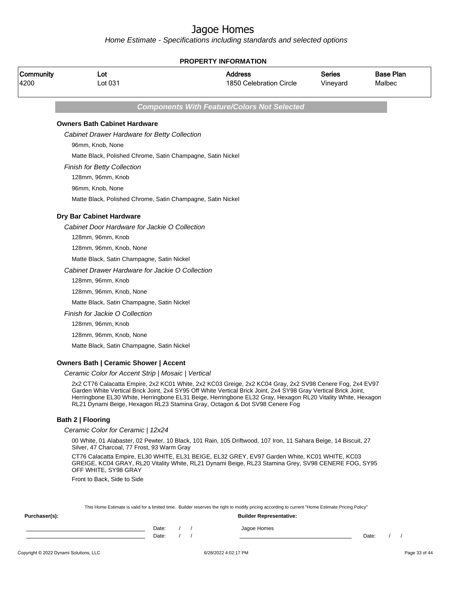Home Estimate - Specifications including standards and selected options

|                   | <b>PROPERTY INFORMATION</b>                                 |                                                                                                                                                                                                                                                                                                                                                                                                                           |                           |                            |  |  |  |  |
|-------------------|-------------------------------------------------------------|---------------------------------------------------------------------------------------------------------------------------------------------------------------------------------------------------------------------------------------------------------------------------------------------------------------------------------------------------------------------------------------------------------------------------|---------------------------|----------------------------|--|--|--|--|
| Community<br>4200 | Lot<br>Lot 031                                              | Address<br>1850 Celebration Circle                                                                                                                                                                                                                                                                                                                                                                                        | <b>Series</b><br>Vineyard | <b>Base Plan</b><br>Malbec |  |  |  |  |
|                   |                                                             | <b>Components With Feature/Colors Not Selected</b>                                                                                                                                                                                                                                                                                                                                                                        |                           |                            |  |  |  |  |
|                   | <b>Owners Bath Cabinet Hardware</b>                         |                                                                                                                                                                                                                                                                                                                                                                                                                           |                           |                            |  |  |  |  |
|                   | Cabinet Drawer Hardware for Betty Collection                |                                                                                                                                                                                                                                                                                                                                                                                                                           |                           |                            |  |  |  |  |
|                   | 96mm, Knob, None                                            |                                                                                                                                                                                                                                                                                                                                                                                                                           |                           |                            |  |  |  |  |
|                   | Matte Black, Polished Chrome, Satin Champagne, Satin Nickel |                                                                                                                                                                                                                                                                                                                                                                                                                           |                           |                            |  |  |  |  |
|                   | <b>Finish for Betty Collection</b>                          |                                                                                                                                                                                                                                                                                                                                                                                                                           |                           |                            |  |  |  |  |
|                   | 128mm, 96mm, Knob                                           |                                                                                                                                                                                                                                                                                                                                                                                                                           |                           |                            |  |  |  |  |
|                   | 96mm, Knob, None                                            |                                                                                                                                                                                                                                                                                                                                                                                                                           |                           |                            |  |  |  |  |
|                   | Matte Black, Polished Chrome, Satin Champagne, Satin Nickel |                                                                                                                                                                                                                                                                                                                                                                                                                           |                           |                            |  |  |  |  |
|                   | Dry Bar Cabinet Hardware                                    |                                                                                                                                                                                                                                                                                                                                                                                                                           |                           |                            |  |  |  |  |
|                   | Cabinet Door Hardware for Jackie O Collection               |                                                                                                                                                                                                                                                                                                                                                                                                                           |                           |                            |  |  |  |  |
|                   | 128mm, 96mm, Knob                                           |                                                                                                                                                                                                                                                                                                                                                                                                                           |                           |                            |  |  |  |  |
|                   | 128mm, 96mm, Knob, None                                     |                                                                                                                                                                                                                                                                                                                                                                                                                           |                           |                            |  |  |  |  |
|                   | Matte Black, Satin Champagne, Satin Nickel                  |                                                                                                                                                                                                                                                                                                                                                                                                                           |                           |                            |  |  |  |  |
|                   | Cabinet Drawer Hardware for Jackie O Collection             |                                                                                                                                                                                                                                                                                                                                                                                                                           |                           |                            |  |  |  |  |
|                   | 128mm, 96mm, Knob                                           |                                                                                                                                                                                                                                                                                                                                                                                                                           |                           |                            |  |  |  |  |
|                   | 128mm, 96mm, Knob, None                                     |                                                                                                                                                                                                                                                                                                                                                                                                                           |                           |                            |  |  |  |  |
|                   | Matte Black, Satin Champagne, Satin Nickel                  |                                                                                                                                                                                                                                                                                                                                                                                                                           |                           |                            |  |  |  |  |
|                   | Finish for Jackie O Collection                              |                                                                                                                                                                                                                                                                                                                                                                                                                           |                           |                            |  |  |  |  |
|                   | 128mm, 96mm, Knob                                           |                                                                                                                                                                                                                                                                                                                                                                                                                           |                           |                            |  |  |  |  |
|                   | 128mm, 96mm, Knob, None                                     |                                                                                                                                                                                                                                                                                                                                                                                                                           |                           |                            |  |  |  |  |
|                   | Matte Black, Satin Champagne, Satin Nickel                  |                                                                                                                                                                                                                                                                                                                                                                                                                           |                           |                            |  |  |  |  |
|                   | <b>Owners Bath   Ceramic Shower   Accent</b>                |                                                                                                                                                                                                                                                                                                                                                                                                                           |                           |                            |  |  |  |  |
|                   | Ceramic Color for Accent Strip   Mosaic   Vertical          |                                                                                                                                                                                                                                                                                                                                                                                                                           |                           |                            |  |  |  |  |
|                   |                                                             | 2x2 CT76 Calacatta Empire, 2x2 KC01 White, 2x2 KC03 Greige, 2x2 KC04 Gray, 2x2 SV98 Cenere Fog, 2x4 EV97<br>Garden White Vertical Brick Joint, 2x4 SY95 Off White Vertical Brick Joint, 2x4 SY98 Gray Vertical Brick Joint,<br>Herringbone EL30 White, Herringbone EL31 Beige, Herringbone EL32 Gray, Hexagon RL20 Vitality White, Hexagon<br>RL21 Dynami Beige, Hexagon RL23 Stamina Gray, Octagon & Dot SV98 Cenere Fog |                           |                            |  |  |  |  |
|                   | Bath 2   Flooring                                           |                                                                                                                                                                                                                                                                                                                                                                                                                           |                           |                            |  |  |  |  |
|                   | Ceramic Color for Ceramic   12x24                           |                                                                                                                                                                                                                                                                                                                                                                                                                           |                           |                            |  |  |  |  |
|                   |                                                             |                                                                                                                                                                                                                                                                                                                                                                                                                           |                           |                            |  |  |  |  |

00 White, 01 Alabaster, 02 Pewter, 10 Black, 101 Rain, 105 Driftwood, 107 Iron, 11 Sahara Beige, 14 Biscuit, 27 Silver, 47 Charcoal, 77 Frost, 93 Warm Gray

CT76 Calacatta Empire, EL30 WHITE, EL31 BEIGE, EL32 GREY, EV97 Garden White, KC01 WHITE, KC03 GREIGE, KC04 GRAY, RL20 Vitality White, RL21 Dynami Beige, RL23 Stamina Grey, SV98 CENERE FOG, SY95 OFF WHITE, SY98 GRAY

Front to Back, Side to Side

This Home Estimate is valid for a limited time. Builder reserves the right to modify pricing according to current "Home Estimate Pricing Policy"

| Purchaser(s): |                |  | <b>Builder Representative:</b> |       |  |
|---------------|----------------|--|--------------------------------|-------|--|
|               | Date:<br>Date: |  | Jagoe Homes                    | Date: |  |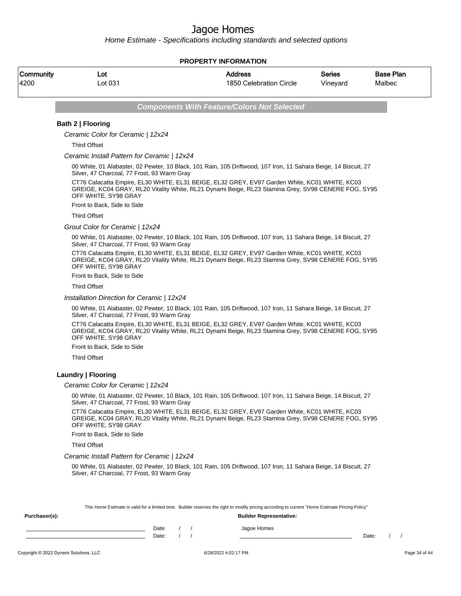Home Estimate - Specifications including standards and selected options

### **PROPERTY INFORMATION**

| Community | ∟ot     | <b>Address</b>          | Series   | <b>Base Plan</b> |
|-----------|---------|-------------------------|----------|------------------|
| 4200      | ∟ot 031 | 1850 Celebration Circle | Vineyard | Malbec           |

**Components With Feature/Colors Not Selected**

## **Bath 2 | Flooring**

Ceramic Color for Ceramic | 12x24

Third Offset

#### Ceramic Install Pattern for Ceramic | 12x24

00 White, 01 Alabaster, 02 Pewter, 10 Black, 101 Rain, 105 Driftwood, 107 Iron, 11 Sahara Beige, 14 Biscuit, 27 Silver, 47 Charcoal, 77 Frost, 93 Warm Gray

CT76 Calacatta Empire, EL30 WHITE, EL31 BEIGE, EL32 GREY, EV97 Garden White, KC01 WHITE, KC03 GREIGE, KC04 GRAY, RL20 Vitality White, RL21 Dynami Beige, RL23 Stamina Grey, SV98 CENERE FOG, SY95 OFF WHITE, SY98 GRAY

Front to Back, Side to Side

Third Offset

Grout Color for Ceramic | 12x24

00 White, 01 Alabaster, 02 Pewter, 10 Black, 101 Rain, 105 Driftwood, 107 Iron, 11 Sahara Beige, 14 Biscuit, 27 Silver, 47 Charcoal, 77 Frost, 93 Warm Gray

CT76 Calacatta Empire, EL30 WHITE, EL31 BEIGE, EL32 GREY, EV97 Garden White, KC01 WHITE, KC03 GREIGE, KC04 GRAY, RL20 Vitality White, RL21 Dynami Beige, RL23 Stamina Grey, SV98 CENERE FOG, SY95 OFF WHITE, SY98 GRAY

Front to Back, Side to Side

Third Offset

Installation Direction for Ceramic | 12x24

00 White, 01 Alabaster, 02 Pewter, 10 Black, 101 Rain, 105 Driftwood, 107 Iron, 11 Sahara Beige, 14 Biscuit, 27 Silver, 47 Charcoal, 77 Frost, 93 Warm Gray

CT76 Calacatta Empire, EL30 WHITE, EL31 BEIGE, EL32 GREY, EV97 Garden White, KC01 WHITE, KC03 GREIGE, KC04 GRAY, RL20 Vitality White, RL21 Dynami Beige, RL23 Stamina Grey, SV98 CENERE FOG, SY95 OFF WHITE, SY98 GRAY

Front to Back, Side to Side

Third Offset

### **Laundry | Flooring**

#### Ceramic Color for Ceramic | 12x24

00 White, 01 Alabaster, 02 Pewter, 10 Black, 101 Rain, 105 Driftwood, 107 Iron, 11 Sahara Beige, 14 Biscuit, 27 Silver, 47 Charcoal, 77 Frost, 93 Warm Gray

CT76 Calacatta Empire, EL30 WHITE, EL31 BEIGE, EL32 GREY, EV97 Garden White, KC01 WHITE, KC03 GREIGE, KC04 GRAY, RL20 Vitality White, RL21 Dynami Beige, RL23 Stamina Grey, SV98 CENERE FOG, SY95 OFF WHITE, SY98 GRAY

Front to Back, Side to Side

Third Offset

#### Ceramic Install Pattern for Ceramic | 12x24

00 White, 01 Alabaster, 02 Pewter, 10 Black, 101 Rain, 105 Driftwood, 107 Iron, 11 Sahara Beige, 14 Biscuit, 27 Silver, 47 Charcoal, 77 Frost, 93 Warm Gray

|               |       |  | This Home Estimate is valid for a limited time. Builder reserves the right to modify pricing according to current "Home Estimate Pricing Policy" |       |  |
|---------------|-------|--|--------------------------------------------------------------------------------------------------------------------------------------------------|-------|--|
| Purchaser(s): |       |  | <b>Builder Representative:</b>                                                                                                                   |       |  |
|               | Date: |  | Jagoe Homes                                                                                                                                      |       |  |
|               | Date: |  |                                                                                                                                                  | Date: |  |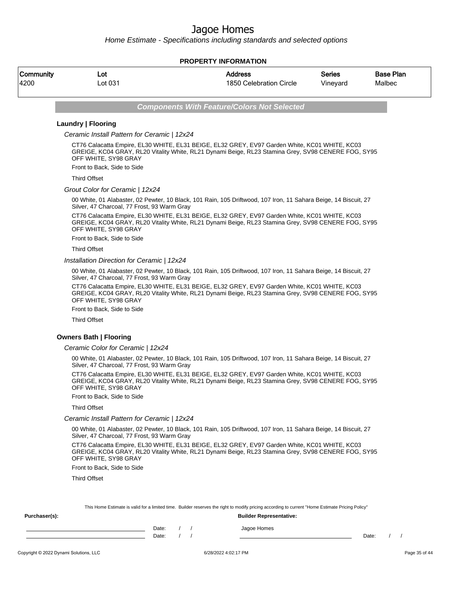Home Estimate - Specifications including standards and selected options

### **PROPERTY INFORMATION**

| Community | ∟ot     | <b>Address</b>          | Series   | <b>Base Plan</b> |
|-----------|---------|-------------------------|----------|------------------|
| 4200      | ∟ot 031 | 1850 Celebration Circle | Vineyard | Malbec           |

**Components With Feature/Colors Not Selected**

## **Laundry | Flooring**

Ceramic Install Pattern for Ceramic | 12x24

CT76 Calacatta Empire, EL30 WHITE, EL31 BEIGE, EL32 GREY, EV97 Garden White, KC01 WHITE, KC03 GREIGE, KC04 GRAY, RL20 Vitality White, RL21 Dynami Beige, RL23 Stamina Grey, SV98 CENERE FOG, SY95 OFF WHITE, SY98 GRAY

Front to Back, Side to Side

Third Offset

Grout Color for Ceramic | 12x24

00 White, 01 Alabaster, 02 Pewter, 10 Black, 101 Rain, 105 Driftwood, 107 Iron, 11 Sahara Beige, 14 Biscuit, 27 Silver, 47 Charcoal, 77 Frost, 93 Warm Gray

CT76 Calacatta Empire, EL30 WHITE, EL31 BEIGE, EL32 GREY, EV97 Garden White, KC01 WHITE, KC03 GREIGE, KC04 GRAY, RL20 Vitality White, RL21 Dynami Beige, RL23 Stamina Grey, SV98 CENERE FOG, SY95 OFF WHITE, SY98 GRAY

Front to Back, Side to Side

Third Offset

Installation Direction for Ceramic | 12x24

00 White, 01 Alabaster, 02 Pewter, 10 Black, 101 Rain, 105 Driftwood, 107 Iron, 11 Sahara Beige, 14 Biscuit, 27 Silver, 47 Charcoal, 77 Frost, 93 Warm Gray

CT76 Calacatta Empire, EL30 WHITE, EL31 BEIGE, EL32 GREY, EV97 Garden White, KC01 WHITE, KC03 GREIGE, KC04 GRAY, RL20 Vitality White, RL21 Dynami Beige, RL23 Stamina Grey, SV98 CENERE FOG, SY95 OFF WHITE, SY98 GRAY

Front to Back, Side to Side

Third Offset

### **Owners Bath | Flooring**

#### Ceramic Color for Ceramic | 12x24

00 White, 01 Alabaster, 02 Pewter, 10 Black, 101 Rain, 105 Driftwood, 107 Iron, 11 Sahara Beige, 14 Biscuit, 27 Silver, 47 Charcoal, 77 Frost, 93 Warm Gray

CT76 Calacatta Empire, EL30 WHITE, EL31 BEIGE, EL32 GREY, EV97 Garden White, KC01 WHITE, KC03 GREIGE, KC04 GRAY, RL20 Vitality White, RL21 Dynami Beige, RL23 Stamina Grey, SV98 CENERE FOG, SY95 OFF WHITE, SY98 GRAY

Front to Back, Side to Side

### Third Offset

Ceramic Install Pattern for Ceramic | 12x24

**Purchaser(s): Builder Representative:**

00 White, 01 Alabaster, 02 Pewter, 10 Black, 101 Rain, 105 Driftwood, 107 Iron, 11 Sahara Beige, 14 Biscuit, 27 Silver, 47 Charcoal, 77 Frost, 93 Warm Gray

CT76 Calacatta Empire, EL30 WHITE, EL31 BEIGE, EL32 GREY, EV97 Garden White, KC01 WHITE, KC03 GREIGE, KC04 GRAY, RL20 Vitality White, RL21 Dynami Beige, RL23 Stamina Grey, SV98 CENERE FOG, SY95 OFF WHITE, SY98 GRAY

Front to Back, Side to Side

Third Offset

This Home Estimate is valid for a limited time. Builder reserves the right to modify pricing according to current "Home Estimate Pricing Policy"

| $\cdots$ and $\cdots$ |       |  | <b>DUING ROPIGOGHUM</b> |       |  |
|-----------------------|-------|--|-------------------------|-------|--|
|                       | Date: |  | Jagoe Homes             |       |  |
|                       | Date: |  |                         | Date: |  |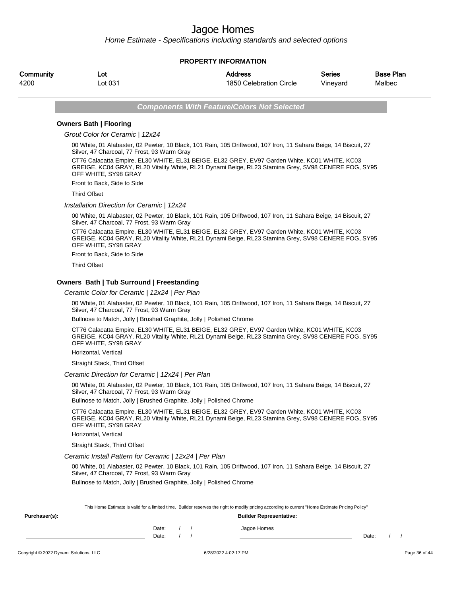Home Estimate - Specifications including standards and selected options

### **PROPERTY INFORMATION**

| Community | Lot     | Address                 | <b>Series</b> | <b>Base Plan</b> |
|-----------|---------|-------------------------|---------------|------------------|
| 4200      | _ot 031 | 1850 Celebration Circle | Vinevard      | Malbec           |

**Components With Feature/Colors Not Selected**

### **Owners Bath | Flooring**

Grout Color for Ceramic | 12x24

00 White, 01 Alabaster, 02 Pewter, 10 Black, 101 Rain, 105 Driftwood, 107 Iron, 11 Sahara Beige, 14 Biscuit, 27 Silver, 47 Charcoal, 77 Frost, 93 Warm Gray

CT76 Calacatta Empire, EL30 WHITE, EL31 BEIGE, EL32 GREY, EV97 Garden White, KC01 WHITE, KC03 GREIGE, KC04 GRAY, RL20 Vitality White, RL21 Dynami Beige, RL23 Stamina Grey, SV98 CENERE FOG, SY95 OFF WHITE, SY98 GRAY

Front to Back, Side to Side

Third Offset

Installation Direction for Ceramic | 12x24

00 White, 01 Alabaster, 02 Pewter, 10 Black, 101 Rain, 105 Driftwood, 107 Iron, 11 Sahara Beige, 14 Biscuit, 27 Silver, 47 Charcoal, 77 Frost, 93 Warm Gray

CT76 Calacatta Empire, EL30 WHITE, EL31 BEIGE, EL32 GREY, EV97 Garden White, KC01 WHITE, KC03 GREIGE, KC04 GRAY, RL20 Vitality White, RL21 Dynami Beige, RL23 Stamina Grey, SV98 CENERE FOG, SY95 OFF WHITE, SY98 GRAY

Front to Back, Side to Side

Third Offset

### **Owners Bath | Tub Surround | Freestanding**

Ceramic Color for Ceramic | 12x24 | Per Plan

00 White, 01 Alabaster, 02 Pewter, 10 Black, 101 Rain, 105 Driftwood, 107 Iron, 11 Sahara Beige, 14 Biscuit, 27 Silver, 47 Charcoal, 77 Frost, 93 Warm Gray

Bullnose to Match, Jolly | Brushed Graphite, Jolly | Polished Chrome

CT76 Calacatta Empire, EL30 WHITE, EL31 BEIGE, EL32 GREY, EV97 Garden White, KC01 WHITE, KC03 GREIGE, KC04 GRAY, RL20 Vitality White, RL21 Dynami Beige, RL23 Stamina Grey, SV98 CENERE FOG, SY95 OFF WHITE, SY98 GRAY

Horizontal, Vertical

Straight Stack, Third Offset

#### Ceramic Direction for Ceramic | 12x24 | Per Plan

00 White, 01 Alabaster, 02 Pewter, 10 Black, 101 Rain, 105 Driftwood, 107 Iron, 11 Sahara Beige, 14 Biscuit, 27 Silver, 47 Charcoal, 77 Frost, 93 Warm Gray

Bullnose to Match, Jolly | Brushed Graphite, Jolly | Polished Chrome

CT76 Calacatta Empire, EL30 WHITE, EL31 BEIGE, EL32 GREY, EV97 Garden White, KC01 WHITE, KC03 GREIGE, KC04 GRAY, RL20 Vitality White, RL21 Dynami Beige, RL23 Stamina Grey, SV98 CENERE FOG, SY95 OFF WHITE, SY98 GRAY

Horizontal, Vertical

Straight Stack, Third Offset

#### Ceramic Install Pattern for Ceramic | 12x24 | Per Plan

00 White, 01 Alabaster, 02 Pewter, 10 Black, 101 Rain, 105 Driftwood, 107 Iron, 11 Sahara Beige, 14 Biscuit, 27 Silver, 47 Charcoal, 77 Frost, 93 Warm Gray

Bullnose to Match, Jolly | Brushed Graphite, Jolly | Polished Chrome

**Purchaser(s): Builder Representative:**

| This Home Estimate is valid for a limited time. Builder reserves the right to modify pricing according to current "Home Estimate Pricing Policy" |
|--------------------------------------------------------------------------------------------------------------------------------------------------|
|                                                                                                                                                  |

| Date: |  | Jagoe Homes |       |  |
|-------|--|-------------|-------|--|
| Date: |  |             | Date: |  |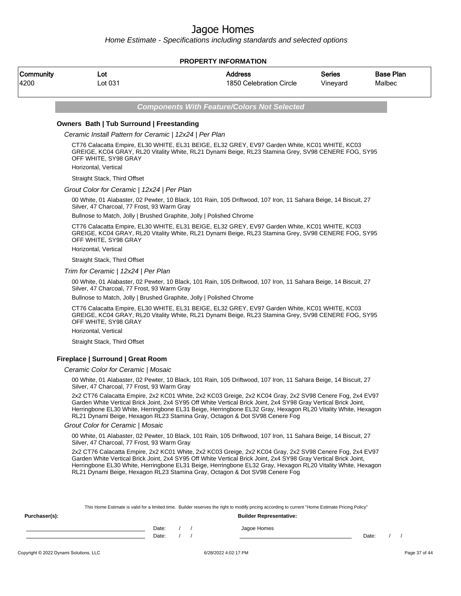Home Estimate - Specifications including standards and selected options

|                                                                                                                                                                                                                              |                                                                                                                                                                                                                                                                                                                                                                                                                           |            | <b>PROPERTY INFORMATION</b>                        |                           |                            |  |  |  |  |
|------------------------------------------------------------------------------------------------------------------------------------------------------------------------------------------------------------------------------|---------------------------------------------------------------------------------------------------------------------------------------------------------------------------------------------------------------------------------------------------------------------------------------------------------------------------------------------------------------------------------------------------------------------------|------------|----------------------------------------------------|---------------------------|----------------------------|--|--|--|--|
| Community<br>4200                                                                                                                                                                                                            | Lot<br>Lot 031                                                                                                                                                                                                                                                                                                                                                                                                            |            | <b>Address</b><br>1850 Celebration Circle          | <b>Series</b><br>Vineyard | <b>Base Plan</b><br>Malbec |  |  |  |  |
|                                                                                                                                                                                                                              |                                                                                                                                                                                                                                                                                                                                                                                                                           |            | <b>Components With Feature/Colors Not Selected</b> |                           |                            |  |  |  |  |
|                                                                                                                                                                                                                              | Owners Bath   Tub Surround   Freestanding                                                                                                                                                                                                                                                                                                                                                                                 |            |                                                    |                           |                            |  |  |  |  |
|                                                                                                                                                                                                                              | Ceramic Install Pattern for Ceramic   12x24   Per Plan                                                                                                                                                                                                                                                                                                                                                                    |            |                                                    |                           |                            |  |  |  |  |
| CT76 Calacatta Empire, EL30 WHITE, EL31 BEIGE, EL32 GREY, EV97 Garden White, KC01 WHITE, KC03<br>GREIGE, KC04 GRAY, RL20 Vitality White, RL21 Dynami Beige, RL23 Stamina Grey, SV98 CENERE FOG, SY95<br>OFF WHITE, SY98 GRAY |                                                                                                                                                                                                                                                                                                                                                                                                                           |            |                                                    |                           |                            |  |  |  |  |
|                                                                                                                                                                                                                              | Horizontal, Vertical                                                                                                                                                                                                                                                                                                                                                                                                      |            |                                                    |                           |                            |  |  |  |  |
|                                                                                                                                                                                                                              | Straight Stack, Third Offset                                                                                                                                                                                                                                                                                                                                                                                              |            |                                                    |                           |                            |  |  |  |  |
|                                                                                                                                                                                                                              | Grout Color for Ceramic   12x24   Per Plan                                                                                                                                                                                                                                                                                                                                                                                |            |                                                    |                           |                            |  |  |  |  |
|                                                                                                                                                                                                                              | 00 White, 01 Alabaster, 02 Pewter, 10 Black, 101 Rain, 105 Driftwood, 107 Iron, 11 Sahara Beige, 14 Biscuit, 27<br>Silver, 47 Charcoal, 77 Frost, 93 Warm Gray                                                                                                                                                                                                                                                            |            |                                                    |                           |                            |  |  |  |  |
|                                                                                                                                                                                                                              | Bullnose to Match, Jolly   Brushed Graphite, Jolly   Polished Chrome                                                                                                                                                                                                                                                                                                                                                      |            |                                                    |                           |                            |  |  |  |  |
|                                                                                                                                                                                                                              | CT76 Calacatta Empire, EL30 WHITE, EL31 BEIGE, EL32 GREY, EV97 Garden White, KC01 WHITE, KC03<br>GREIGE, KC04 GRAY, RL20 Vitality White, RL21 Dynami Beige, RL23 Stamina Grey, SV98 CENERE FOG, SY95<br>OFF WHITE, SY98 GRAY                                                                                                                                                                                              |            |                                                    |                           |                            |  |  |  |  |
|                                                                                                                                                                                                                              | Horizontal, Vertical                                                                                                                                                                                                                                                                                                                                                                                                      |            |                                                    |                           |                            |  |  |  |  |
|                                                                                                                                                                                                                              | Straight Stack, Third Offset                                                                                                                                                                                                                                                                                                                                                                                              |            |                                                    |                           |                            |  |  |  |  |
|                                                                                                                                                                                                                              | Trim for Ceramic   12x24   Per Plan                                                                                                                                                                                                                                                                                                                                                                                       |            |                                                    |                           |                            |  |  |  |  |
|                                                                                                                                                                                                                              | 00 White, 01 Alabaster, 02 Pewter, 10 Black, 101 Rain, 105 Driftwood, 107 Iron, 11 Sahara Beige, 14 Biscuit, 27<br>Silver, 47 Charcoal, 77 Frost, 93 Warm Gray                                                                                                                                                                                                                                                            |            |                                                    |                           |                            |  |  |  |  |
|                                                                                                                                                                                                                              | Bullnose to Match, Jolly   Brushed Graphite, Jolly   Polished Chrome                                                                                                                                                                                                                                                                                                                                                      |            |                                                    |                           |                            |  |  |  |  |
|                                                                                                                                                                                                                              | CT76 Calacatta Empire, EL30 WHITE, EL31 BEIGE, EL32 GREY, EV97 Garden White, KC01 WHITE, KC03<br>GREIGE, KC04 GRAY, RL20 Vitality White, RL21 Dynami Beige, RL23 Stamina Grey, SV98 CENERE FOG, SY95<br>OFF WHITE, SY98 GRAY                                                                                                                                                                                              |            |                                                    |                           |                            |  |  |  |  |
|                                                                                                                                                                                                                              | Horizontal, Vertical                                                                                                                                                                                                                                                                                                                                                                                                      |            |                                                    |                           |                            |  |  |  |  |
|                                                                                                                                                                                                                              | Straight Stack, Third Offset                                                                                                                                                                                                                                                                                                                                                                                              |            |                                                    |                           |                            |  |  |  |  |
|                                                                                                                                                                                                                              | Fireplace   Surround   Great Room                                                                                                                                                                                                                                                                                                                                                                                         |            |                                                    |                           |                            |  |  |  |  |
|                                                                                                                                                                                                                              | Ceramic Color for Ceramic   Mosaic                                                                                                                                                                                                                                                                                                                                                                                        |            |                                                    |                           |                            |  |  |  |  |
|                                                                                                                                                                                                                              | 00 White, 01 Alabaster, 02 Pewter, 10 Black, 101 Rain, 105 Driftwood, 107 Iron, 11 Sahara Beige, 14 Biscuit, 27<br>Silver, 47 Charcoal, 77 Frost, 93 Warm Gray                                                                                                                                                                                                                                                            |            |                                                    |                           |                            |  |  |  |  |
|                                                                                                                                                                                                                              | 2x2 CT76 Calacatta Empire, 2x2 KC01 White, 2x2 KC03 Greige, 2x2 KC04 Gray, 2x2 SV98 Cenere Fog, 2x4 EV97<br>Garden White Vertical Brick Joint, 2x4 SY95 Off White Vertical Brick Joint, 2x4 SY98 Gray Vertical Brick Joint,<br>Herringbone EL30 White, Herringbone EL31 Beige, Herringbone EL32 Gray, Hexagon RL20 Vitality White, Hexagon<br>RL21 Dynami Beige, Hexagon RL23 Stamina Gray, Octagon & Dot SV98 Cenere Fog |            |                                                    |                           |                            |  |  |  |  |
|                                                                                                                                                                                                                              | Grout Color for Ceramic   Mosaic                                                                                                                                                                                                                                                                                                                                                                                          |            |                                                    |                           |                            |  |  |  |  |
|                                                                                                                                                                                                                              | 00 White, 01 Alabaster, 02 Pewter, 10 Black, 101 Rain, 105 Driftwood, 107 Iron, 11 Sahara Beige, 14 Biscuit, 27<br>Silver, 47 Charcoal, 77 Frost, 93 Warm Gray                                                                                                                                                                                                                                                            |            |                                                    |                           |                            |  |  |  |  |
|                                                                                                                                                                                                                              | 2x2 CT76 Calacatta Empire, 2x2 KC01 White, 2x2 KC03 Greige, 2x2 KC04 Gray, 2x2 SV98 Cenere Fog, 2x4 EV97<br>Garden White Vertical Brick Joint, 2x4 SY95 Off White Vertical Brick Joint, 2x4 SY98 Gray Vertical Brick Joint,<br>Herringbone EL30 White, Herringbone EL31 Beige, Herringbone EL32 Gray, Hexagon RL20 Vitality White, Hexagon<br>RL21 Dynami Beige, Hexagon RL23 Stamina Gray, Octagon & Dot SV98 Cenere Fog |            |                                                    |                           |                            |  |  |  |  |
| Purchaser(s):                                                                                                                                                                                                                | This Home Estimate is valid for a limited time. Builder reserves the right to modify pricing according to current "Home Estimate Pricing Policy"                                                                                                                                                                                                                                                                          |            | <b>Builder Representative:</b>                     |                           |                            |  |  |  |  |
|                                                                                                                                                                                                                              | Date:                                                                                                                                                                                                                                                                                                                                                                                                                     | $\sqrt{2}$ | Jagoe Homes                                        |                           |                            |  |  |  |  |

Date: / / Date: / /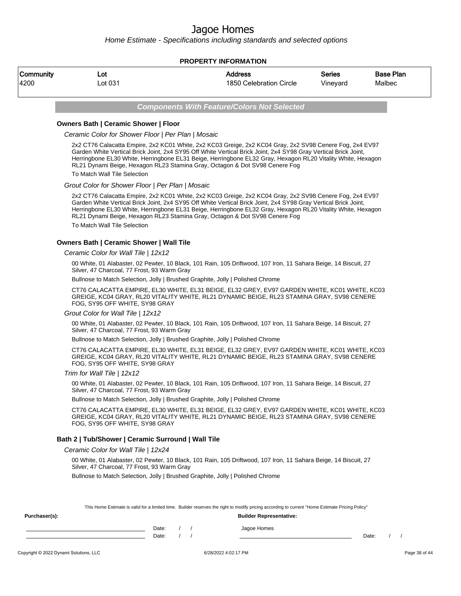Home Estimate - Specifications including standards and selected options

### **PROPERTY INFORMATION**

| Community | ∟ot     | Address                 | <b>Series</b> | <b>Base Plan</b> |
|-----------|---------|-------------------------|---------------|------------------|
| 4200      | ∟ot 031 | 1850 Celebration Circle | Vineyard      | Malbec           |

**Components With Feature/Colors Not Selected**

### **Owners Bath | Ceramic Shower | Floor**

Ceramic Color for Shower Floor | Per Plan | Mosaic

2x2 CT76 Calacatta Empire, 2x2 KC01 White, 2x2 KC03 Greige, 2x2 KC04 Gray, 2x2 SV98 Cenere Fog, 2x4 EV97 Garden White Vertical Brick Joint, 2x4 SY95 Off White Vertical Brick Joint, 2x4 SY98 Gray Vertical Brick Joint, Herringbone EL30 White, Herringbone EL31 Beige, Herringbone EL32 Gray, Hexagon RL20 Vitality White, Hexagon RL21 Dynami Beige, Hexagon RL23 Stamina Gray, Octagon & Dot SV98 Cenere Fog

To Match Wall Tile Selection

### Grout Color for Shower Floor | Per Plan | Mosaic

2x2 CT76 Calacatta Empire, 2x2 KC01 White, 2x2 KC03 Greige, 2x2 KC04 Gray, 2x2 SV98 Cenere Fog, 2x4 EV97 Garden White Vertical Brick Joint, 2x4 SY95 Off White Vertical Brick Joint, 2x4 SY98 Gray Vertical Brick Joint, Herringbone EL30 White, Herringbone EL31 Beige, Herringbone EL32 Gray, Hexagon RL20 Vitality White, Hexagon RL21 Dynami Beige, Hexagon RL23 Stamina Gray, Octagon & Dot SV98 Cenere Fog To Match Wall Tile Selection

### **Owners Bath | Ceramic Shower | Wall Tile**

### Ceramic Color for Wall Tile | 12x12

00 White, 01 Alabaster, 02 Pewter, 10 Black, 101 Rain, 105 Driftwood, 107 Iron, 11 Sahara Beige, 14 Biscuit, 27 Silver, 47 Charcoal, 77 Frost, 93 Warm Gray

Bullnose to Match Selection, Jolly | Brushed Graphite, Jolly | Polished Chrome

CT76 CALACATTA EMPIRE, EL30 WHITE, EL31 BEIGE, EL32 GREY, EV97 GARDEN WHITE, KC01 WHITE, KC03 GREIGE, KC04 GRAY, RL20 VITALITY WHITE, RL21 DYNAMIC BEIGE, RL23 STAMINA GRAY, SV98 CENERE FOG, SY95 OFF WHITE, SY98 GRAY

#### Grout Color for Wall Tile | 12x12

00 White, 01 Alabaster, 02 Pewter, 10 Black, 101 Rain, 105 Driftwood, 107 Iron, 11 Sahara Beige, 14 Biscuit, 27 Silver, 47 Charcoal, 77 Frost, 93 Warm Gray

Bullnose to Match Selection, Jolly | Brushed Graphite, Jolly | Polished Chrome

CT76 CALACATTA EMPIRE, EL30 WHITE, EL31 BEIGE, EL32 GREY, EV97 GARDEN WHITE, KC01 WHITE, KC03 GREIGE, KC04 GRAY, RL20 VITALITY WHITE, RL21 DYNAMIC BEIGE, RL23 STAMINA GRAY, SV98 CENERE FOG, SY95 OFF WHITE, SY98 GRAY

#### Trim for Wall Tile | 12x12

00 White, 01 Alabaster, 02 Pewter, 10 Black, 101 Rain, 105 Driftwood, 107 Iron, 11 Sahara Beige, 14 Biscuit, 27 Silver, 47 Charcoal, 77 Frost, 93 Warm Gray

Bullnose to Match Selection, Jolly | Brushed Graphite, Jolly | Polished Chrome

CT76 CALACATTA EMPIRE, EL30 WHITE, EL31 BEIGE, EL32 GREY, EV97 GARDEN WHITE, KC01 WHITE, KC03 GREIGE, KC04 GRAY, RL20 VITALITY WHITE, RL21 DYNAMIC BEIGE, RL23 STAMINA GRAY, SV98 CENERE FOG, SY95 OFF WHITE, SY98 GRAY

### **Bath 2 | Tub/Shower | Ceramic Surround | Wall Tile**

Ceramic Color for Wall Tile | 12x24

00 White, 01 Alabaster, 02 Pewter, 10 Black, 101 Rain, 105 Driftwood, 107 Iron, 11 Sahara Beige, 14 Biscuit, 27 Silver, 47 Charcoal, 77 Frost, 93 Warm Gray

Bullnose to Match Selection, Jolly | Brushed Graphite, Jolly | Polished Chrome

**Purchaser(s): Builder Representative:**

| This Home Estimate is valid for a limited time. Builder reserves the right to modify pricing according to current "Home Estimate Pricing Policy" |
|--------------------------------------------------------------------------------------------------------------------------------------------------|
|                                                                                                                                                  |

| Date: |  | Jagoe Homes |       |  |
|-------|--|-------------|-------|--|
| Date: |  |             | Date: |  |
|       |  |             |       |  |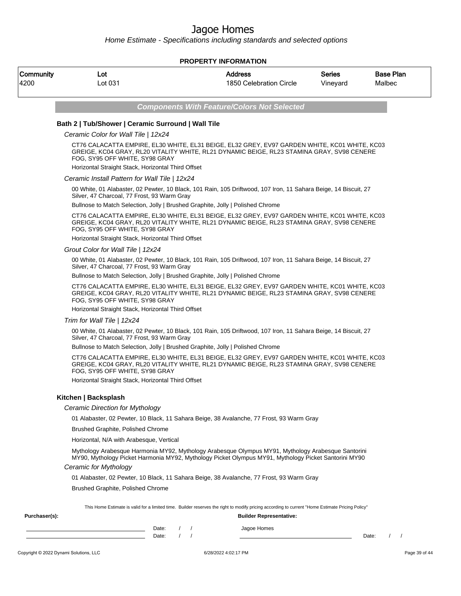Home Estimate - Specifications including standards and selected options

### **PROPERTY INFORMATION**

| Community | Lot     | Address                 | <b>Series</b> | <b>Base Plan</b> |
|-----------|---------|-------------------------|---------------|------------------|
| 4200      | _ot 031 | 1850 Celebration Circle | Vineyard      | Malbec           |

**Components With Feature/Colors Not Selected**

## **Bath 2 | Tub/Shower | Ceramic Surround | Wall Tile**

Ceramic Color for Wall Tile | 12x24

CT76 CALACATTA EMPIRE, EL30 WHITE, EL31 BEIGE, EL32 GREY, EV97 GARDEN WHITE, KC01 WHITE, KC03 GREIGE, KC04 GRAY, RL20 VITALITY WHITE, RL21 DYNAMIC BEIGE, RL23 STAMINA GRAY, SV98 CENERE FOG, SY95 OFF WHITE, SY98 GRAY

Horizontal Straight Stack, Horizontal Third Offset

#### Ceramic Install Pattern for Wall Tile | 12x24

00 White, 01 Alabaster, 02 Pewter, 10 Black, 101 Rain, 105 Driftwood, 107 Iron, 11 Sahara Beige, 14 Biscuit, 27 Silver, 47 Charcoal, 77 Frost, 93 Warm Gray

Bullnose to Match Selection, Jolly | Brushed Graphite, Jolly | Polished Chrome

CT76 CALACATTA EMPIRE, EL30 WHITE, EL31 BEIGE, EL32 GREY, EV97 GARDEN WHITE, KC01 WHITE, KC03 GREIGE, KC04 GRAY, RL20 VITALITY WHITE, RL21 DYNAMIC BEIGE, RL23 STAMINA GRAY, SV98 CENERE FOG, SY95 OFF WHITE, SY98 GRAY

Horizontal Straight Stack, Horizontal Third Offset

#### Grout Color for Wall Tile | 12x24

00 White, 01 Alabaster, 02 Pewter, 10 Black, 101 Rain, 105 Driftwood, 107 Iron, 11 Sahara Beige, 14 Biscuit, 27 Silver, 47 Charcoal, 77 Frost, 93 Warm Gray

Bullnose to Match Selection, Jolly | Brushed Graphite, Jolly | Polished Chrome

CT76 CALACATTA EMPIRE, EL30 WHITE, EL31 BEIGE, EL32 GREY, EV97 GARDEN WHITE, KC01 WHITE, KC03 GREIGE, KC04 GRAY, RL20 VITALITY WHITE, RL21 DYNAMIC BEIGE, RL23 STAMINA GRAY, SV98 CENERE FOG, SY95 OFF WHITE, SY98 GRAY

Horizontal Straight Stack, Horizontal Third Offset

Trim for Wall Tile | 12x24

00 White, 01 Alabaster, 02 Pewter, 10 Black, 101 Rain, 105 Driftwood, 107 Iron, 11 Sahara Beige, 14 Biscuit, 27 Silver, 47 Charcoal, 77 Frost, 93 Warm Gray

Bullnose to Match Selection, Jolly | Brushed Graphite, Jolly | Polished Chrome

CT76 CALACATTA EMPIRE, EL30 WHITE, EL31 BEIGE, EL32 GREY, EV97 GARDEN WHITE, KC01 WHITE, KC03 GREIGE, KC04 GRAY, RL20 VITALITY WHITE, RL21 DYNAMIC BEIGE, RL23 STAMINA GRAY, SV98 CENERE FOG, SY95 OFF WHITE, SY98 GRAY

Horizontal Straight Stack, Horizontal Third Offset

### **Kitchen | Backsplash**

#### Ceramic Direction for Mythology

01 Alabaster, 02 Pewter, 10 Black, 11 Sahara Beige, 38 Avalanche, 77 Frost, 93 Warm Gray

Brushed Graphite, Polished Chrome

Horizontal, N/A with Arabesque, Vertical

Mythology Arabesque Harmonia MY92, Mythology Arabesque Olympus MY91, Mythology Arabesque Santorini MY90, Mythology Picket Harmonia MY92, Mythology Picket Olympus MY91, Mythology Picket Santorini MY90

### Ceramic for Mythology

01 Alabaster, 02 Pewter, 10 Black, 11 Sahara Beige, 38 Avalanche, 77 Frost, 93 Warm Gray

**Purchaser(s): Builder Representative:**

Brushed Graphite, Polished Chrome

This Home Estimate is valid for a limited time. Builder reserves the right to modify pricing according to current "Home Estimate Pricing Policy"

| Date: |  | Jagoe Homes |       |  |  |
|-------|--|-------------|-------|--|--|
| Date: |  |             | Date: |  |  |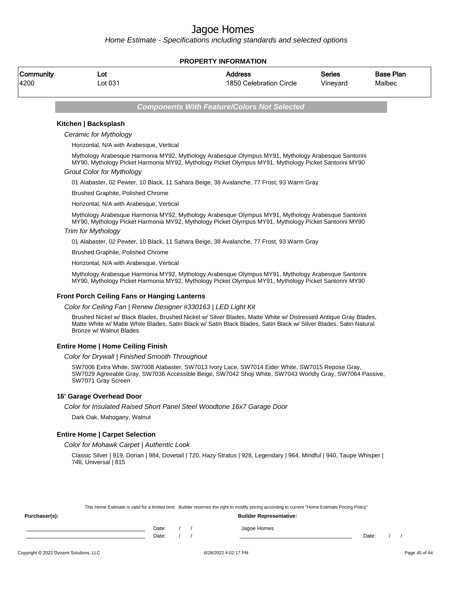Home Estimate - Specifications including standards and selected options

### **PROPERTY INFORMATION**

| Community | ∟ot     | Address                 | <b>Series</b> | <b>Base Plan</b> |
|-----------|---------|-------------------------|---------------|------------------|
| 4200      | _ot 031 | 1850 Celebration Circle | Vineyard      | Malbec           |

**Components With Feature/Colors Not Selected**

### **Kitchen | Backsplash**

Ceramic for Mythology

Horizontal, N/A with Arabesque, Vertical

Mythology Arabesque Harmonia MY92, Mythology Arabesque Olympus MY91, Mythology Arabesque Santorini MY90, Mythology Picket Harmonia MY92, Mythology Picket Olympus MY91, Mythology Picket Santorini MY90

#### Grout Color for Mythology

01 Alabaster, 02 Pewter, 10 Black, 11 Sahara Beige, 38 Avalanche, 77 Frost, 93 Warm Gray

Brushed Graphite, Polished Chrome

Horizontal, N/A with Arabesque, Vertical

Mythology Arabesque Harmonia MY92, Mythology Arabesque Olympus MY91, Mythology Arabesque Santorini MY90, Mythology Picket Harmonia MY92, Mythology Picket Olympus MY91, Mythology Picket Santorini MY90

### Trim for Mythology

01 Alabaster, 02 Pewter, 10 Black, 11 Sahara Beige, 38 Avalanche, 77 Frost, 93 Warm Gray

Brushed Graphite, Polished Chrome

Horizontal, N/A with Arabesque, Vertical

Mythology Arabesque Harmonia MY92, Mythology Arabesque Olympus MY91, Mythology Arabesque Santorini MY90, Mythology Picket Harmonia MY92, Mythology Picket Olympus MY91, Mythology Picket Santorini MY90

#### **Front Porch Ceiling Fans or Hanging Lanterns**

Color for Ceiling Fan | Renew Designer #330163 | LED Light Kit

Brushed Nickel w/ Black Blades, Brushed Nickel w/ Silver Blades, Matte White w/ Distressed Antique Gray Blades, Matte White w/ Matte White Blades, Satin Black w/ Satin Black Blades, Satin Black w/ Silver Blades, Satin Natural Bronze w/ Walnut Blades

### **Entire Home | Home Ceiling Finish**

Color for Drywall | Finished Smooth Throughout

SW7006 Extra White, SW7008 Alabaster, SW7013 Ivory Lace, SW7014 Eider White, SW7015 Repose Gray, SW7029 Agreeable Gray, SW7036 Accessible Beige, SW7042 Shoji White, SW7043 Worldly Gray, SW7064 Passive, SW7071 Gray Screen

### **16' Garage Overhead Door**

Color for Insulated Raised Short Panel Steel Woodtone 16x7 Garage Door

Dark Oak, Mahogany, Walnut

### **Entire Home | Carpet Selection**

Color for Mohawk Carpet | Authentic Look

Classic Silver | 919, Dorian | 984, Dovetail | 720, Hazy Stratus | 928, Legendary | 964, Mindful | 940, Taupe Whisper | 746, Universal | 815

|               |       |  | This Home Estimate is valid for a limited time. Builder reserves the right to modify pricing according to current "Home Estimate Pricing Policy" |       |  |
|---------------|-------|--|--------------------------------------------------------------------------------------------------------------------------------------------------|-------|--|
| Purchaser(s): |       |  | <b>Builder Representative:</b>                                                                                                                   |       |  |
|               | Date: |  | Jagoe Homes                                                                                                                                      |       |  |
|               | Date: |  |                                                                                                                                                  | Date: |  |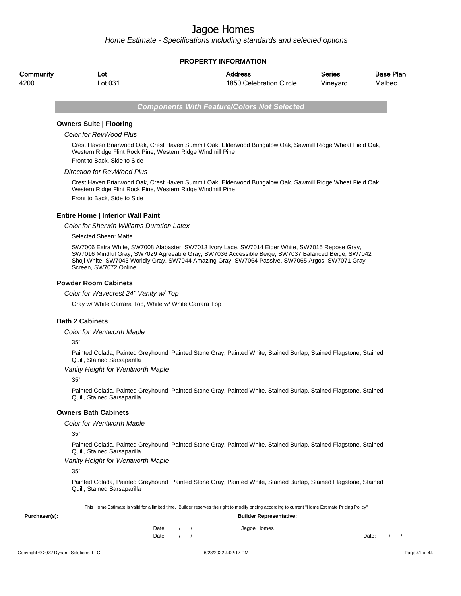Home Estimate - Specifications including standards and selected options

### **PROPERTY INFORMATION**

| Community | ∟ot     | Address                 | Series   | <b>Base Plan</b> |
|-----------|---------|-------------------------|----------|------------------|
| 4200      | _ot 031 | 1850 Celebration Circle | Vineyard | Malbec           |

**Components With Feature/Colors Not Selected**

## **Owners Suite | Flooring**

Color for RevWood Plus

Crest Haven Briarwood Oak, Crest Haven Summit Oak, Elderwood Bungalow Oak, Sawmill Ridge Wheat Field Oak, Western Ridge Flint Rock Pine, Western Ridge Windmill Pine Front to Back, Side to Side

#### Direction for RevWood Plus

Crest Haven Briarwood Oak, Crest Haven Summit Oak, Elderwood Bungalow Oak, Sawmill Ridge Wheat Field Oak, Western Ridge Flint Rock Pine, Western Ridge Windmill Pine Front to Back, Side to Side

### **Entire Home | Interior Wall Paint**

Color for Sherwin Williams Duration Latex

Selected Sheen: Matte

SW7006 Extra White, SW7008 Alabaster, SW7013 Ivory Lace, SW7014 Eider White, SW7015 Repose Gray, SW7016 Mindful Gray, SW7029 Agreeable Gray, SW7036 Accessible Beige, SW7037 Balanced Beige, SW7042 Shoji White, SW7043 Worldly Gray, SW7044 Amazing Gray, SW7064 Passive, SW7065 Argos, SW7071 Gray Screen, SW7072 Online

#### **Powder Room Cabinets**

Color for Wavecrest 24" Vanity w/ Top

Gray w/ White Carrara Top, White w/ White Carrara Top

#### **Bath 2 Cabinets**

Color for Wentworth Maple

35"

Painted Colada, Painted Greyhound, Painted Stone Gray, Painted White, Stained Burlap, Stained Flagstone, Stained Quill, Stained Sarsaparilla

### Vanity Height for Wentworth Maple

35"

Painted Colada, Painted Greyhound, Painted Stone Gray, Painted White, Stained Burlap, Stained Flagstone, Stained Quill, Stained Sarsaparilla

### **Owners Bath Cabinets**

Color for Wentworth Maple

35"

Painted Colada, Painted Greyhound, Painted Stone Gray, Painted White, Stained Burlap, Stained Flagstone, Stained Quill, Stained Sarsaparilla

#### Vanity Height for Wentworth Maple

**Purchaser(s): Builder Representative:**

35"

Painted Colada, Painted Greyhound, Painted Stone Gray, Painted White, Stained Burlap, Stained Flagstone, Stained Quill, Stained Sarsaparilla

This Home Estimate is valid for a limited time. Builder reserves the right to modify pricing according to current "Home Estimate Pricing Policy"

| Date: |  | Jagoe Homes |       |  |
|-------|--|-------------|-------|--|
| Date: |  |             | Date: |  |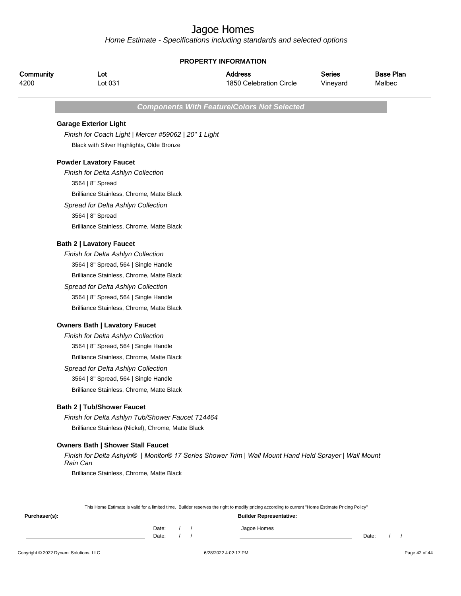|                   | <b>PROPERTY INFORMATION</b>                                                                                                                      |                                                    |                           |                            |  |  |  |
|-------------------|--------------------------------------------------------------------------------------------------------------------------------------------------|----------------------------------------------------|---------------------------|----------------------------|--|--|--|
| Community<br>4200 | Lot<br>Lot 031                                                                                                                                   | <b>Address</b><br>1850 Celebration Circle          | <b>Series</b><br>Vineyard | <b>Base Plan</b><br>Malbec |  |  |  |
|                   |                                                                                                                                                  | <b>Components With Feature/Colors Not Selected</b> |                           |                            |  |  |  |
|                   | <b>Garage Exterior Light</b>                                                                                                                     |                                                    |                           |                            |  |  |  |
|                   | Finish for Coach Light   Mercer #59062   20" 1 Light                                                                                             |                                                    |                           |                            |  |  |  |
|                   | Black with Silver Highlights, Olde Bronze                                                                                                        |                                                    |                           |                            |  |  |  |
|                   | <b>Powder Lavatory Faucet</b>                                                                                                                    |                                                    |                           |                            |  |  |  |
|                   | Finish for Delta Ashlyn Collection                                                                                                               |                                                    |                           |                            |  |  |  |
|                   | 3564   8" Spread                                                                                                                                 |                                                    |                           |                            |  |  |  |
|                   | Brilliance Stainless, Chrome, Matte Black                                                                                                        |                                                    |                           |                            |  |  |  |
|                   | Spread for Delta Ashlyn Collection                                                                                                               |                                                    |                           |                            |  |  |  |
|                   | 3564   8" Spread                                                                                                                                 |                                                    |                           |                            |  |  |  |
|                   | Brilliance Stainless, Chrome, Matte Black                                                                                                        |                                                    |                           |                            |  |  |  |
|                   | <b>Bath 2   Lavatory Faucet</b>                                                                                                                  |                                                    |                           |                            |  |  |  |
|                   | Finish for Delta Ashlyn Collection                                                                                                               |                                                    |                           |                            |  |  |  |
|                   | 3564   8" Spread, 564   Single Handle                                                                                                            |                                                    |                           |                            |  |  |  |
|                   | Brilliance Stainless, Chrome, Matte Black                                                                                                        |                                                    |                           |                            |  |  |  |
|                   | Spread for Delta Ashlyn Collection                                                                                                               |                                                    |                           |                            |  |  |  |
|                   | 3564   8" Spread, 564   Single Handle                                                                                                            |                                                    |                           |                            |  |  |  |
|                   | Brilliance Stainless, Chrome, Matte Black                                                                                                        |                                                    |                           |                            |  |  |  |
|                   | <b>Owners Bath   Lavatory Faucet</b>                                                                                                             |                                                    |                           |                            |  |  |  |
|                   | Finish for Delta Ashlyn Collection                                                                                                               |                                                    |                           |                            |  |  |  |
|                   | 3564   8" Spread, 564   Single Handle                                                                                                            |                                                    |                           |                            |  |  |  |
|                   | Brilliance Stainless, Chrome, Matte Black                                                                                                        |                                                    |                           |                            |  |  |  |
|                   | Spread for Delta Ashlyn Collection                                                                                                               |                                                    |                           |                            |  |  |  |
|                   | 3564   8" Spread, 564   Single Handle                                                                                                            |                                                    |                           |                            |  |  |  |
|                   | Brilliance Stainless, Chrome, Matte Black                                                                                                        |                                                    |                           |                            |  |  |  |
|                   | <b>Bath 2   Tub/Shower Faucet</b>                                                                                                                |                                                    |                           |                            |  |  |  |
|                   | Finish for Delta Ashlyn Tub/Shower Faucet T14464                                                                                                 |                                                    |                           |                            |  |  |  |
|                   | Brilliance Stainless (Nickel), Chrome, Matte Black                                                                                               |                                                    |                           |                            |  |  |  |
|                   | <b>Owners Bath   Shower Stall Faucet</b>                                                                                                         |                                                    |                           |                            |  |  |  |
|                   | Finish for Delta Ashyln®   Monitor® 17 Series Shower Trim   Wall Mount Hand Held Sprayer   Wall Mount<br>Rain Can                                |                                                    |                           |                            |  |  |  |
|                   | Brilliance Stainless, Chrome, Matte Black                                                                                                        |                                                    |                           |                            |  |  |  |
|                   | This Home Estimate is valid for a limited time. Builder reserves the right to modify pricing according to current "Home Estimate Pricing Policy" |                                                    |                           |                            |  |  |  |
| Purchaser(s):     |                                                                                                                                                  | <b>Builder Representative:</b>                     |                           |                            |  |  |  |
|                   | Date:<br>$\prime$<br>Date:                                                                                                                       | Jagoe Homes                                        |                           | Date:                      |  |  |  |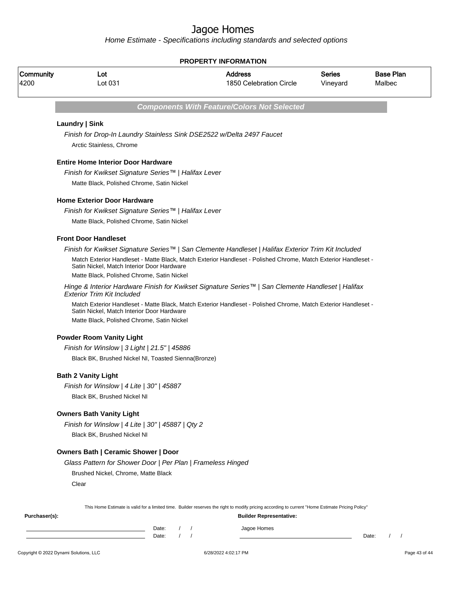Home Estimate - Specifications including standards and selected options

## **PROPERTY INFORMATION**

| Community<br>4200 | Lot<br>Lot 031                                                                                    |                                    | <b>Address</b><br>1850 Celebration Circle                                                                                                        | Series<br>Vineyard | <b>Base Plan</b><br>Malbec |
|-------------------|---------------------------------------------------------------------------------------------------|------------------------------------|--------------------------------------------------------------------------------------------------------------------------------------------------|--------------------|----------------------------|
|                   |                                                                                                   |                                    | <b>Components With Feature/Colors Not Selected</b>                                                                                               |                    |                            |
|                   | Laundry   Sink                                                                                    |                                    |                                                                                                                                                  |                    |                            |
|                   | Finish for Drop-In Laundry Stainless Sink DSE2522 w/Delta 2497 Faucet<br>Arctic Stainless, Chrome |                                    |                                                                                                                                                  |                    |                            |
|                   | <b>Entire Home Interior Door Hardware</b>                                                         |                                    |                                                                                                                                                  |                    |                            |
|                   | Finish for Kwikset Signature Series™   Halifax Lever                                              |                                    |                                                                                                                                                  |                    |                            |
|                   | Matte Black, Polished Chrome, Satin Nickel                                                        |                                    |                                                                                                                                                  |                    |                            |
|                   | <b>Home Exterior Door Hardware</b>                                                                |                                    |                                                                                                                                                  |                    |                            |
|                   | Finish for Kwikset Signature Series™   Halifax Lever                                              |                                    |                                                                                                                                                  |                    |                            |
|                   | Matte Black, Polished Chrome, Satin Nickel                                                        |                                    |                                                                                                                                                  |                    |                            |
|                   | <b>Front Door Handleset</b>                                                                       |                                    |                                                                                                                                                  |                    |                            |
|                   |                                                                                                   |                                    | Finish for Kwikset Signature Series™   San Clemente Handleset   Halifax Exterior Trim Kit Included                                               |                    |                            |
|                   | Satin Nickel, Match Interior Door Hardware                                                        |                                    | Match Exterior Handleset - Matte Black, Match Exterior Handleset - Polished Chrome, Match Exterior Handleset -                                   |                    |                            |
|                   | Matte Black, Polished Chrome, Satin Nickel                                                        |                                    |                                                                                                                                                  |                    |                            |
|                   | <b>Exterior Trim Kit Included</b>                                                                 |                                    | Hinge & Interior Hardware Finish for Kwikset Signature Series™   San Clemente Handleset   Halifax                                                |                    |                            |
|                   | Satin Nickel, Match Interior Door Hardware                                                        |                                    | Match Exterior Handleset - Matte Black, Match Exterior Handleset - Polished Chrome, Match Exterior Handleset -                                   |                    |                            |
|                   | Matte Black, Polished Chrome, Satin Nickel                                                        |                                    |                                                                                                                                                  |                    |                            |
|                   | <b>Powder Room Vanity Light</b>                                                                   |                                    |                                                                                                                                                  |                    |                            |
|                   | Finish for Winslow   3 Light   21.5"   45886                                                      |                                    |                                                                                                                                                  |                    |                            |
|                   | Black BK, Brushed Nickel NI, Toasted Sienna(Bronze)                                               |                                    |                                                                                                                                                  |                    |                            |
|                   | <b>Bath 2 Vanity Light</b>                                                                        |                                    |                                                                                                                                                  |                    |                            |
|                   | Finish for Winslow   4 Lite   30"   45887                                                         |                                    |                                                                                                                                                  |                    |                            |
|                   | Black BK, Brushed Nickel NI                                                                       |                                    |                                                                                                                                                  |                    |                            |
|                   | <b>Owners Bath Vanity Light</b>                                                                   |                                    |                                                                                                                                                  |                    |                            |
|                   | Finish for Winslow   4 Lite   30"   45887   Qty 2                                                 |                                    |                                                                                                                                                  |                    |                            |
|                   | Black BK, Brushed Nickel NI                                                                       |                                    |                                                                                                                                                  |                    |                            |
|                   | <b>Owners Bath   Ceramic Shower   Door</b>                                                        |                                    |                                                                                                                                                  |                    |                            |
|                   | Glass Pattern for Shower Door   Per Plan   Frameless Hinged                                       |                                    |                                                                                                                                                  |                    |                            |
|                   | Brushed Nickel, Chrome, Matte Black                                                               |                                    |                                                                                                                                                  |                    |                            |
|                   | Clear                                                                                             |                                    |                                                                                                                                                  |                    |                            |
|                   |                                                                                                   |                                    | This Home Estimate is valid for a limited time. Builder reserves the right to modify pricing according to current "Home Estimate Pricing Policy" |                    |                            |
| Purchaser(s):     |                                                                                                   |                                    | <b>Builder Representative:</b>                                                                                                                   |                    |                            |
|                   |                                                                                                   | Date:<br>$\left  \right $<br>Date: | Jagoe Homes                                                                                                                                      |                    | $\frac{1}{2}$<br>Date:     |